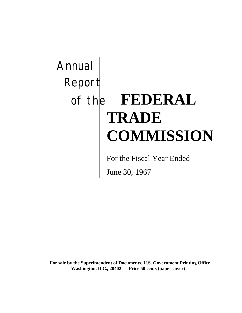# Annual Report of the **FEDERAL TRADE COMMISSION**

For the Fiscal Year Ended

June 30, 1967

**For sale by the Superintendent of Documents, U.S. Government Printing Office Washington, D.C., 20402 - Price 50 cents (paper cover)**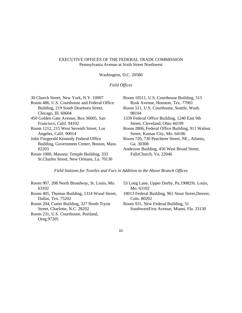#### EXECUTIVE OFFICES OF THE FEDERAL TRADE COMMISSION Pennsylvania Avenue at Sixth Street Northwest

Washington, D.C. 20580

#### *Field Offices*

| 30 Church Street, New York, N.Y. 10007       | Room 10511, U.S. Courthouse Building, 515      |
|----------------------------------------------|------------------------------------------------|
| Room 486, U.S. Courthouse and Federal Office | Rusk Avenue, Houston, Tex. 77061               |
| Building, 219 South Dearborn Street,         | Room 511, U.S. Courthouse, Seattle, Wash.      |
| Chicago, Ill. 60604                          | 98104                                          |
| 450 Golden Gate Avenue, Box 36005, San       | 1339 Federal Office Building, 1240 East 9th    |
| Francisco, Calif. 94102                      | Street, Cleveland, Ohio 44199                  |
| Room 1212, 215 West Seventh Street, Los      | Room 2806, Federal Office Building, 911 Walnut |
| Angeles, Calif. 90014                        | Street, Kansas City, Mo. 64106                 |
| John Fitzgerald Kennedy Federal Office       | Room 720, 730 Peachtree Street, NE., Atlanta,  |
| Building, Government Center, Boston, Mass.   | Ga. 30308                                      |
| 02203                                        | Anderson Building, 450 West Broad Street,      |
| Room 1000, Masonic Temple Building, 333      | FallsChurch, Va. 22046                         |
| St.Charles Street, New Orleans, La. 70130    |                                                |

*Field Stations for Textiles and Furs in Addition to the Above Branch Offices*

Room 907, 208 North Broadway, St. Louis, Mo. 63102 Room 405, Thomas Building, 1314 Wood Street, Dallas, Tex. 75202 Room 204, Cutter Building, 327 North Tryon Street, Charlotte, N.C. 28202 Room 231, U.S. Courthouse, Portland,

Oreg.97205

- 53 Long Lane, Upper Darby, Pa.19082St. Louis, Mo. 63102
- 18013 Federal Building, 961 Stout Street,Denver, Colo. 80202

Room 931, New Federal Building, 51 SouthwestFirst Avenue, Miami, Fla. 33130

iii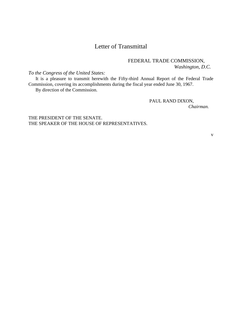### Letter of Transmittal

#### FEDERAL TRADE COMMISSION, *Washington, D.C.*

*To the Congress of the United States:*

It is a pleasure to transmit herewith the Fifty-third Annual Report of the Federal Trade Commission, covering its accomplishments during the fiscal year ended June 30, 1967. By direction of the Commission.

PAUL RAND DIXON,

*Chairman.*

THE PRESIDENT OF THE SENATE. THE SPEAKER OF THE HOUSE OF REPRESENTATIVES.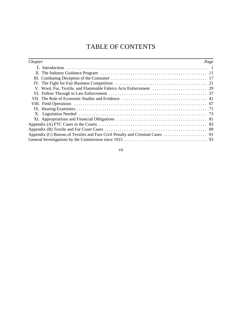## TABLE OF CONTENTS

| Chapter | Page |
|---------|------|
|         |      |
|         |      |
|         |      |
|         |      |
|         |      |
|         |      |
|         |      |
|         |      |
|         |      |
|         |      |
|         |      |
|         |      |
|         |      |
|         |      |
|         |      |

vii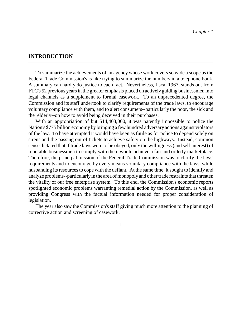#### **INTRODUCTION**

To summarize the achievements of an agency whose work covers so wide a scope as the Federal Trade Commission's is like trying to summarize the numbers in a telephone book. A summary can hardly do justice to each fact. Nevertheless, fiscal 1967, stands out from FTC's 52 previous years in the greater emphasis placed on actively guiding businessmen into legal channels as a supplement to formal casework. To an unprecedented degree, the Commission and its staff undertook to clarify requirements of the trade laws, to encourage voluntary compliance with them, and to alert consumers--particularly the poor, the sick and the elderly--on how to avoid being deceived in their purchases.

With an appropriation of but \$14,403,000, it was patently impossible to police the Nation's \$775 billion economy by bringing a few hundred adversary actions against violators of the law. To have attempted it would have been as futile as for police to depend solely on sirens and the passing out of tickets to achieve safety on the highways. Instead, common sense dictated that if trade laws were to be obeyed, only the willingness(and self interest) of reputable businessmen to comply with them would achieve a fair and orderly marketplace. Therefore, the principal mission of the Federal Trade Commission was to clarify the laws' requirements and to encourage by every means voluntary compliance with the laws, while husbanding its resources to cope with the defiant. At the same time, it sought to identify and analyze problems--particularly in the area of monopoly and other trade restraints that threaten the vitality of our free enterprise system. To this end, the Commission's economic reports spotlighted economic problems warranting remedial action by the Commission, as well as providing Congress with the factual information needed for proper consideration of legislation.

The year also saw the Commission's staff giving much more attention to the planning of corrective action and screening of casework.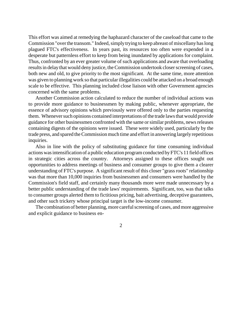This effort was aimed at remedying the haphazard character of the caseload that came to the Commission "over the transom." Indeed, simply trying to keep abreast of miscellany has long plagued FTC's effectiveness. In years past, its resources too often were expended in a desperate but patternless effort to keep from being inundated by applications for complaint. Thus, confronted by an ever greater volume of such applications and aware that overloading results in delay that would deny justice, the Commission undertook closer screening of cases, both new and old, to give priority to the most significant. At the same time, more attention was given to planning work so that particularillegalities could be attacked on a broad enough scale to be effective. This planning included close liaison with other Government agencies concerned with the same problems.

Another Commission action calculated to reduce the number of individual actions was to provide more guidance to businessmen by making public, whenever appropriate, the essence of advisory opinions which previously were offered only to the parties requesting them. Whenever such opinions contained interpretations of the trade laws that would provide guidance for other businessmen confronted with the same orsimilar problems, newsreleases containing digests of the opinions were issued. These were widely used, particularly by the trade press, and spared the Commission much time and effort in answering largely repetitious inquiries.

Also in line with the policy of substituting guidance for time consuming individual actions wasintensification of a public education program conducted by FTC's 11 field offices in strategic cities across the country. Attorneys assigned to these offices sought out opportunities to address meetings of business and consumer groups to give them a clearer understanding of FTC's purpose. A significant result of this closer "grass roots" relationship was that more than 10,000 inquiries from businessmen and consumers were handled by the Commission's field staff, and certainly many thousands more were made unnecessary by a better public understanding of the trade laws' requirements. Significant, too, was that talks to consumer groups alerted them to fictitious pricing, bait advertising, deceptive guarantees, and other such trickery whose principal target is the low-income consumer.

The combination of better planning, more careful screening of cases, and more aggressive and explicit guidance to business en-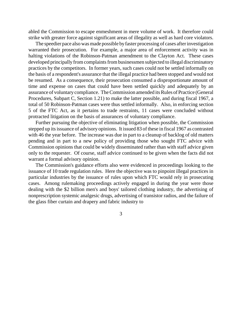abled the Commission to escape enmeshment in mere volume of work. It therefore could strike with greater force against significant areas of illegality as well as hard core violators.

The speedier pace also was made possible by faster processing of cases after investigation warranted their prosecution. For example, a major area of enforcement activity was in halting violations of the Robinson-Patman amendment to the Clayton Act. These cases developed principally from complaints from businessmen subjected to illegal discriminatory practices by the competitors. In former years, such cases could not be settled informally on the basis of a respondent's assurance that the illegal practice had been stopped and would not be resumed. As a consequence, their prosecution consumed a disproportionate amount of time and expense on cases that could have been settled quickly and adequately by an assurance of voluntary compliance. The Commission amended its Rules of Practice (General Procedures, Subpart C, Section 1.21) to make the latter possible, and during fiscal 1967, a total of 50 Robinson-Patman cases were thus settled informally. Also, in enforcing section 5 of the FTC Act, as it pertains to trade restraints, 11 cases were concluded without protracted litigation on the basis of assurances of voluntary compliance.

Further pursuing the objective of eliminating litigation when possible, the Commission stepped up itsissuance of advisory opinions. It issued 83 of these in fiscal 1967 as contrasted with 46 the year before. The increase was due in part to a cleanup of backlog of old matters pending and in part to a new policy of providing those who sought FTC advice with Commission opinions that could be widely disseminated rather than with staff advice given only to the requester. Of course, staff advice continued to be given when the facts did not warrant a formal advisory opinion.

The Commission's guidance efforts also were evidenced in proceedings looking to the issuance of 10 trade regulation rules. Here the objective was to pinpoint illegal practices in particular industries by the issuance of rules upon which FTC would rely in prosecuting cases. Among rulemaking proceedings actively engaged in during the year were those dealing with the \$2 billion men's and boys' tailored clothing industry, the advertising of nonprescription systemic analgesic drugs, advertising of transistor radios, and the failure of the glass fiber curtain and drapery and fabric industry to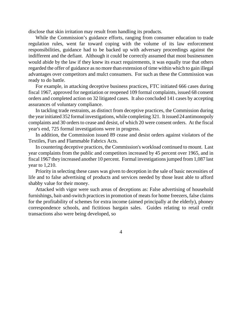disclose that skin irritation may result from handling its products.

While the Commission's guidance efforts, ranging from consumer education to trade regulation rules, went far toward coping with the volume of its law enforcement responsibilities, guidance had to be backed up with adversary proceedings against the indifferent and the defiant. Although it could be correctly assumed that most businessmen would abide by the law if they knew its exact requirements, it was equally true that others regarded the offer of guidance as no more than extension of time within which to gain illegal advantages over competitors and mulct consumers. For such as these the Commission was ready to do battle.

For example, in attacking deceptive business practices, FTC initiated 666 cases during fiscal 1967, approved for negotiation or reopened 109 formal complaints, issued 68 consent orders and completed action on 32 litigated cases. It also concluded 141 cases by accepting assurances of voluntary compliance.

In tackling trade restraints, as distinct from deceptive practices, the Commission during the yearinitiated 352 formal investigations, while completing 321. It issued 24 antimonopoly complaints and 30 orders to cease and desist, of which 20 were consent orders. At the fiscal year's end, 725 formal investigations were in progress.

In addition, the Commission issued 89 cease and desist orders against violators of the Textiles, Furs and Flammable Fabrics Acts.

In countering deceptive practices, the Commission's workload continued to mount. Last year complaints from the public and competitors increased by 45 percent over 1965, and in fiscal 1967 they increased another 10 percent. Formal investigations jumped from 1,087 last year to 1,210.

Priority in selecting these cases was given to deception in the sale of basic necessities of life and to false advertising of products and services needed by those least able to afford shabby value for their money.

Attacked with vigor were such areas of deceptions as: False advertising of household furnishings, bait-and-switch practices in promotion of meats for home freezers, false claims for the profitability of schemes for extra income (aimed principally at the elderly), phoney correspondence schools, and fictitious bargain sales. Guides relating to retail credit transactions also were being developed, so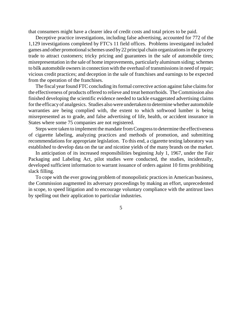that consumers might have a clearer idea of credit costs and total prices to be paid.

Deceptive practice investigations, including false advertising, accounted for 772 of the 1,129 investigations completed by FTC's 11 field offices. Problems investigated included games and other promotional schemes used by 22 principal chain organizations in the grocery trade to attract customers; tricky pricing and guarantees in the sale of automobile tires; misrepresentation in the sale of home improvements, particularly aluminum siding; schemes to bilk automobile owners in connection with the overhaul of transmissions in need of repair; vicious credit practices; and deception in the sale of franchises and earnings to be expected from the operation of the franchises.

The fiscal year found FTC concluding its formal corrective action against false claims for the effectiveness of products offered to relieve and treat hemorrhoids. The Commission also finished developing the scientific evidence needed to tackle exaggerated advertising claims forthe efficacyof analgesics. Studies also were undertaken to determine whether automobile warranties are being complied with, the extent to which softwood lumber is being misrepresented as to grade, and false advertising of life, health, or accident insurance in States where some 75 companies are not registered.

Steps were taken to implement the mandate fromCongressto determine the effectiveness of cigarette labeling, analyzing practices and methods of promotion, and submitting recommendations for appropriate legislation. To this end, a cigarette testing laboratory was established to develop data on the tar and nicotine yields of the many brands on the market.

In anticipation of its increased responsibilities beginning July 1, 1967, under the Fair Packaging and Labeling Act, pilot studies were conducted, the studies, incidentally, developed sufficient information to warrant issuance of orders against 10 firms prohibiting slack filling.

To cope with the ever growing problem of monopolistic practices in American business, the Commission augmented its adversary proceedings by making an effort, unprecedented in scope, to speed litigation and to encourage voluntary compliance with the antitrust laws by spelling out their application to particular industries.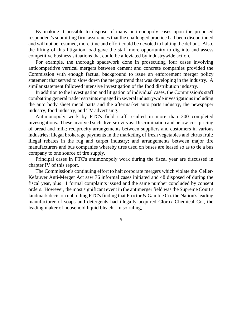By making it possible to dispose of many antimonopoly cases upon the proposed respondent's submitting firm assurances that the challenged practice had been discontinued and will not be resumed, more time and effort could be devoted to halting the defiant. Also, the lifting of this litigation load gave the staff more opportunity to dig into and assess competitive business situations that could be alleviated by industrywide action.

For example, the thorough spadework done in prosecuting four cases involving anticompetitive vertical mergers between cement and concrete companies provided the Commission with enough factual background to issue an enforcement merger policy statement that served to slow down the merger trend that was developing in the industry. A similar statement followed intensive investigation of the food distribution industry.

In addition to the investigation and litigation of individual cases, the Commission's staff combatting general trade restraints engaged in several industrywide investigationsincluding the auto body sheet metal parts and the aftermarket auto parts industry, the newspaper industry, food industry, and TV advertising.

Antimonopoly work by FTC's field staff resulted in more than 300 completed investigations. These involved such diverse evils as: Discrimination and below-cost pricing of bread and milk; reciprocity arrangements between suppliers and customers in various industries; illegal brokerage payments in the marketing of fresh vegetables and citrus fruit; illegal rebates in the rug and carpet industry; and arrangements between major tire manufacturers and bus companies whereby tires used on buses are leased so as to tie a bus company to one source of tire supply.

Principal cases in FTC's antimonopoly work during the fiscal year are discussed in chapter IV of this report.

The Commission's continuing effort to halt corporate mergers which violate the Celler-Kefauver Anti-Merger Act saw 76 informal cases initiated and 48 disposed of during the fiscal year, plus 11 formal complaints issued and the same number concluded by consent orders. However, the most significant event in the antimerger field was the Supreme Court's landmark decision upholding FTC's finding that Proctor & Gamble Co. the Nation's leading manufacturer of soaps and detergents had illegally acquired Clorox Chemical Co., the leading maker of household liquid bleach. In so ruling,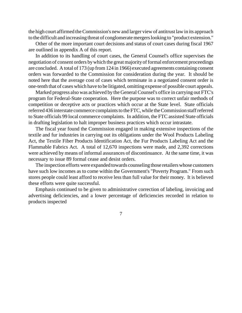the high court affirmed theCommission's new and larger view of antitrust law in its approach to the difficult and increasing threat of conglomerate mergers looking to "product extension."

Other of the more important court decisions and status of court cases during fiscal 1967 are outlined in appendix A of this report.

In addition to its handling of court cases, the General Counsel's office supervises the negotiation of consent orders bywhich the great majority of formal enforcement proceedings are concluded. A total of 173 (up from 124 in 1966) executed agreements containing consent orders was forwarded to the Commission for consideration during the year. It should be noted here that the average cost of cases which terminate in a negotiated consent order is one-tenth that of cases which have to be litigated, omitting expense of possible court appeals.

Marked progress also was achieved by the General Counsel's office in carrying out FTC's program for Federal-State cooperation. Here the purpose was to correct unfair methods of competition or deceptive acts or practices which occur at the State level. State officials referred 436 interstate commerce complaints to the FTC, while the Commission staff referred to State officials 99 local commerce complaints. In addition, the FTC assisted State officials in drafting legislation to halt improper business practices which occur intrastate.

The fiscal year found the Commission engaged in making extensive inspections of the textile and fur industries in carrying out its obligations under the Wool Products Labeling Act, the Textile Fiber Products Identification Act, the Fur Products Labeling Act and the Flammable Fabrics Act. A total of 12,670 inspections were made, and 2,392 corrections were achieved by means of informal assurances of discontinuance. At the same time, it was necessary to issue 89 formal cease and desist orders.

The inspection efforts were expanded towards counseling those retailers whose customers have such low incomes as to come within the Government's "Poverty Program." From such stores people could least afford to receive less than full value for their money. It is believed these efforts were quite successful.

Emphasis continued to be given to administrative correction of labeling, invoicing and advertising deficiencies, and a lower percentage of deficiencies recorded in relation to products inspected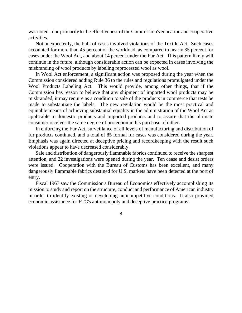was noted--due primarily to the effectiveness of the Commission's education and cooperative activities.

Not unexpectedly, the bulk of cases involved violations of the Textile Act. Such cases accounted for more than 45 percent of the workload, as compared to nearly 35 percent for cases under the Wool Act, and about 14 percent under the Fur Act. This pattern likely will continue in the future, although considerable action can be expected in cases involving the misbranding of wool products by labeling reprocessed wool as wool.

In Wool Act enforcement, a significant action was proposed during the year when the Commission considered adding Rule 36 to the rules and regulations promulgated under the Wool Products Labeling Act. This would provide, among other things, that if the Commission has reason to believe that any shipment of imported wool products may be misbranded, it may require as a condition to sale of the products in commerce that tests be made to substantiate the labels. The new regulation would be the most practical and equitable means of achieving substantial equality in the administration of the Wool Act as applicable to domestic products and imported products and to assure that the ultimate consumer receives the same degree of protection in his purchase of either.

In enforcing the Fur Act, surveillance of all levels of manufacturing and distribution of fur products continued, and a total of 85 formal fur cases was considered during the year. Emphasis was again directed at deceptive pricing and recordkeeping with the result such violations appear to have decreased considerably.

Sale and distribution of dangerously flammable fabrics continued to receive the sharpest attention, and 22 investigations were opened during the year. Ten cease and desist orders were issued. Cooperation with the Bureau of Customs has been excellent, and many dangerously flammable fabrics destined for U.S. markets have been detected at the port of entry.

Fiscal 1967 saw the Commission's Bureau of Economics effectively accomplishing its mission to study and report on the structure, conduct and performance of American industry in order to identify existing or developing anticompetitive conditions. It also provided economic assistance for FTC's antimonopoly and deceptive practice programs.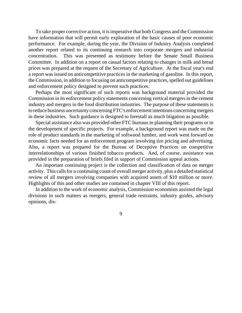To take proper corrective action, it isimperative that both Congress and the Commission have information that will permit early exploration of the basic causes of poor economic performance. For example, during the year, the Division of Industry Analysis completed another report related to its continuing research into corporate mergers and industrial concentration. This was presented as testimony before the Senate Small Business Committee. In addition on a report on casual factors relating to changes in milk and bread prices was prepared at the request of the Secretary of Agriculture. At the fiscal year's end a report was issued on anticompetitive practices in the marketing of gasoline. In this report, the Commission, in addition to focusing on anticompetitive practices, spelled out guidelines and enforcement policy designed to prevent such practices.

Perhaps the most significant of such reports was background material provided the Commission in its enforcement policy statements concerning vertical mergers in the cement industry and mergers in the food distribution industries. The purpose of these statements is to reduce business uncertainty concerning FTC's enforcement intentions concerning mergers in these industries. Such guidance is designed to forestall as much litigation as possible.

Special assistance also was provided other FTC bureaus in planning their programs or in the development of specific projects. For example, a background report was made on the role of product standards in the marketing of softwood lumber, and work went forward on economic facts needed for an enforcement program involving tire pricing and advertising. Also, a report was prepared for the Bureau of Deceptive Practices on competitive interrelationships of various finished tobacco products. And, of course, assistance was provided in the preparation of briefs filed in support of Commission appeal actions.

An important continuing project is the collection and classification of data on merger activity. This calls for a continuing count of overall merger activity, plus a detailed statistical review of all mergers involving companies with acquired assets of \$10 million or more. Highlights of this and other studies are contained in chapter VIII of this report.

In addition to the work of economic analysis, Commission economists assisted the legal divisions in such matters as mergers, general trade restraints, industry guides, advisory opinions, dis-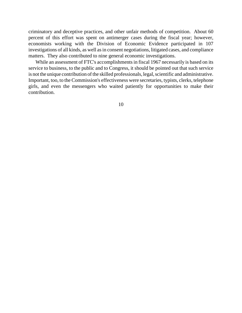criminatory and deceptive practices, and other unfair methods of competition. About 60 percent of this effort was spent on antimerger cases during the fiscal year; however, economists working with the Division of Economic Evidence participated in 107 investigations of all kinds, as well as in consent negotiations, litigated cases, and compliance matters. They also contributed to nine general economic investigations.

While an assessment of FTC's accomplishments in fiscal 1967 necessarily is based on its service to business, to the public and to Congress, it should be pointed out that such service is not the unique contribution of the skilled professionals, legal, scientific and administrative. Important, too, to the Commission's effectiveness were secretaries, typists, clerks, telephone girls, and even the messengers who waited patiently for opportunities to make their contribution.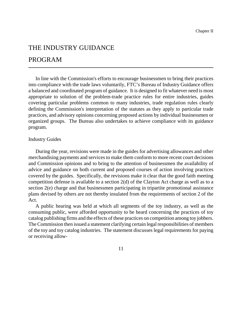## THE INDUSTRY GUIDANCE

## PROGRAM

In line with the Commission's efforts to encourage businessmen to bring their practices into compliance with the trade laws voluntarily, FTC's Bureau of Industry Guidance offers a balanced and coordinated program of guidance. It is designed to fit whatever need is most appropriate to solution of the problem-trade practice rules for entire industries, guides covering particular problems common to many industries, trade regulation rules clearly defining the Commission's interpretation of the statutes as they apply to particular trade practices, and advisory opinions concerning proposed actions by individual businessmen or organized groups. The Bureau also undertakes to achieve compliance with its guidance program.

#### Industry Guides

During the year, revisions were made in the guides for advertising allowances and other merchandising payments and services to make them conform to more recent court decisions and Commission opinions and to bring to the attention of businessmen the availability of advice and guidance on both current and proposed courses of action involving practices covered by the guides. Specifically, the revisions make it clear that the good faith meeting competition defense is available to a section 2(d) of the Clayton Act charge as well as to a section 2(e) charge and that businessmen participating in tripartite promotional assistance plans devised by others are not thereby insulated from the requirements of section 2 of the Act.

A public hearing was held at which all segments of the toy industry, as well as the consuming public, were afforded opportunity to be heard concerning the practices of toy catalog publishing firms and the effects of these practices on competition among toy jobbers. The Commission then issued a statement clarifying certain legal responsibilities of members of the toy and toy catalog industries. The statement discusses legal requirements for paying or receiving allow-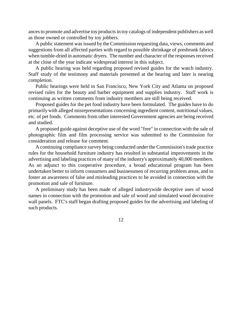ances to promote and advertise toy products in toy catalogs of independent publishers as well as those owned or controlled by toy jobbers.

A public statement wasissued by the Commission requesting data, views, comments and suggestions from all affected parties with regard to possible shrinkage of preshrunk fabrics when tumble-dried in automatic dryers. The number and character of the responses received at the close of the year indicate widespread interest in this subject.

A public hearing was held regarding proposed revised guides for the watch industry. Staff study of the testimony and materials presented at the hearing and later is nearing completion.

Public hearings were held in San Francisco, New York City and Atlanta on proposed revised rules for the beauty and barber equipment and supplies industry. Staff work is continuing as written comments from industry members are still being received.

Proposed guides for the pet food industry have been formulated. The guides have to do primarily with alleged misrepresentations concerning ingredient content, nutritional values, etc. of pet foods. Comments from other interested Government agencies are being received and studied.

A proposed guide against deceptive use of the word "free" in connection with the sale of photographic film and film processing service was submitted to the Commission for consideration and release for comment.

A continuing compliance survey being conducted under the Commission'strade practice rules for the household furniture industry has resulted in substantial improvements in the advertising and labeling practices of many of the industry's approximately 40,000 members. As an adjunct to this cooperative procedure, a broad educational program has been undertaken better to inform consumers and businessmen of recurring problem areas, and to foster an awareness of false and misleading practices to be avoided in connection with the promotion and sale of furniture.

A preliminary study has been made of alleged industrywide deceptive uses of wood names in connection with the promotion and sale of wood and simulated wood decorative wall panels. FTC's staff began drafting proposed guides for the advertising and labeling of such products.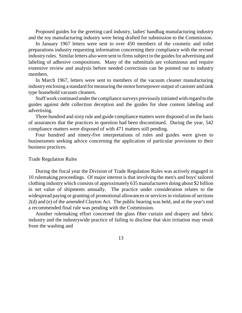Proposed guides for the greeting card industry, ladies' handbag manufacturing industry and the toy manufacturing industry were being drafted for submission to the Commission.

In January 1967 letters were sent to over 450 members of the cosmetic and toilet preparations industry requesting information concerning their compliance with the revised industry rules. Similar letters also were sent to firms subject to the guides for advertising and labeling of adhesive compositions. Many of the submittals are voluminous and require extensive review and analysis before needed corrections can be pointed out to industry members.

In March 1967, letters were sent to members of the vacuum cleaner manufacturing industry enclosing a standard for measuring the motor horsepower output of canister and tank type household vacuum cleaners.

Staff work continued under the compliance surveys previously initiated with regard to the guides against debt collection deception and the guides for shoe content labeling and advertising.

Three hundred and sixty rule and guide compliance matters were disposed of on the basis of assurances that the practices in question had been discontinued. During the year, 542 compliance matters were disposed of with 471 matters still pending.

Four hundred and ninety-five interpretations of rules and guides were given to businessmen seeking advice concerning the application of particular provisions to their business practices.

#### Trade Regulation Rules

During the fiscal year the Division of Trade Regulation Rules was actively engaged in 10 rulemaking proceedings. Of major interest is that involving the men's and boys' tailored clothing industry which consists of approximately 635 manufacturers doing about \$2 billion in net value of shipments annually. The practice under consideration relates to the widespread paying or granting of promotional allowances or services in violation of sections 2(d) and (e) of the amended Clayton Act. The public hearing was held, and at the year's end a recommended final rule was pending with the Commission.

Another rulemaking effort concerned the glass fiber curtain and drapery and fabric industry and the industrywide practice of failing to disclose that skin irritation may result from the washing and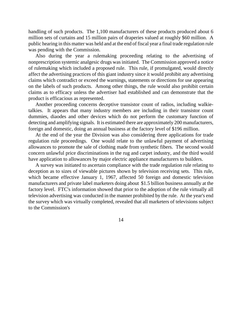handling of such products. The 1,100 manufacturers of these products produced about 6 million sets of curtains and 15 million pairs of draperies valued at roughly \$60 million. A public hearing in this matter was held and at the end of fiscal year a final trade regulation rule was pending with the Commission.

Also during the year a rulemaking proceeding relating to the advertising of nonprescription systemic analgesic drugs was initiated. The Commission approved a notice of rulemaking which included a proposed rule. This rule, if promulgated, would directly affect the advertising practices of this giant industry since it would prohibit any advertising claims which contradict or exceed the warnings, statements or directions for use appearing on the labels of such products. Among other things, the rule would also prohibit certain claims as to efficacy unless the advertiser had established and can demonstrate that the product is efficacious as represented.

Another proceeding concerns deceptive transistor count of radios, including walkietalkies. It appears that many industry members are including in their transistor count dummies, diaodes and other devices which do not perform the customary function of detecting and amplifying signals. It is estimated there are approximately 200 manufacturers, foreign and domestic, doing an annual business at the factory level of \$196 million.

At the end of the year the Division was also considering three applications for trade regulation rule proceedings. One would relate to the unlawful payment of advertising allowances to promote the sale of clothing made from synthetic fibers. The second would concern unlawful price discriminations in the rug and carpet industry, and the third would have application to allowances by major electric appliance manufacturers to builders.

A survey was initiated to ascertain compliance with the trade regulation rule relating to deception as to sizes of viewable pictures shown by television receiving sets. This rule, which became effective January 1, 1967, affected 50 foreign and domestic television manufacturers and private label marketers doing about \$1.5 billion business annually at the factory level. FTC's information showed that prior to the adoption of the rule virtually all television advertising was conducted in the manner prohibited by the rule. At the year's end the survey which was virtually completed, revealed that all marketers of televisions subject to the Commission's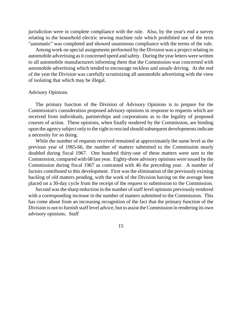jurisdiction were in complete compliance with the rule. Also, by the year's end a survey relating to the household electric sewing machine rule which prohibited use of the term "automatic" was completed and showed unanimous compliance with the terms of the rule.

Among work on special assignments performed by the Division was a project relating to automobile advertising as it concerned speed and safety. During the year letters were written to all automobile manufacturers informing them that the Commission was concerned with automobile advertising which tended to encourage reckless and unsafe driving. At the end of the year the Division was carefully scrutinizing all automobile advertising with the view of isolating that which may be illegal.

#### Advisory Opinions

The primary function of the Division of Advisory Opinions is to prepare for the Commission's consideration proposed advisory opinions in response to requests which are received from individuals, partnerships and corporations as to the legality of proposed courses of action. These opinions, when finally rendered by the Commission, are binding upon the agency subject only to the right to rescind should subsequent developmentsindicate a necessity for so doing.

While the number of requests received remained at approximately the same level as the previous year of 1965-66, the number of matters submitted to the Commission nearly doubled during fiscal 1967. One hundred thirty-one of these matters were sent to the Commission, compared with 68 last year. Eighty-three advisory opinions were issued by the Commission during fiscal 1967 as contrasted with 46 the preceding year. A number of factors contributed to this development. First was the elimination of the previously existing backlog of old matters pending, with the work of the Division having on the average been placed on a 30-day cycle from the receipt of the request to submission to the Commission.

Second was the sharp reduction in the number of staff level opinions previously rendered with a corresponding increase in the number of matters submitted to the Commission. This has come about from an increasing recognition of the fact that the primary function of the Division is not to furnish staff level advice, but to assist the Commission in rendering its own advisory opinions. Staff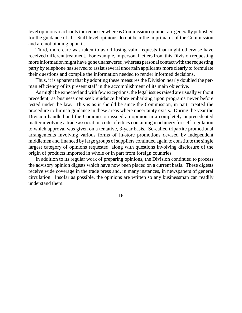level opinions reach only the requester whereas Commission opinions are generally published for the guidance of all. Staff level opinions do not bear the imprimatur of the Commission and are not binding upon it.

Third, more care was taken to avoid losing valid requests that might otherwise have received different treatment. For example, impersonal letters from this Division requesting more information might have gone unanswered, whereas personal contact with the requesting party by telephone has served to assist several uncertain applicants more clearly to formulate their questions and compile the information needed to render informed decisions.

Thus, it is apparent that by adopting these measures the Division nearly doubled the perman efficiency of its present staff in the accomplishment of its main objective.

As might be expected and with few exceptions, the legal issues raised are usually without precedent, as businessmen seek guidance before embarking upon programs never before tested under the law. This is as it should be since the Commission, in part, created the procedure to furnish guidance in these areas where uncertainty exists. During the year the Division handled and the Commission issued an opinion in a completely unprecedented matter involving a trade association code of ethics containing machinery for self-regulation to which approval was given on a tentative, 3-year basis. So-called tripartite promotional arrangements involving various forms of in-store promotions devised by independent middlemen and financed by large groups of suppliers continued again to constitute the single largest category of opinions requested, along with questions involving disclosure of the origin of products imported in whole or in part from foreign countries.

In addition to its regular work of preparing opinions, the Division continued to process the advisory opinion digests which have now been placed on a current basis. These digests receive wide coverage in the trade press and, in many instances, in newspapers of general circulation. Insofar as possible, the opinions are written so any businessman can readily understand them.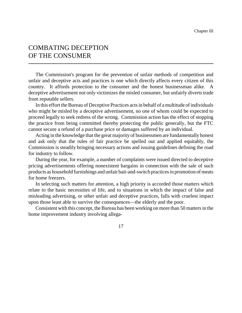## COMBATING DECEPTION OF THE CONSUMER

The Commission's program for the prevention of unfair methods of competition and unfair and deceptive acts and practices is one which directly affects every citizen of this country. It affords protection to the consumer and the honest businessman alike. A deceptive advertisement not only victimizes the misled consumer, but unfairly diverts trade from reputable sellers.

In this effort the Bureau of Deceptive Practices acts in behalf of a multitude of individuals who might be misled by a deceptive advertisement, no one of whom could be expected to proceed legally to seek redress of the wrong. Commission action has the effect of stopping the practice from being committed thereby protecting the public generally, but the FTC cannot secure a refund of a purchase price or damages suffered by an individual.

Acting in the knowledge that the great majority of businessmen are fundamentally honest and ask only that the rules of fair practice be spelled out and applied equitably, the Commission is steadily bringing necessary actions and issuing guidelines defining the road for industry to follow.

During the year, for example, a number of complaints were issued directed to deceptive pricing advertisements offering nonexistent bargains in connection with the sale of such products as household furnishings and unfair bait-and-switch practices in promotion of meats for home freezers.

In selecting such matters for attention, a high priority is accorded those matters which relate to the basic necessities of life, and to situations in which the impact of false and misleading advertising, or other unfair and deceptive practices, falls with cruelest impact upon those least able to survive the consequences—the elderly and the poor.

Consistent with this concept, the Bureau has been working on more than 50 matters in the home improvement industry involving allega-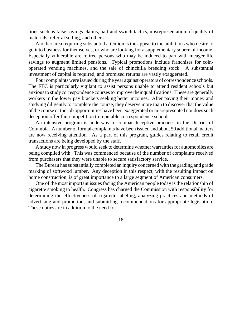tions such as false savings claims, bait-and-switch tactics, misrepresentation of quality of materials, referral selling, and others.

Another area requiring substantial attention is the appeal to the ambitious who desire to go into business for themselves, or who are looking for a supplementary source of income. Especially vulnerable are retired persons who may be induced to part with meager life savings to augment limited pensions. Typical promotions include franchises for coinoperated vending machines, and the sale of chinchilla breeding stock. A substantial investment of capital is required, and promised returns are vastly exaggerated.

Four complaints were issued during the year against operators of correspondence schools. The FTC is particularly vigilant to assist persons unable to attend resident schools but anxiousto studycorrespondence coursesto improve their qualifications. These are generally workers in the lower pay brackets seeking better incomes. After paying their money and studying diligently to complete the course, they deserve more than to discover that the value of the course or the job opportunities have been exaggerated or misrepresented nor doessuch deception offer fair competition to reputable correspondence schools.

An intensive program is underway to combat deceptive practices in the District of Columbia. A number of formal complaints have been issued and about 50 additional matters are now receiving attention. As a part of this program, guides relating to retail credit transactions are being developed by the staff.

A study now in progress would seek to determine whether warranties for automobiles are being complied with. This was commenced because of the number of complaints received from purchasers that they were unable to secure satisfactory service.

The Bureau has substantially completed an inquiry concerned with the grading and grade marking of softwood lumber. Any deception in this respect, with the resulting impact on home construction, is of great importance to a large segment of American consumers.

One of the most important issues facing the American people today is the relationship of cigarette smoking to health. Congress has charged the Commission with responsibility for determining the effectiveness of cigarette labeling, analyzing practices and methods of advertising and promotion, and submitting recommendations for appropriate legislation. These duties are in addition to the need for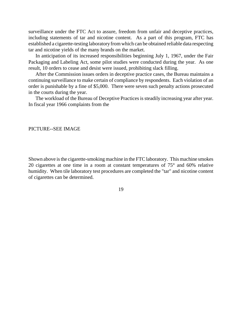surveillance under the FTC Act to assure, freedom from unfair and deceptive practices, including statements of tar and nicotine content. As a part of this program, FTC has established a cigarette-testing laboratory fromwhich can be obtained reliable data respecting tar and nicotine yields of the many brands on the market.

In anticipation of its increased responsibilities beginning July 1, 1967, under the Fair Packaging and Labeling Act, some pilot studies were conducted during the year. As one result, 10 orders to cease and desist were issued, prohibiting slack filling.

After the Commission issues orders in deceptive practice cases, the Bureau maintains a continuing surveillance to make certain of compliance by respondents. Each violation of an order is punishable by a fine of \$5,000. There were seven such penalty actions prosecuted in the courts during the year.

The workload of the Bureau of Deceptive Practices is steadily increasing year after year. In fiscal year 1966 complaints from the

#### PICTURE--SEE IMAGE

Shown above is the cigarette-smoking machine in the FTC laboratory. This machine smokes 20 cigarettes at one time in a room at constant temperatures of 75° and 60% relative humidity. When tile laboratory test procedures are completed the "tar" and nicotine content of cigarettes can be determined.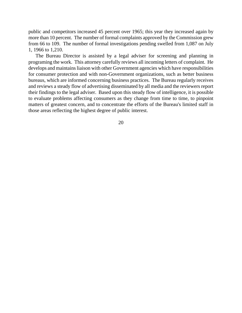public and competitors increased 45 percent over 1965; this year they increased again by more than 10 percent. The number of formal complaints approved by the Commission grew from 66 to 109. The number of formal investigations pending swelled from 1,087 on July 1, 1966 to 1,210.

The Bureau Director is assisted by a legal adviser for screening and planning in programing the work. This attorney carefully reviews all incoming letters of complaint. He develops and maintains liaison with other Government agencies which have responsibilities for consumer protection and with non-Government organizations, such as better business bureaus, which are informed concerning business practices. The Bureau regularly receives and reviews a steady flow of advertising disseminated by all media and the reviewers report their findings to the legal adviser. Based upon this steady flow of intelligence, it is possible to evaluate problems affecting consumers as they change from time to time, to pinpoint matters of greatest concern, and to concentrate the efforts of the Bureau's limited staff in those areas reflecting the highest degree of public interest.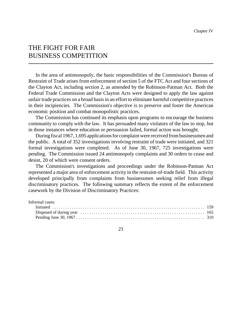## THE FIGHT FOR FAIR BUSINESS COMPETITION

In the area of antimonopoly, the basic responsibilities of the Commission's Bureau of Restraint of Trade arises from enforcement of section 5 of the FTC Act and four sections of the Clayton Act, including section 2, as amended by the Robinson-Patman Act. Both the Federal Trade Commission and the Clayton Acts were designed to apply the law against unfair trade practices on a broad basis in an effort to eliminate harmful competitive practices in their incipiencies. The Commission's objective is to preserve and foster the American economic position and combat monopolistic practices.

The Commission has continued its emphasis upon programs to encourage the business community to comply with the law. It has persuaded many violators of the law to stop, but in those instances where education or persuasion failed, formal action was brought.

During fiscal 1967, 1,695 applications for complaint were received from businessmen and the public. A total of 352 investigations involving restraint of trade were initiated, and 321 formal investigations were completed. As of June 30, 1967, 725 investigations were pending. The Commission issued 24 antimonopoly complaints and 30 orders to cease and desist, 20 of which were consent orders.

The Commission's investigations and proceedings under the Robinson-Patman Act represented a major area of enforcement activity in the restraint-of-trade field. This activity developed principally from complaints from businessmen seeking relief from illegal discriminatory practices. The following summary reflects the extent of the enforcement casework by the Division of Discriminatory Practices:

| Informal cases: |  |
|-----------------|--|
|                 |  |
|                 |  |
|                 |  |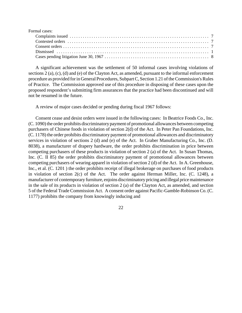| Formal cases: |  |
|---------------|--|
|               |  |
|               |  |
|               |  |
|               |  |
|               |  |

A significant achievement was the settlement of 50 informal cases involving violations of sections 2 (a), (c), (d) and (e) of the Clayton Act, as amended, pursuant to the informal enforcement procedure as provided forin General Procedures, SubpartC, Section 1.21 oftheCommission's Rules of Practice. The Commission approved use of this procedure in disposing of these cases upon the proposed respondent's submitting firm assurances that the practice had been discontinued and will not be resumed in the future.

A review of major cases decided or pending during fiscal 1967 follows:

Consent cease and desist orders were issued in the following cases: In Beatrice Foods Co., Inc. (C. 1090) the order prohibits discriminatory payment of promotional allowances between competing purchasers of Chinese foods in violation of section 2(d) of the Act. In Peter Pan Foundations, Inc. (C. 1178) the order prohibits discriminatory payment of promotional allowances and discriminatory services in violation of sections 2 (d) and (e) of the Act. In Graber Manufacturing Co., Inc. (D. 8038), a manufacturer of drapery hardware, the order prohibits discrimination in price between competing purchasers of these products in violation of section 2 (a) of the Act. In Susan Thomas, Inc. (C. II 85) the order prohibits discriminatory payment of promotional allowances between competing purchasers of wearing apparel in violation of section 2 (d) of the Act. In A. Greenhouse, Inc., et al. (C. 1201) the order prohibits receipt of illegal brokerage on purchases of food products in violation of section 2(c) of the Act. The order against Herman Miller, Inc. (C. 1248), a manufacturer of contemporary furniture, enjoins discriminatory pricing and illegal price maintenance in the sale of its products in violation of section 2 (a) of the Clayton Act, as amended, and section 5 of the Federal Trade Commission Act. A consent order against Pacific-Gamble-Robinson Co. (C. 1177) prohibits the company from knowingly inducing and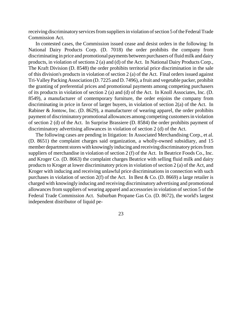receiving discriminatory services from suppliers in violation of section 5 of the Federal Trade Commission Act.

In contested cases, the Commission issued cease and desist orders in the following: In National Dairy Products Corp. (D. 7018) the order prohibits the company from discriminating in price and promotional payments between purchasers of fluid milk and dairy products, in violation of sections 2 (a) and (d) of the Act. In National Dairy Products Corp., The Kraft Division (D. 8548) the order prohibits territorial price discrimination in the sale of this division's products in violation of section 2 (a) of the Act. Final orders issued against Tri-ValleyPacking Association (D. 7225 and D. 7496), a fruit and vegetable packer, prohibit the granting of preferential prices and promotional payments among competing purchasers of its products in violation of section 2 (a) and (d) of the Act. In Knoll Associates, Inc. (D. 8549), a manufacturer of contemporary furniture, the order enjoins the company from discriminating in price in favor of larger buyers, in violation of section 2(a) of the Act. In Rabiner & Jontow, Inc. (D. 8629), a manufacturer of wearing apparel, the order prohibits payment of discriminatory promotional allowances among competing customersin violation of section 2 (d) of the Act. In Surprise Brassiere (D. 8584) the order prohibits payment of discriminatory advertising allowances in violation of section 2 (d) of the Act.

The following cases are pending in litigation: In Associated Merchandising Corp., et al. (D. 8651) the complaint charges said organization, a wholly-owned subsidiary, and 15 member department stores with knowingly inducing and receiving discriminatory prices from suppliers of merchandise in violation of section 2 (f) of the Act. In Beatrice Foods Co., Inc. and Kroger Co. (D. 8663) the complaint charges Beatrice with selling fluid milk and dairy products to Kroger at lower discriminatory pricesin violation of section 2 (a) of the Act, and Kroger with inducing and receiving unlawful price discriminations in connection with such purchases in violation of section 2(f) of the Act. In Best & Co. (D. 8669) a large retailer is charged with knowingly inducing and receiving discriminatory advertising and promotional allowances from suppliers of wearing apparel and accessories in violation of section 5 of the Federal Trade Commission Act. Suburban Propane Gas Co. (D. 8672), the world's largest independent distributor of liquid pe-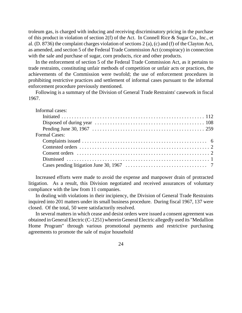troleum gas, is charged with inducing and receiving discriminatory pricing in the purchase of this product in violation of section 2(f) of the Act. In Connell Rice & Sugar Co., Inc., et al. (D. 8736) the complaint charges violation of sections 2 (a), (c) and (f) of the Clayton Act, as amended, and section 5 of the Federal Trade Commission Act (conspiracy) in connection with the sale and purchase of sugar, corn products, rice and other products.

In the enforcement of section 5 of the Federal Trade Commission Act, as it pertains to trade restraints, constituting unfair methods of competition or unfair acts or practices, the achievements of the Commission were twofold; the use of enforcement procedures in prohibiting restrictive practices and settlement of informal cases pursuant to the informal enforcement procedure previously mentioned.

Following is a summary of the Division of General Trade Restraints' casework in fiscal 1967.

| Informal cases:      |
|----------------------|
|                      |
|                      |
|                      |
| <b>Formal Cases:</b> |
|                      |
|                      |
|                      |
|                      |
|                      |

Increased efforts were made to avoid the expense and manpower drain of protracted litigation. As a result, this Division negotiated and received assurances of voluntary compliance with the law from 11 companies.

In dealing with violations in their incipiency, the Division of General Trade Restraints inquired into 201 matters under its small business procedure. During fiscal 1967, 137 were closed. Of the total, 50 were satisfactorily resolved.

In several matters in which cease and desist orders were issued a consent agreement was obtained in GeneralElectric (C-1251) wherein General Electric allegedly used its "Medallion Home Program" through various promotional payments and restrictive purchasing agreements to promote the sale of major household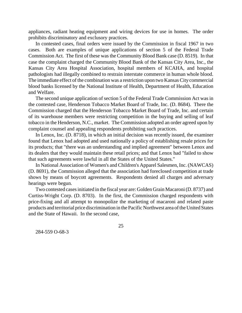appliances, radiant heating equipment and wiring devices for use in homes. The order prohibits discriminatory and exclusory practices.

In contested cases, final orders were issued by the Commission in fiscal 1967 in two cases. Both are examples of unique applications of section 5 of the Federal Trade Commission Act. The first of these was the Community Blood Bank case (D. 8519). In that case the complaint charged the Community Blood Bank of the Kansas City Area, Inc., the Kansas City Area Hospital Association, hospital members of KCAHA, and hospital pathologists had illegally combined to restrain interstate commerce in human whole blood. The immediate effect of the combination was a restriction upon two Kansas City commercial blood banks licensed by the National Institute of Health, Department of Health, Education and Welfare.

The second unique application of section 5 of the Federal Trade Commission Act was in the contested case, Henderson Tobacco Market Board of Trade, Inc. (D. 8684). There the Commission charged that the Henderson Tobacco Market Board of Trade, Inc. and certain of its warehouse members were restricting competition in the buying and selling of leaf tobacco in the Henderson, N.C., market. The Commission adopted an order agreed upon by complaint counsel and appealing respondents prohibiting such practices.

In Lenox, Inc. (D. 8718), in which an initial decision was recently issued, the examiner found that Lenox had adopted and used nationally a policy of establishing resale prices for its products; that "there was an understanding and implied agreement" between Lenox and its dealers that they would maintain these retail prices; and that Lenox had "failed to show that such agreements were lawful in all the States of the United States."

In National Association of Women's and Children's Apparel Salesmen, Inc. (NAWCAS) (D. 8691), the Commission alleged that the association had foreclosed competition at trade shows by means of boycott agreements. Respondents denied all charges and adversary hearings were begun.

Two contested casesinitiated in the fiscal year are: Golden Grain Macaroni(D. 8737) and Curtiss-Wright Corp. (D. 8703). In the first, the Commission charged respondents with price-fixing and all attempt to monopolize the marketing of macaroni and related paste products and territorial price discrimination in the Pacific Northwest area of the United States and the State of Hawaii. In the second case,

25

284-559 O-68-3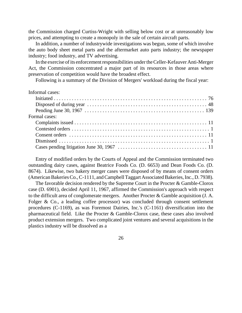the Commission charged Curtiss-Wright with selling below cost or at unreasonably low prices, and attempting to create a monopoly in the sale of certain aircraft parts.

In addition, a number of industrywide investigations was begun, some of which involve the auto body sheet metal parts and the aftermarket auto parts industry; the newspaper industry; food industry, and TV advertising.

In the exercise of its enforcement responsibilities under the Celler-Kefauver Anti-Merger Act, the Commission concentrated a major part of its resources in those areas where preservation of competition would have the broadest effect.

Following is a summary of the Division of Mergers' workload during the fiscal year:

| Informal cases: |
|-----------------|
|                 |
|                 |
|                 |
| Formal cases:   |
|                 |
|                 |
|                 |
|                 |
|                 |

Entry of modified orders by the Courts of Appeal and the Commission terminated two outstanding dairy cases, against Beatrice Foods Co. (D. 6653) and Dean Foods Co. (D. 8674). Likewise, two bakery merger cases were disposed of by means of consent orders (AmericanBakeries Co., C-1111, and Campbell Taggart Associated Bakeries, Inc., D. 7938).

The favorable decision rendered by the Supreme Court in the Procter & Gamble-Clorox case (D. 6901), decided April 11, 1967, affirmed the Commission's approach with respect to the difficult area of conglomerate mergers. Another Procter & Gamble acquisition (J. A. Folger & Co., a leading coffee processor) was concluded through consent settlement procedures (C-1169), as was Foremost Dairies, Inc.'s (C-1161) diversification into the pharmaceutical field. Like the Procter & Gamble-Clorox case, these cases also involved product extension mergers. Two complicated joint ventures and several acquisitions in the plastics industry will be dissolved as a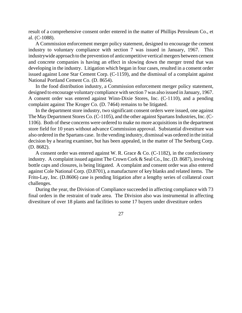result of a comprehensive consent order entered in the matter of Phillips Petroleum Co., et al. (C-1088).

A Commission enforcement merger policy statement, designed to encourage the cement industry to voluntary compliance with section 7 was issued in January, 1967. This industrywide approach to the prevention of anticompetitive vertical mergers between cement and concrete companies is having an effect in slowing down the merger trend that was developing in the industry. Litigation which began in four cases, resulted in a consent order issued against Lone Star Cement Corp. (C-1159), and the dismissal of a complaint against National Portland Cement Co. (D. 8654).

In the food distribution industry, a Commission enforcement merger policy statement, designed to encourage voluntary compliance with section 7 was also issued in January, 1967. A consent order was entered against Winn-Dixie Stores, Inc. (C-1110), and a pending complaint against The Kroger Co. (D. 7464) remains to be litigated.

In the department store industry, two significant consent orders were issued, one against The May Department Stores Co. (C-1105), and the other against Spartans Industries, Inc. (C-1106). Both of these concerns were ordered to make no more acquisitions in the department store field for 10 years without advance Commission approval. Substantial divestiture was also ordered in the Spartans case. In the vending industry, dismissal was ordered in the initial decision by a hearing examiner, but has been appealed, in the matter of The Seeburg Corp. (D. 8682).

A consent order was entered against W. R. Grace & Co. (C-1182), in the confectionery industry. A complaint issued against The Crown Cork & Seal Co., Inc. (D. 8687), involving bottle caps and closures, is being litigated. A complaint and consent order was also entered against Cole National Corp. (D.8701), a manufacturer of key blanks and related items. The Frito-Lay, Inc. (D.8606) case is pending litigation after a lengthy series of collateral court challenges.

During the year, the Division of Compliance succeeded in affecting compliance with 73 final orders in the restraint of trade area. The Division also was instrumental in affecting divestiture of over 18 plants and facilities to some 17 buyers under divestiture orders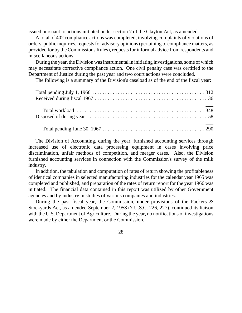issued pursuant to actions initiated under section 7 of the Clayton Act, as amended.

A total of 402 compliance actions was completed, involving complaints of violations of orders, public inquiries, requestsfor advisory opinions(pertaining to compliance matters, as provided for by the Commissions Rules), requests for informal advice from respondents and miscellaneous actions.

During the year, the Division was instrumental in initiating investigations, some of which may necessitate corrective compliance action. One civil penalty case was certified to the Department of Justice during the past year and two court actions were concluded.

The following is a summary of the Division's caseload as of the end of the fiscal year:

The Division of Accounting, during the year, furnished accounting services through increased use of electronic data processing equipment in cases involving price discrimination, unfair methods of competition, and merger cases. Also, the Division furnished accounting services in connection with the Commission's survey of the milk industry.

In addition, the tabulation and computation of rates of return showing the profitableness of identical companies in selected manufacturing industries for the calendar year 1965 was completed and published, and preparation of the rates of return report for the year 1966 was initiated. The financial data contained in this report was utilized by other Government agencies and by industry in studies of various companies and industries.

During the past fiscal year, the Commission, under provisions of the Packers & Stockyards Act, as amended September 2, 1958 (7 U.S.C. 226, 227), continued its liaison with the U.S. Department of Agriculture. During the year, no notifications of investigations were made by either the Department or the Commission.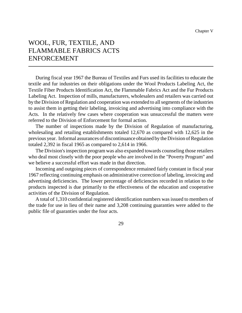## WOOL, FUR, TEXTILE, AND FLAMMABLE FABRICS ACTS ENFORCEMENT

During fiscal year 1967 the Bureau of Textiles and Furs used its facilities to educate the textile and fur industries on their obligations under the Wool Products Labeling Act, the Textile Fiber Products Identification Act, the Flammable Fabrics Act and the Fur Products Labeling Act. Inspection of mills, manufacturers, wholesalers and retailers was carried out by the Division of Regulation and cooperation was extended to all segments of the industries to assist them in getting their labeling, invoicing and advertising into compliance with the Acts. In the relatively few cases where cooperation was unsuccessful the matters were referred to the Division of Enforcement for formal action.

The number of inspections made by the Division of Regulation of manufacturing, wholesaling and retailing establishments totaled 12,670 as compared with 12,625 in the previous year. Informal assurances of discontinuance obtained by the Division of Regulation totaled 2,392 in fiscal 1965 as compared to 2,614 in 1966.

The Division's inspection program was also expanded towards counseling those retailers who deal most closely with the poor people who are involved in the "Poverty Program" and we believe a successful effort was made in that direction.

Incoming and outgoing pieces of correspondence remained fairly constant in fiscal year 1967 reflecting continuing emphasis on administrative correction of labeling, invoicing and advertising deficiencies. The lower percentage of deficiencies recorded in relation to the products inspected is due primarily to the effectiveness of the education and cooperative activities of the Division of Regulation.

A total of 1,310 confidential registered identification numbers was issued to members of the trade for use in lieu of their name and 3,208 continuing guaranties were added to the public file of guaranties under the four acts.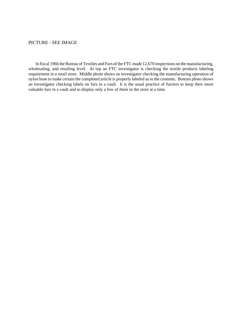#### PICTURE - SEE IMAGE

In fiscal 1966 the Bureau of Textiles and Furs of the FTC made 12,670 inspections on the manufacturing, wholesaling, and retailing level. At top an FTC investigator is checking the textile products labeling requirement in a retail store. Middle photo shows an investigator checking the manufacturing operation of nylon hose to make certain the completed article is properly labeled as to the contents. Bottom photo shows an investigator checking labels on furs in a vault. It is the usual practice of furriers to keep their more valuable furs in a vault and to display only a few of them in the store at a time.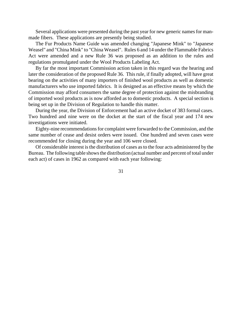Several applications were presented during the past year for new generic names for manmade fibers. These applications are presently being studied.

The Fur Products Name Guide was amended changing "Japanese Mink" to "Japanese Weasel" and "China Mink" to "China Weasel". Rules 6 and 14 under the Flammable Fabrics Act were amended and a new Rule 36 was proposed as an addition to the rules and regulations promulgated under the Wool Products Labeling Act.

By far the most important Commission action taken in this regard was the hearing and later the consideration of the proposed Rule 36. This rule, if finally adopted, will have great bearing on the activities of many importers of finished wool products as well as domestic manufacturers who use imported fabrics. It is designed as an effective means by which the Commission may afford consumers the same degree of protection against the misbranding of imported wool products as is now afforded as to domestic products. A special section is being set up in the Division of Regulation to handle this matter.

During the year, the Division of Enforcement had an active docket of 383 formal cases. Two hundred and nine were on the docket at the start of the fiscal year and 174 new investigations were initiated.

Eighty-nine recommendations for complaint were forwarded to the Commission, and the same number of cease and desist orders were issued. One hundred and seven cases were recommended for closing during the year and 106 were closed.

Of considerable interest isthe distribution of cases asto the four acts administered by the Bureau. The following table shows the distribution (actual number and percent of total under each act) of cases in 1962 as compared with each year following: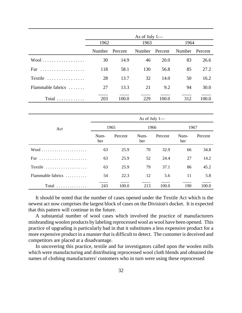|                           | As of July 1— |         |      |                |                |       |
|---------------------------|---------------|---------|------|----------------|----------------|-------|
|                           | 1962          |         | 1963 |                | 1964           |       |
|                           | Number        | Percent |      | Number Percent | Number Percent |       |
| $Wool$                    | 30            | 14.9    | 46   | 20.0           | 83             | 26.6  |
| .<br>Fur                  | 118           | 58.1    | 130  | 56.8           | 85             | 27.2  |
| Textile                   | 28            | 13.7    | 32   | 14.0           | 50             | 16.2  |
| Flammable fabrics         | 27            | 13.3    | 21   | 9.2            | 94             | 30.0  |
| $Total \dots \dots \dots$ | 203           | 100.0   | 229  | 100.0          | 312            | 100.0 |

|                                                  | As of July $1-$ |         |             |         |             |         |
|--------------------------------------------------|-----------------|---------|-------------|---------|-------------|---------|
| Act                                              | 1965            |         | 1966        |         | 1967        |         |
|                                                  | Num-<br>ber     | Percent | Num-<br>ber | Percent | Num-<br>ber | Percent |
| $Wood \dots \dots \dots \dots \dots \dots \dots$ | 63              | 25.9    | 70          | 32.9    | 66          | 34.8    |
|                                                  | 63              | 25.9    | 52          | 24.4    | 27          | 14.2    |
| Textile                                          | 63              | 25.9    | 79          | 37.1    | 86          | 45.2    |
| Flammable fabrics $\ldots \ldots \ldots$         | 54              | 22.3    | 12          | 5.6     | 11          | 5.8     |
| $Total$                                          | 243             | 100.0   | 213         | 100.0   | 190         | 100.0   |

It should be noted that the number of cases opened under the Textile Act which is the newest act now comprises the largest block of cases on the Division's docket. It is expected that this pattern will continue in the future.

A substantial number of wool cases which involved the practice of manufacturers misbranding woolen products by labeling reprocessed wool as wool have been opened. This practice of upgrading is particularly bad in that it substitutes a less expensive product for a more expensive product in a manner that is difficult to detect. The customer is deceived and competitors are placed at a disadvantage.

In uncovering this practice, textile and fur investigators called upon the woolen mills which were manufacturing and distributing reprocessed wool cloth blends and obtained the names of clothing manufacturers' customers who in turn were using these reprocessed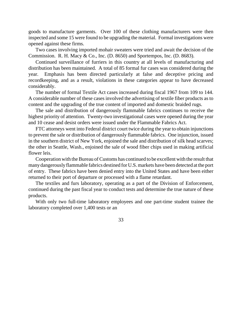goods to manufacture garments. Over 100 of these clothing manufacturers were then inspected and some 15 were found to be upgrading the material. Formal investigations were opened against these firms.

Two cases involving imported mohair sweaters were tried and await the decision of the Commission. R. H. Macy & Co., Inc. (D. 8650) and Sportempos, Inc. (D. 8683).

Continued surveillance of furriers in this country at all levels of manufacturing and distribution has been maintained. A total of 85 formal fur cases was considered during the year. Emphasis has been directed particularly at false and deceptive pricing and recordkeeping, and as a result, violations in these categories appear to have decreased considerably.

The number of formal Textile Act cases increased during fiscal 1967 from 109 to 144. A considerable number of these cases involved the advertising of textile fiber products as to content and the upgrading of the true content of imported and domestic braided rugs.

The sale and distribution of dangerously flammable fabrics continues to receive the highest priority of attention. Twenty-two investigational cases were opened during the year and 10 cease and desist orders were issued under the Flammable Fabrics Act.

FTC attorneys went into Federal district court twice during the year to obtain injunctions to prevent the sale or distribution of dangerously flammable fabrics. One injunction, issued in the southern district of New York, enjoined the sale and distribution of silk head scarves; the other in Seattle, Wash., enjoined the sale of wood fiber chips used in making artificial flower leis.

Cooperation with the Bureau of Customs has continued to be excellent with the result that manydangerouslyflammable fabrics destined for U.S.markets have been detected at the port of entry. These fabrics have been denied entry into the United States and have been either returned to their port of departure or processed with a flame retardant.

The textiles and furs laboratory, operating as a part of the Division of Enforcement, continued during the past fiscal year to conduct tests and determine the true nature of these products.

With only two full-time laboratory employees and one part-time student trainee the laboratory completed over 1,400 tests or an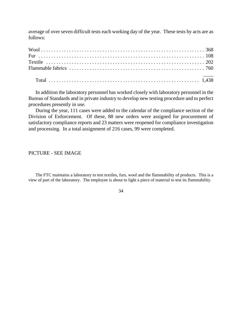average of over seven difficult tests each working day of the year. These tests by acts are as follows:

In addition the laboratory personnel has worked closely with laboratory personnel in the Bureau of Standards and in private industry to develop new testing procedure and to perfect procedures presently in use.

During the year, 111 cases were added to the calendar of the compliance section of the Division of Enforcement. Of these, 88 new orders were assigned for procurement of satisfactory compliance reports and 23 matters were reopened for compliance investigation and processing. In a total assignment of 216 cases, 99 were completed.

# PICTURE - SEE IMAGE

The FTC maintains a laboratory to test textiles, furs, wool and the flammability of products. This is a view of part of the laboratory. The employee is about to light a piece of material to test its flammability.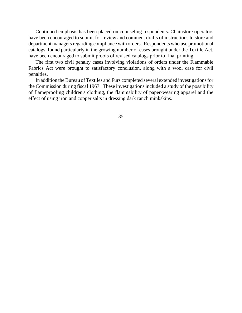Continued emphasis has been placed on counseling respondents. Chainstore operators have been encouraged to submit for review and comment drafts of instructions to store and department managers regarding compliance with orders. Respondents who use promotional catalogs, found particularly in the growing number of cases brought under the Textile Act, have been encouraged to submit proofs of revised catalogs prior to final printing.

The first two civil penalty cases involving violations of orders under the Flammable Fabrics Act were brought to satisfactory conclusion, along with a wool case for civil penalties.

In addition the Bureau of Textiles and Furs completed several extended investigations for the Commission during fiscal 1967. These investigations included a study of the possibility of flameproofing children's clothing, the flammability of paper-wearing apparel and the effect of using iron and copper salts in dressing dark ranch minkskins.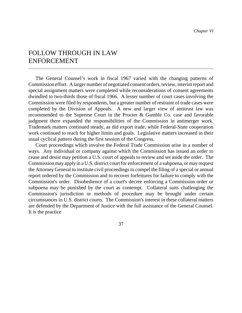# FOLLOW THROUGH IN LAW ENFORCEMENT

The General Counsel's work in fiscal 1967 varied with the changing patterns of Commission effort. A larger number of negotiated consent orders, review, interim report and special assignment matters were completed while reconsiderations of consent agreements dwindled to two-thirds those of fiscal 1966. A lesser number of court cases involving the Commission were filed by respondents, but a greater number of restraint of trade cases were completed by the Division of Appeals. A new and larger view of antitrust law was recommended to the Supreme Court in the Procter & Gamble Co. case and favorable judgment there expanded the responsibilities of the Commission in antimerger work. Trademark matters continued steady, as did export trade, while Federal-State cooperation work continued to reach for higher limits and goals. Legislative matters increased in their usual cyclical pattern during the first session of the Congress.

Court proceedings which involve the Federal Trade Commission arise in a number of ways. Any individual or company against which the Commission has issued an order to cease and desist may petition a U.S. court of appeals to review and set aside the order. The Commission may apply in a U.S. district court for enforcement of a subpoena, or may request the Attorney General to institute civil proceedings to compel the filing of a special or annual report ordered by the Commission and to recover forfeitures for failure to comply with the Commission's order. Disobedience of a court's decree enforcing a Commission order or subpoena may be punished by the court as contempt. Collateral suits challenging the Commission's jurisdiction or methods of procedure may be brought under certain circumstances in U.S. district courts. The Commission's interest in these collateral matters are defended by the Department of Justice with the full assistance of the General Counsel. It is the practice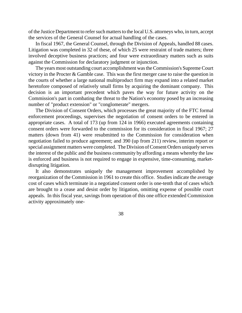of the Justice Department to refer such matters to the local U.S. attorneys who, in turn, accept the services of the General Counsel for actual handling of the cases.

In fiscal 1967, the General Counsel, through the Division of Appeals, handled 88 cases. Litigation was completed in 32 of these, of which 25 were restraint of trade matters; three involved deceptive business practices; and four were extraordinary matters such as suits against the Commission for declaratory judgment or injunction.

The years most outstanding court accomplishment wastheCommission's Supreme Court victory in the Procter & Gamble case. This was the first merger case to raise the question in the courts of whether a large national multiproduct firm may expand into a related market heretofore composed of relatively small firms by acquiring the dominant company. This decision is an important precedent which paves the way for future activity on the Commission's part in combating the threat to the Nation's economy posed by an increasing number of "product extension" or "conglomerate" mergers.

The Division of Consent Orders, which processes the great majority of the FTC formal enforcement proceedings, supervises the negotiation of consent orders to be entered in appropriate cases. A total of 173 (up from 124 in 1966) executed agreements containing consent orders were forwarded to the commission for its consideration in fiscal 1967; 27 matters (down from 41) were resubmitted to the Commission for consideration when negotiation failed to produce agreement; and 390 (up from 211) review, interim report or special assignment matters were completed. The Division of Consent Orders uniquely serves the interest of the public and the business community by affording a means whereby the law is enforced and business is not required to engage in expensive, time-consuming, marketdisrupting litigation.

It also demonstrates uniquely the management improvement accomplished by reorganization of the Commission in 1961 to create this office. Studies indicate the average cost of cases which terminate in a negotiated consent order is one-tenth that of cases which are brought to a cease and desist order by litigation, omitting expense of possible court appeals. In this fiscal year, savings from operation of this one office extended Commission activity approximately one-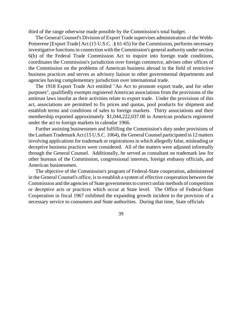third of the range otherwise made possible by the Commission's total budget.

The General Counsel's Division of Export Trade supervises administration of the Webb-Pomerene [Export Trade] Act (15 U.S.C. .§ 61-65) for the Commission, performs necessary investigative functions in connection with the Commission's general authority under section 6(h) of the Federal Trade Commission Act to inquire into foreign trade conditions, coordinates the Commission's jurisdiction over foreign commerce, advises other offices of the Commission on the problems of American business abroad in the field of restrictive business practices and serves as advisory liaison to other governmental departments and agencies having complementary jurisdiction over international trade.

The 1918 Export Trade Act entitled "An Act to promote export trade, and for other purposes", qualifiedly exempts registered American associations from the provisions of the antitrust laws insofar as their activities relate to export trade. Under the provisions of this act, associations are permitted to fix prices and quotas, pool products for shipment and establish terms and conditions of sales to foreign markets. Thirty associations and their membership exported approximately \$1,044,222,037.00 in American products registered under the act to foreign markets in calendar 1966.

Further assisting businessmen and fulfilling the Commission's duty under provisions of the LanhamTrademark Act (15 U.S.C. 1064), the GeneralCounsel participated in 12 matters involving applications for trademark or registrations in which allegedly false, misleading or deceptive business practices were considered. All of the matters were adjusted informally through the General Counsel. Additionally, he served as consultant on trademark law for other bureaus of the Commission, congressional interests, foreign embassy officials, and American businessmen.

The objective of the Commission's program of Federal-State cooperation, administered in the General Counsel's office, is to establish a system of effective cooperation between the Commission and the agencies of State governments to correct unfair methods of competition or deceptive acts or practices which occur at State level. The Office of Federal-State Cooperation in fiscal 1967 exhibited the expanding growth incident to the provision of a necessary service to consumers and State authorities. During that time, State officials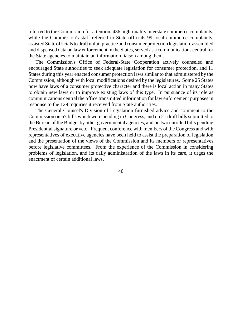referred to the Commission for attention, 436 high-quality interstate commerce complaints, while the Commission's staff referred to State officials 99 local commerce complaints, assisted State officials to draft unfair practice and consumer protection legislation, assembled and dispensed data on law enforcement in the States, served as a communications central for the State agencies to maintain an information liaison among them.

The Commission's Office of Federal-State Cooperation actively counseled and encouraged State authorities to seek adequate legislation for consumer protection, and 11 States during this year enacted consumer protection laws similar to that administered by the Commission, although with local modifications desired by the legislatures. Some 25 States now have laws of a consumer protective character and there is local action in many States to obtain new laws or to improve existing laws of this type. In pursuance of its role as communications central the office transmitted information for law enforcement purposes in response to the 129 inquiries it received from State authorities.

The General Counsel's Division of Legislation furnished advice and comment to the Commission on 67 bills which were pending in Congress, and on 21 draft bills submitted to the Bureau of the Budget by other governmental agencies, and on two enrolled bills pending Presidential signature or veto. Frequent conference with members of the Congress and with representatives of executive agencies have been held to assist the preparation of legislation and the presentation of the views of the Commission and its members or representatives before legislative committees. From the experience of the Commission in considering problems of legislation, and its daily administration of the laws in its care, it urges the enactment of certain additional laws.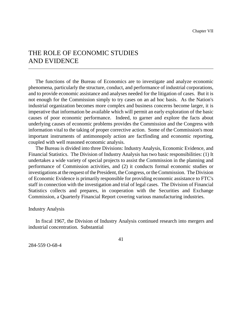# THE ROLE OF ECONOMIC STUDIES AND EVIDENCE

The functions of the Bureau of Economics are to investigate and analyze economic phenomena, particularly the structure, conduct, and performance of industrial corporations, and to provide economic assistance and analyses needed for the litigation of cases. But it is not enough for the Commission simply to try cases on an ad hoc basis. As the Nation's industrial organization becomes more complex and business concerns become larger, it is imperative that information be available which will permit an early exploration of the basic causes of poor economic performance. Indeed, to garner and explore the facts about underlying causes of economic problems provides the Commission and the Congress with information vital to the taking of proper corrective action. Some of the Commission's most important instruments of antimonopoly action are factfinding and economic reporting, coupled with well reasoned economic analysis.

The Bureau is divided into three Divisions: Industry Analysis, Economic Evidence, and Financial Statistics. The Division of Industry Analysis has two basic responsibilities: (1) It undertakes a wide variety of special projects to assist the Commission in the planning and performance of Commission activities, and (2) it conducts formal economic studies or investigations at the request of the President, the Congress, or the Commission. The Division of Economic Evidence is primarily responsible for providing economic assistance to FTC's staff in connection with the investigation and trial of legal cases. The Division of Financial Statistics collects and prepares, in cooperation with the Securities and Exchange Commission, a Quarterly Financial Report covering various manufacturing industries.

#### Industry Analysis

In fiscal 1967, the Division of Industry Analysis continued research into mergers and industrial concentration. Substantial

284-559 O-68-4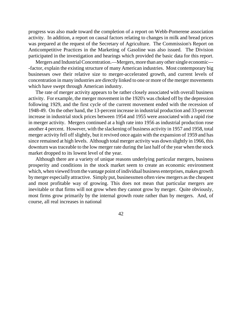progress was also made toward the completion of a report on Webb-Pomerene association activity. In addition, a report on causal factors relating to changes in milk and bread prices was prepared at the request of the Secretary of Agriculture. The Commission's Report on Anticompetitive Practices in the Marketing of Gasoline was also issued. The Division participated in the investigation and hearings which provided the basic data for this report.

Mergers and Industrial Concentration.—Mergers, more than any other single economic--- -factor, explain the existing structure of many American industries. Most contemporary big businesses owe their relative size to merger-accelerated growth, and current levels of concentration in many industries are directly linked to one or more of the merger movements which have swept through American industry.

The rate of merger activity appears to be rather closely associated with overall business activity. For example, the merger movement in the 1920's was choked off by the depression following 1929, and the first cycle of the current movement ended with the recession of 1948-49. On the other hand, the 13-percent increase in industrial production and 33-percent increase in industrial stock prices between 1954 and 1955 were associated with a rapid rise in merger activity. Mergers continued at a high rate into 1956 as industrial production rose another 4 percent. However, with the slackening of business activity in 1957 and 1958, total merger activity fell off slightly, but it revived once again with the expansion of 1959 and has since remained at high levels. Although total merger activity was down slightly in 1966, this downturn was traceable to the low merger rate during the last half of the year when the stock market dropped to its lowest level of the year.

Although there are a variety of unique reasons underlying particular mergers, business prosperity and conditions in the stock market seem to create an economic environment which, when viewed from the vantage point of individual business enterprises, makes growth bymerger especially attractive. Simply put, businessmen often view mergers as the cheapest and most profitable way of growing. This does not mean that particular mergers are inevitable or that firms will not grow when they cannot grow by merger. Quite obviously, most firms grow primarily by the internal growth route rather than by mergers. And, of course, all real increases in national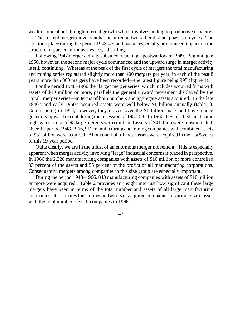wealth come about through internal growth which involves adding to productive capacity.

The current merger movement has occurred in two rather distinct phases or cycles. The first took place during the period 1943-47, and had an especially pronounced impact on the structure of particular industries, e.g., distilling.

Following 1947 merger activity subsided, reaching a postwar low in 1949. Beginning in 1950, however, the second major cycle commenced and the upward surge in merger activity is still continuing. Whereas at the peak of the first cycle of mergers the total manufacturing and mining series registered slightly more than 400 mergers per year, in each of the past 8 years more than 800 mergers have been recorded—the latest figure being 995 (figure 1).

For the period 1948–1966 the "large" merger series, which includes acquired firms with assets of \$10 million or more, parallels the general upward movement displayed by the "total" merger series—in terms of both numbers and aggregate assets acquired. In the late 1940's and early 1950's acquired assets were well below \$1 billion annually (table 1). Commencing in 1954, however, they moved over the \$1 billion mark and have tended generally upward except during the recession of 1957-58. In 1966 they reached an all-time high, when a total of 98 large mergers with combined assets of \$4 billion were consummated. Over the period 1948-1966, 912 manufacturing and mining companies with combined assets of \$31 billion were acquired. About one-half of these assets were acquired in the last 5 years of this 19-year period.

Quite clearly, we are in the midst of an enormous merger movement. This is especially apparent when merger activity involving "large" industrial concernsis placed in perspective. In 1966 the 2,320 manufacturing companies with assets of \$10 million or more controlled 83 percent of the assets and 85 percent of the profits of all manufacturing corporations. Consequently, mergers among companies in this size group are especially important.

During the period 1948–1966, 843 manufacturing companies with assets of \$10 million or more were acquired. Table 2 provides an insight into just how significant these large mergers have been in terms of the total number and assets of all large manufacturing companies. It compares the number and assets of acquired companies in various size classes with the total number of such companies in 1966.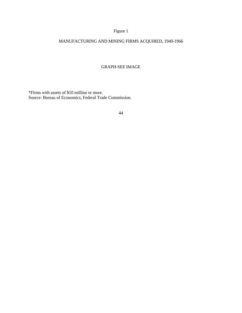# Figure 1

# MANUFACTURING AND MINING FIRMS ACQUIRED, 1940-1966

#### GRAPH-SEE IMAGE

\*Firms with assets of \$10 million or more. Source: Bureau of Economics, Federal Trade Commission.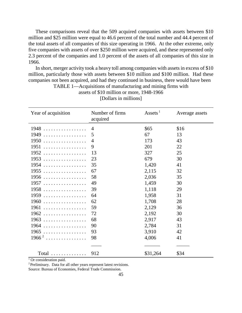These comparisons reveal that the 509 acquired companies with assets between \$10 million and \$25 million were equal to 46.6 percent of the total number and 44.4 percent of the total assets of all companies of this size operating in 1966. At the other extreme, only five companies with assets of over \$250 million were acquired, and these represented only 2.3 percent of the companies and 1.0 percent of the assets of all companies of this size in 1966.

In short, merger activity took a heavy toll among companies with assets in excess of \$10 million, particularly those with assets between \$10 million and \$100 million. Had these companies not been acquired, and had they continued in business, there would have been

| Year of acquisition | Number of firms<br>acquired | Assets $1$ | Average assets |
|---------------------|-----------------------------|------------|----------------|
| 1948<br>.           | $\overline{4}$              | \$65       | \$16           |
| 1949<br>.           | 5                           | 67         | 13             |
| 1950<br>.           | 4                           | 173        | 43             |
| 1951<br>.           | 9                           | 201        | 22             |
| 1952<br>.           | 13                          | 327        | 25             |
| 1953                | 23                          | 679        | 30             |
| 1954<br>.           | 35                          | 1,420      | 41             |
| $1955$              | 67                          | 2,115      | 32             |
| 1956                | 58                          | 2,036      | 35             |
| 1957                | 49                          | 1,459      | 30             |
| 1958                | 39                          | 1,118      | 29             |
| 1959                | 64                          | 1,958      | 31             |
| 1960                | 62                          | 1,708      | 28             |
| 1961<br>.           | 59                          | 2,129      | 36             |
| 1962                | 72                          | 2,192      | 30             |
| 1963                | 68                          | 2,917      | 43             |
| 1964                | 90                          | 2,784      | 31             |
| 1965                | 93                          | 3,910      | 42             |
| $1966^2$            | 98                          | 4,006      | 41             |
|                     |                             |            |                |
| $Total$             | 912                         | \$31,264   | \$34           |

TABLE 1—Acquisitions of manufacturing and mining firms with assets of \$10 million or more, 1948-1966 [Dollars in millions]

<sup>1</sup> Or consideration paid.

<sup>2</sup> Preliminary. Data for all other years represent latest revisions.

Source: Bureau of Economies, Federal Trade Commission.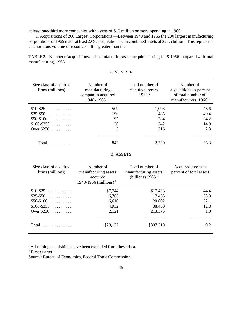at least one-third more companies with assets of \$10 million or more operating in 1966.

1. Acquisitions of 200 Largest Corporations.—Between 1948 and 1965 the 200 largest manufacturing corporations of 1965 made at least 2,692 acquisitions with combined assets of \$21.5 billion. This represents an enormous volume of resources. It is greater than the

TABLE 2.--Number of acquisitions and manufacturing assets acquired during 1948-1966 compared with total manufacturing, 1966

| Size class of acquired<br>firms (millions) | Number of<br>manufacturing<br>companies acquired<br>1948-1966 <sup>1</sup> | Total number of<br>manufacturerers,<br>1966 <sup>2</sup> | Number of<br>acquisitions as percent<br>of total number of<br>manufacturers, $1966^2$ |  |
|--------------------------------------------|----------------------------------------------------------------------------|----------------------------------------------------------|---------------------------------------------------------------------------------------|--|
| $$10-$25$                                  | 509                                                                        | 1,093                                                    | 46.6                                                                                  |  |
| $$25 - $50$                                | 196                                                                        | 485                                                      | 40.4                                                                                  |  |
| $$50-$100$                                 | 97                                                                         | 284                                                      | 34.2                                                                                  |  |
| $$100 - $250$                              | 36                                                                         | 242                                                      | 14.9                                                                                  |  |
| Over $$250$                                | 5                                                                          | 216                                                      | 2.3                                                                                   |  |
|                                            |                                                                            |                                                          |                                                                                       |  |
| Total<br>. . <b>.</b> .                    | 843                                                                        | 2.320                                                    | 36.3                                                                                  |  |

### A. NUMBER

|  | <b>B. ASSETS</b> |
|--|------------------|
|--|------------------|

| Size class of acquired<br>firms (millions) | Number of<br>manufacturing assets<br>acquired<br>1948-1966 (millions) <sup>1</sup> | Total number of<br>manufacturing assets<br>(billions) $19662$ | Acquired assets as<br>percent of total assets |
|--------------------------------------------|------------------------------------------------------------------------------------|---------------------------------------------------------------|-----------------------------------------------|
| $$10-$25$                                  | \$7,744                                                                            | \$17,428                                                      | 44.4                                          |
| $$25 - $50$                                | 6,765                                                                              | 17,455                                                        | 38.8                                          |
| $$50-$100$                                 | 6,610                                                                              | 20,602                                                        | 32.1                                          |
| $$100 - $250$                              | 4,932                                                                              | 38,450                                                        | 12.8                                          |
| Over $$250$                                | 2,121                                                                              | 213,375                                                       | 1.0                                           |
|                                            |                                                                                    |                                                               |                                               |
| $Total \dots \dots \dots \dots$            | \$28,172                                                                           | \$307,310                                                     | 9.2                                           |

<sup>1</sup> All mining acquisitions have been excluded from these data.

<sup>2</sup> First quarter.

Source: Bureau of Economics, Federal Trade Commission.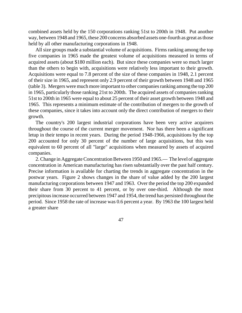combined assets held by the 150 corporations ranking 51st to 200th in 1948. Put another way, between 1948 and 1965, these 200 concerns absorbed assets one-fourth as great asthose held by all other manufacturing corporations in 1948.

All size groups made a substantial volume of acquisitions. Firms ranking among the top five companies in 1965 made the greatest volume of acquisitions measured in terms of acquired assets (about \$180 million each). But since these companies were so much larger than the others to begin with, acquisitions were relatively less important to their growth. Acquisitions were equal to 7.8 percent of the size of these companies in 1948, 2.1 percent of their size in 1965, and represent only 2.9 percent of their growth between 1948 and 1965 (table 3). Mergers were much more important to other companies ranking among the top 200 in 1965, particularly those ranking 21st to 200th. The acquired assets of companies ranking 51st to 200th in 1965 were equal to about 25 percent of their asset growth between 1948 and 1965. This represents a minimum estimate of the contribution of mergers to the growth of these companies, since it takes into account only the direct contribution of mergers to their growth.

The country's 200 largest industrial corporations have been very active acquirers throughout the course of the current merger movement. Nor has there been a significant letup in their tempo in recent years. During the period 1948-1966, acquisitions by the top 200 accounted for only 30 percent of the number of large acquisitions, but this was equivalent to 60 percent of all "large" acquisitions when measured by assets of acquired companies.

2. Change in Aggregate Concentration Between 1950 and 1965.— The level of aggregate concentration in American manufacturing has risen substantially over the past half century. Precise information is available for charting the trends in aggregate concentration in the postwar years. Figure 2 shows changes in the share of value added by the 200 largest manufacturing corporations between 1947 and 1963. Over the period the top 200 expanded their share from 30 percent to 41 percent, or by over one-third. Although the most precipitousincrease occurred between 1947 and 1954, the trend has persisted throughout the period. Since 1958 the rate of increase was 0.6 percent a year. By 1963 the 100 largest held a greater share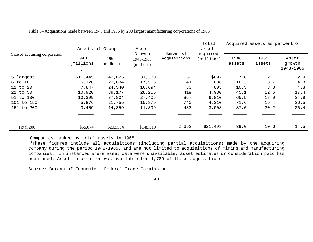| Size of acquiring corporation 1 | Assets of Group   |                    | Asset                             | Number of<br>Acquisitions | Total<br>assets<br>acquired <sup>2</sup><br>(mins) | Acquired assets as percent of: |                |                              |  |
|---------------------------------|-------------------|--------------------|-----------------------------------|---------------------------|----------------------------------------------------|--------------------------------|----------------|------------------------------|--|
|                                 | 1948<br>(millions | 1965<br>(millions) | Growth<br>1948-1965<br>(millions) |                           |                                                    | 1948<br>assets                 | 1965<br>assets | Asset<br>growth<br>1948-1965 |  |
| 5 largest                       | \$11,445          | \$42,825           | \$31,380                          | 62                        | \$897                                              | 7.8                            | 2.1            | 2.9                          |  |
| 6 to 10                         | 5,128             | 22,634             | 17,506                            | 41                        | 838                                                | 16.3                           | 3.7            | 4.8                          |  |
| 20<br>$11$ to                   | 7,847             | 24,540             | 16,694                            | 80                        | 805                                                | 10.3                           | 3.3            | 4.8                          |  |
| 21 to 50                        | 10,920            | 39,177             | 28,256                            | 419                       | 4,930                                              | 45.1                           | 12.6           | 17.4                         |  |
| 51 to 100                       | 10,399            | 37,804             | 27,405                            | 867                       | 6,810                                              | 65.5                           | 18.0           | 24.9                         |  |
| 101 to 150                      | 5,876             | 21,755             | 15,879                            | 740                       | 4,210                                              | 71.6                           | 19.4           | 26.5                         |  |
| 151<br>to 200                   | 3,459             | 14,859             | 11,399                            | 483                       | 3,008                                              | 87.0                           | 20.2           | 26.4                         |  |
|                                 |                   |                    |                                   |                           |                                                    |                                |                |                              |  |
| Total 200                       | \$55,074          | \$203,594          | \$148,519                         | 2,692                     | \$21,498                                           | 39.0                           | 10.6           | 14.5                         |  |

Table 3--Acquisitions made between 1948 and 1965 by 200 largest manufacturing corporations of 1965

<sup>1</sup>Companies ranked by total assets in 1965.

<sup>2</sup>These figures include all acquisitions (including partial acquisitions) made by the acquiring company during the period 1948-1965, and are not limited to acquisitions of mining and manufacturing companies. In instances where asset data were unavailable, asset estimates or consideration paid has been used. Asset information was available for 1,789 of these acquisitions

Source: Bureau of Economics, Federal Trade Commission.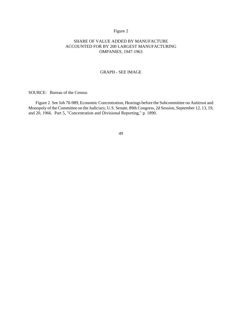# Figure 2

### SHARE OF VALUE ADDED BY MANUFACTURE ACCOUNTED FOR BY 200 LARGEST MANUFACTURING OMPANIES, 1947-1963

#### GRAPH - SEE IMAGE

SOURCE: Bureau of the Census

Figure 2. See Job 70-989, Economic Concentration, Hearings before the Subcommittee on Antitrust and Monopoly of the Committee on the Judiciary, U.S. Senate, 89th Congress, 2d Session, September 12, 13, 19, and 20, 1966. Part 5, "Concentration and Divisional Reporting," p. 1890.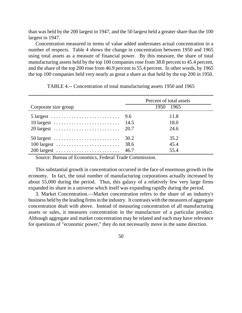than was held by the 200 largest in 1947, and the 50 largest held a greater share than the 100 largest in 1947.

Concentration measured in terms of value added understates actual concentration in a number of respects. Table 4 shows the change in concentration between 1950 and 1965 using total assets as a measure of financial power. By this measure, the share of total manufacturing assets held by the top 100 companies rose from 38.8 percent to 45.4 percent, and the share of the top 200 rose from 46.9 percent to 55.4 percent. In other words, by 1965 the top 100 companies held very nearly as great a share as that held by the top 200 in 1950.

| Corporate size group                                                                                                                                                   |                      | Percent of total assets<br>1950 1965 |
|------------------------------------------------------------------------------------------------------------------------------------------------------------------------|----------------------|--------------------------------------|
| $5 \text{ largest} \dots \dots \dots \dots \dots \dots \dots \dots \dots \dots \quad 9.6$<br>20 largest $\ldots \ldots \ldots \ldots \ldots \ldots \ldots \ldots$ 20.7 |                      | 11.8<br>18.0<br>24.6                 |
| 50 largest $\ldots \ldots \ldots \ldots \ldots \ldots \ldots$<br>$100$ largest<br>$200$ largest                                                                        | 30.2<br>38.6<br>46.7 | 35.2<br>45.4<br>55.4                 |

TABLE 4.-- Concentration of total manufacturing assets 1950 and 1965

Source: Bureau of Economics, Federal Trade Commission.

This substantial growth in concentration occurred in the face of enormous growth in the economy. In fact, the total number of manufacturing corporations actually increased by about 55,000 during the period. Thus, this galaxy of a relatively few very large firms expanded its share in a universe which itself was expanding rapidly during the period.

3. Market Concentration.—Market concentration refers to the share of an industry's business held by the leading firms in the industry. It contrasts with the measures of aggregate concentration dealt with above. Instead of measuring concentration of all manufacturing assets or sales, it measures concentration in the manufacture of a particular product. Although aggregate and market concentration may be related and each may have relevance for questions of "economic power," they do not necessarily move in the same direction.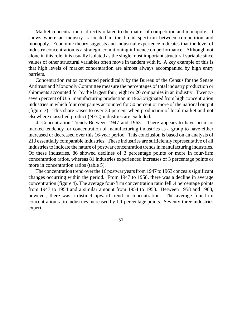Market concentration is directly related to the matter of competition and monopoly. It shows where an industry is located in the broad spectrum between competition and monopoly. Economic theory suggests and industrial experience indicates that the level of industry concentration is a strategic conditioning influence on performance. Although not alone in this role, it is usually isolated as the single most important structural variable since values of other structural variables often move in tandem with it. A key example of this is that high levels of market concentration are almost always accompanied by high entry barriers.

Concentration ratios computed periodically by the Bureau of the Census for the Senate Antitrust and Monopoly Committee measure the percentages of total industry production or shipments accounted for by the largest four, eight or 20 companies in an industry. Twentyseven percent of U.S. manufacturing production in 1963 originated from high concentration industries in which four companies accounted for 50 percent or more of the national output (figure 3). This share raises to over 30 percent when production of local market and not elsewhere classified product (NEC) industries are excluded.

4. Concentration Trends Between 1947 and 1963.—There appears to have been no marked tendency for concentration of manufacturing industries as a group to have either increased or decreased over this 16-year period. This conclusion is based on an analysis of 213 essentially comparable industries. These industries are sufficiently representative of all industries to indicate the nature of postwar concentration trends in manufacturing industries. Of these industries, 86 showed declines of 3 percentage points or more in four-firm concentration ratios, whereas 81 industries experienced increases of 3 percentage points or more in concentration ratios (table 5).

The concentration trend over the 16 postwar years from 1947 to 1963 conceals significant changes occurring within the period. From 1947 to 1958, there was a decline in average concentration (figure 4). The average four-firm concentration ratio fell .4 percentage points from 1947 to 1954 and a similar amount from 1954 to 1958. Between 1958 and 1963, however, there was a distinct upward trend in concentration. The average four-firm concentration ratio industries increased by 1.1 percentage points. Seventy-three industries experi-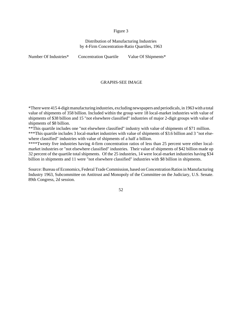#### Figure 3

### Distribution of Manufacturing Industries by 4-Firm Concentration-Ratio Quartiles, 1963

Number Of Industries\* Concentration Quartile Value Of Shipments\*

#### GRAPHS-SEE IMAGE

\*Therewere 415 4-digitmanufacturing industries, excluding newspapers and periodicals, in 1963with a total value of shipments of 358 billion. Included within the group were 18 local-market industries with value of shipments of \$38 billion and 15 "not elsewhere classified" industries of major 2-digit groups with value of shipments of \$8 billion.

\*\*This quartile includes one "not elsewhere classified" industry with value of shipments of \$71 million. \*\*\*This quartile includes 3 local-market industries with value of shipments of \$3.6 billion and 3 "not elsewhere classified" industries with value of shipments of a half a billion.

\*\*\*\*Twenty five industries having 4-firm concentration ratios of less than 25 percent were either localmarket industries or "not elsewhere classified" industries. Their value of shipments of \$42 billion made up 32 percent of the quartile total shipments. Of the 25 industries, 14 were local-market industries having \$34 billion in shipments and 11 were "not elsewhere classified" industries with \$8 billion in shipments.

Source: Bureau of Economics, Federal Trade Commission, based on Concentration Ratios in Manufacturing Industry 1963, Subcommittee on Antitrust and Monopoly of the Committee on the Judiciary, U.S. Senate. 89th Congress, 2d session.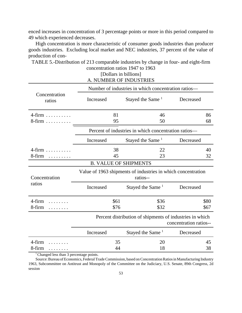enced increases in concentration of 3 percentage points or more in this period compared to 49 which experienced decreases.

High concentration is more characteristic of consumer goods industries than producer goods industries. Excluding local market and NEC industries, 37 percent of the value of production of con-

|                                                                                           | [Dollars in billions]<br>A. NUMBER OF INDUSTRIES    |                                                      |                                                                                    |  |  |  |
|-------------------------------------------------------------------------------------------|-----------------------------------------------------|------------------------------------------------------|------------------------------------------------------------------------------------|--|--|--|
|                                                                                           | Number of industries in which concentration ratios— |                                                      |                                                                                    |  |  |  |
| Concentration<br>ratios                                                                   | Increased                                           | Stayed the Same <sup>1</sup>                         | Decreased                                                                          |  |  |  |
| $4$ -firm<br>8-firm                                                                       | 81<br>46<br>95<br>50                                |                                                      | 86<br>68                                                                           |  |  |  |
|                                                                                           |                                                     | Percent of industries in which concentration ratios- |                                                                                    |  |  |  |
|                                                                                           | Increased                                           | Stayed the Same <sup>1</sup>                         | Decreased                                                                          |  |  |  |
| $4$ -firm<br>8-firm                                                                       | 38<br>22<br>45<br>23                                |                                                      | 40<br>32                                                                           |  |  |  |
| <b>B. VALUE OF SHIPMENTS</b>                                                              |                                                     |                                                      |                                                                                    |  |  |  |
| Value of 1963 shipments of industries in which concentration<br>Concentration<br>ratios-- |                                                     |                                                      |                                                                                    |  |  |  |
| ratios                                                                                    | Increased                                           | Stayed the Same <sup>1</sup>                         | Decreased                                                                          |  |  |  |
| 4-firm<br>8-firm                                                                          | \$61<br>\$76                                        | \$36<br>\$32                                         | \$80<br>\$67                                                                       |  |  |  |
|                                                                                           |                                                     |                                                      | Percent distribution of shipments of industries in which<br>concentration ratios-- |  |  |  |
|                                                                                           | Increased                                           | Stayed the Same <sup>1</sup>                         | Decreased                                                                          |  |  |  |
| 4-firm<br>8-firm<br>.                                                                     | 35<br>44                                            | 20<br>18                                             | 45<br>38                                                                           |  |  |  |

TABLE 5.-Distribution of 213 comparable industries by change in four- and eight-firm concentration ratios 1947 to 1963

<sup>1</sup> Changed less than 3 percentage points.

Source: Bureau of Economics, Federal Trade Commission, based on Concentration Ratios in Manufacturing Industry 1963, Subcommittee on Antitrust and Monopoly of the Committee on the Judiciary, U.S. Senate, 89th Congress, 2d session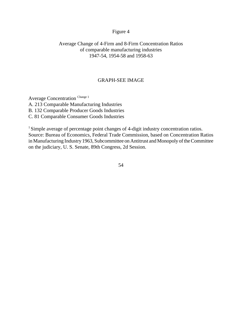# Figure 4

# Average Change of 4-Firm and 8-Firm Concentration Ratios of comparable manufacturing industries 1947-54, 1954-58 and 1958-63

# GRAPH-SEE IMAGE

Average Concentration Change 1 A. 213 Comparable Manufacturing Industries B. 132 Comparable Producer Goods Industries C. 81 Comparable Consumer Goods Industries

<sup>1</sup> Simple average of percentage point changes of 4-digit industry concentration ratios. Source: Bureau of Economics, Federal Trade Commission, based on Concentration Ratios inManufacturing Industry1963, Subcommittee on Antitrust and Monopoly of the Committee on the judiciary, U. S. Senate, 89th Congress, 2d Session.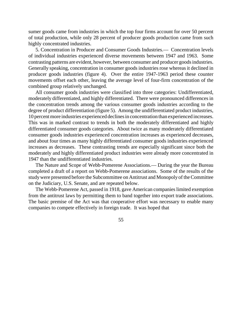sumer goods came from industries in which the top four firms account for over 50 percent of total production, while only 28 percent of producer goods production came from such highly concentrated industries.

5. Concentration in Producer and Consumer Goods Industries.— Concentration levels of individual industries experienced diverse movements between 1947 and 1963. Some contrasting patterns are evident, however, between consumer and producer goodsindustries. Generally speaking, concentration in consumer goods industries rose whereas it declined in producer goods industries (figure 4). Over the entire 1947-1963 period these counter movements offset each other, leaving the average level of four-firm concentration of the combined group relatively unchanged.

All consumer goods industries were classified into three categories: Undifferentiated, moderately differentiated, and highly differentiated. There were pronounced differences in the concentration trends among the various consumer goods industries according to the degree of product differentiation (figure 5). Among the undifferentiated product industries, 10 percent more industries experienced declines in concentration than experienced increases. This was in marked contrast to trends in both the moderately differentiated and highly differentiated consumer goods categories. About twice as many moderately differentiated consumer goods industries experienced concentration increases as experienced decreases, and about four times as many highly differentiated consumer goods industries experienced increases as decreases. These contrasting trends are especially significant since both the moderately and highly differentiated product industries were already more concentrated in 1947 than the undifferentiated industries.

The Nature and Scope of Webb-Pomerene Associations.— During the year the Bureau completed a draft of a report on Webb-Pomerene associations. Some of the results of the studywere presented before the Subcommittee on Antitrust and Monopoly of theCommittee on the Judiciary, U.S. Senate, and are repeated below.

The Webb-Pomerene Act, passed in 1918, gave American companies limited exemption from the antitrust laws by permitting them to band together into export trade associations. The basic premise of the Act was that cooperative effort was necessary to enable many companies to compete effectively in foreign trade. It was hoped that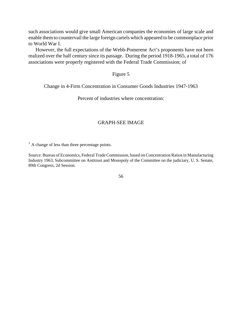such associations would give small American companies the economies of large scale and enable them to countervail the large foreign cartels which appeared to be commonplace prior to World War I.

However, the full expectations of the Webb-Pomerene Act's proponents have not been realized over the half century since its passage. During the period 1918-1965, a total of 176 associations were properly registered with the Federal Trade Commission; of

# Figure 5

Change in 4-Firm Concentration in Consumer Goods Industries 1947-1963

Percent of industries where concentration:

# GRAPH-SEE IMAGE

 $<sup>1</sup>$  A change of less than three percentage points.</sup>

Source: Bureau of Economics, Federal Trade Commission, based on Concentration Ratios in Manufacturing Industry 1963, Subcommittee on Antitrust and Monopoly of the Committee on the judiciary, U. S. Senate, 89th Congress, 2d Session.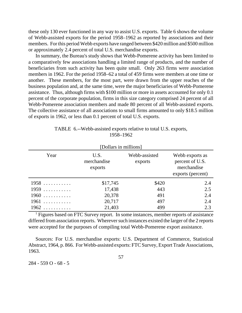these only 130 ever functioned in any way to assist U.S. exports. Table 6 shows the volume of Webb-assisted exports for the period 1958–1962 as reported by associations and their members. For this period Webb exports have ranged between \$420 million and \$500 million or approximately 2.4 percent of total U.S. merchandise exports.

In summary, the Bureau's study shows that Webb-Pomerene activity has been limited to a comparatively few associations handling a limited range of products, and the number of beneficiaries from such activity has been quite small. Only 263 firms were association members in 1962. For the period 1958–62 a total of 459 firms were members at one time or another. These members, for the most part, were drawn from the upper reaches of the business population and, at the same time, were the major beneficiaries of Webb-Pomerene assistance. Thus, although firms with \$100 million or more in assets accounted for only 0.1 percent of the corporate population, firms in this size category comprised 24 percent of all Webb-Pomerene association members and made 80 percent of all Webb-assisted exports. The collective assistance of all associations to small firms amounted to only \$18.5 million of exports in 1962, or less than 0.1 percent of total U.S. exports.

| TABLE 6.--Webb-assisted exports relative to total U.S. exports, |
|-----------------------------------------------------------------|
| 1958–1962                                                       |

| [Dollars in millions]                  |          |                          |                                                                        |  |  |  |
|----------------------------------------|----------|--------------------------|------------------------------------------------------------------------|--|--|--|
| Year<br>U.S.<br>merchandise<br>exports |          | Webb-assisted<br>exports | Webb exports as<br>percent of U.S.<br>merchandise<br>exports (percent) |  |  |  |
| 1958                                   | \$17,745 | \$420                    | 2.4                                                                    |  |  |  |
| 1959                                   | 17,438   | 443                      | 2.5                                                                    |  |  |  |
| 1960                                   | 20,378   | 491                      | 2.4                                                                    |  |  |  |
| $1961$                                 | 20,717   | 497                      | 2.4                                                                    |  |  |  |
| $1962$                                 | 21,403   | 499                      | 2.3                                                                    |  |  |  |

<sup>1</sup> Figures based on FTC Survey report. In some instances, member reports of assistance differed from association reports. Wherever such instances existed the larger of the 2 reports were accepted for the purposes of compiling total Webb-Pomerene export assistance.

Sources: For U.S. merchandise exports: U.S. Department of Commerce, Statistical Abstract, 1964, p. 866. For Webb-assisted exports: FTC Survey, Export Trade Associations, 1963.

284 - 559 O - 68 - 5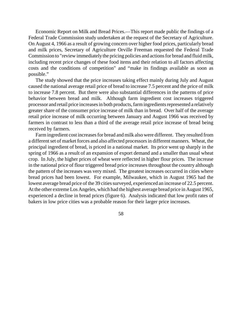Economic Report on Milk and Bread Prices.—This report made public the findings of a Federal Trade Commission study undertaken at the request of the Secretary of Agriculture. On August 4, 1966 as a result of growing concern over higher food prices, particularly bread and milk prices, Secretary of Agriculture Orville Freeman requested the Federal Trade Commission to "review immediately the pricing policies and actions for bread and fluid milk, including recent price changes of these food items and their relation to all factors affecting costs and the conditions of competition" and "make its findings available as soon as possible."

The study showed that the price increases taking effect mainly during July and August caused the national average retail price of bread to increase 7.5 percent and the price of milk to increase 7.8 percent. But there were also substantial differences in the patterns of price behavior between bread and milk. Although farm ingredient cost increases triggered processor and retail price increasesin both products, farm ingredients represented a relatively greater share of the consumer price increase of milk than in bread. Over half of the average retail price increase of milk occurring between January and August 1966 was received by farmers in contrast to less than a third of the average retail price increase of bread being received by farmers.

Farmingredient cost increasesfor bread and milk also were different. They resulted from a different set of market forces and also affected processors in different manners. Wheat, the principal ingredient of bread, is priced in a national market. Its price went up sharply in the spring of 1966 as a result of an expansion of export demand and a smaller than usual wheat crop. In July, the higher prices of wheat were reflected in higher flour prices. The increase in the national price of flour triggered bread price increases throughout the country although the pattern of the increases was very mixed. The greatest increases occurred in cities where bread prices had been lowest. For example, Milwaukee, which in August 1965 had the lowest average bread price of the 39 cities surveyed, experienced an increase of 22.5 percent. At the other extreme Los Angeles, which had the highest average bread price in August 1965, experienced a decline in bread prices (figure 6). Analysis indicated that low profit rates of bakers in low price cities was a probable reason for their larger price increases.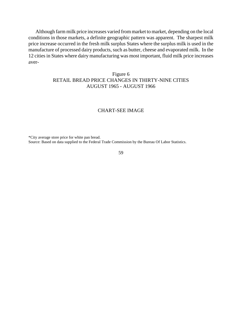Although farm milk price increases varied from market to market, depending on the local conditions in those markets, a definite geographic pattern was apparent. The sharpest milk price increase occurred in the fresh milk surplus States where the surplus milk is used in the manufacture of processed dairy products, such as butter, cheese and evaporated milk. In the 12 cities in States where dairy manufacturing was most important, fluid milk price increases aver-

# Figure 6 RETAIL BREAD PRICE CHANGES IN THIRTY-NINE CITIES AUGUST 1965 - AUGUST 1966

# CHART-SEE IMAGE

\*City average store price for white pan bread.

Source: Based on data supplied to the Federal Trade Commission by the Bureau Of Labor Statistics.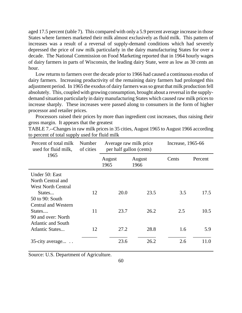aged 17.5 percent (table 7). This compared with only a 5.9 percent average increase in those States where farmers marketed their milk almost exclusively as fluid milk. This pattern of increases was a result of a reversal of supply-demand conditions which had severely depressed the price of raw milk particularly in the dairy manufacturing States for over a decade. The National Commission on Food Marketing reported that in 1964 hourly wages of dairy farmers in parts of Wisconsin, the leading dairy State, were as low as 30 cents an hour.

Low returns to farmers over the decade prior to 1966 had caused a continuous exodus of dairy farmers. Increasing productivity of the remaining dairy farmers had prolonged this adjustment period. In 1965 the exodus of dairy farmers was so great that milk production fell absolutely. This, coupled with growing consumption, brought about a reversal in the supplydemand situation particularly in dairy manufacturing States which caused raw milk pricesto increase sharply. These increases were passed along to consumers in the form of higher processor and retailer prices.

Processors raised their prices by more than ingredient cost increases, thus raising their gross margin. It appears that the greatest

TABLE 7.--Changes in raw milk prices in 35 cities, August 1965 to August 1966 according to percent of total supply used for fluid milk

| Percent of total milk<br>used for fluid milk,                    | Number<br>of cities | Average raw milk price<br>per half gallon (cents) |      | Increase, 1965-66 |         |  |  |
|------------------------------------------------------------------|---------------------|---------------------------------------------------|------|-------------------|---------|--|--|
| 1965                                                             |                     | August<br>August<br>1965<br>1966                  |      | Cents             | Percent |  |  |
| Under 50: East<br>North Central and<br><b>West North Central</b> |                     |                                                   |      |                   |         |  |  |
| States<br>50 to 90: South<br><b>Central and Western</b>          | 12                  | 20.0                                              | 23.5 | 3.5               | 17.5    |  |  |
| States<br>90 and over: North<br><b>Atlantic and South</b>        | 11                  | 23.7                                              | 26.2 | 2.5               | 10.5    |  |  |
| <b>Atlantic States</b>                                           | 12                  | 27.2                                              | 28.8 | 1.6               | 5.9     |  |  |
| 35-city average                                                  |                     | 23.6                                              | 26.2 | 2.6               | 11.0    |  |  |

Source: U.S. Department of Agriculture.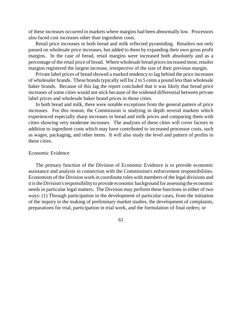of these increases occurred in markets where margins had been abnormally low. Processors also faced cost increases other than ingredient costs.

Retail price increases in both bread and milk reflected pyramiding. Retailers not only passed on wholesale price increases, but added to them by expanding their own gross profit margins. In the case of bread, retail margins were increased both absolutely and as a percentage of the retail price of bread. Where wholesale bread prices increased most, retailer margins registered the largest increase, irrespective of the size of their previous margin.

Private label prices of bread showed a marked tendency to lag behind the price increases of wholesaler brands. These brands typically sell for 2 to 5 cents a pound less than wholesale baker brands. Because of this lag the report concluded that it was likely that bread price increases of some cities would not stick because of the widened differential between private label prices and wholesale baker brand prices in those cities.

In both bread and milk, there were notable exceptions from the general pattern of price increases. For this reason, the Commission is studying in depth several markets which experienced especially sharp increases in bread and milk prices and comparing them with cities showing very moderate increases. The analyses of these cities will cover factors in addition to ingredient costs which may have contributed to increased processor costs, such as wages, packaging, and other items. It will also study the level and pattern of profits in these cities.

# Economic Evidence

The primary function of the Division of Economic Evidence is to provide economic assistance and analysis in connection with the Commission's enforcement responsibilities. Economists of the Division work in coordinate roles with members of the legal divisions and it is the Division's responsibility to provide economic background for assessing the economic needs in particular legal matters. The Division may perform these functions in either of two ways: (1) Through participation in the development of particular cases, from the initiation of the inquiry to the making of preliminary market studies, the development of complaints, preparations for trial, participation in trial work, and the formulation of final orders; or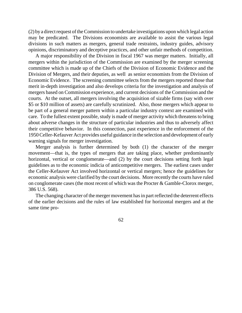$(2)$  by a direct request of the Commission to undertake investigations upon which legal action may be predicated. The Divisions economists are available to assist the various legal divisions in such matters as mergers, general trade restraints, industry guides, advisory opinions, discriminatory and deceptive practices, and other unfair methods of competition.

A major responsibility of the Division in fiscal 1967 was merger matters. Initially, all mergers within the jurisdiction of the Commission are examined by the merger screening committee which is made up of the Chiefs of the Division of Economic Evidence and the Division of Mergers, and their deputies, as well as senior economists from the Division of Economic Evidence. The screening committee selects from the mergers reported those that merit in-depth investigation and also develops criteria for the investigation and analysis of mergers based on Commission experience, and current decisions of the Commission and the courts. At the outset, all mergers involving the acquisition of sizable firms (say with over \$5 or \$10 million of assets) are carefully scrutinized. Also, those mergers which appear to be part of a general merger pattern within a particular industry context are examined with care. To the fullest extent possible, study is made of merger activity which threatens to bring about adverse changes in the structure of particular industries and thus to adversely affect their competitive behavior. In this connection, past experience in the enforcement of the 1950Celler-Kefauver Act provides useful guidance in the selection and development of early warning signals for merger investigation.

Merger analysis is further determined by both (1) the character of the merger movement—that is, the types of mergers that are taking place, whether predominantly horizontal, vertical or conglomerate—and (2) by the court decisions setting forth legal guidelines as to the economic indicia of anticompetitive mergers. The earliest cases under the Celler-Kefauver Act involved horizontal or vertical mergers; hence the guidelines for economic analysis were clarified by the court decisions. More recently the courts have ruled on conglomerate cases (the most recent of which was the Procter & Gamble-Clorox merger, 386 U.S. 568).

The changing character of the merger movement has in part reflected the deterrent effects of the earlier decisions and the rules of law established for horizontal mergers and at the same time pro-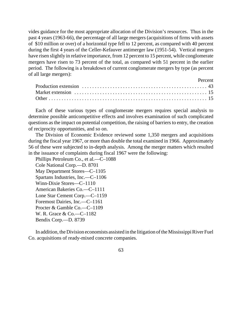vides guidance for the most appropriate allocation of the Division's resources. Thus in the past 4 years (1963-66), the percentage of all large mergers (acquisitions of firms with assets of \$10 million or over) of a horizontal type fell to 12 percent, as compared with 40 percent during the first 4 years of the Celler-Kefauver antimerger law (1951-54). Vertical mergers have risen slightly in relative importance, from 12 percent to 15 percent, while conglomerate mergers have risen to 73 percent of the total, as compared with 51 percent in the earlier period. The following is a breakdown of current conglomerate mergers by type (as percent of all large mergers):

| <b>Percent</b> |  |  |
|----------------|--|--|
|                |  |  |
|                |  |  |
|                |  |  |

Each of these various types of conglomerate mergers requires special analysis to determine possible anticompetitive effects and involves examination of such complicated questions as the impact on potential competition, the raising of barriers to entry, the creation of reciprocity opportunities, and so on.

The Division of Economic Evidence reviewed some 1,350 mergers and acquisitions during the fiscal year 1967, or more than double the total examined in 1966. Approximately 56 of these were subjected to in-depth analysis. Among the merger matters which resulted in the issuance of complaints during fiscal 1967 were the following:

Phillips Petroleum Co., et al.—C–1088 Cole National Corp.—D. 8701 May Department Stores—C–1105 Spartans Industries, Inc.—C–1106 Winn-Dixie Stores—C–1110 American Bakeries Co.—C–1111 Lone Star Cement Corp.—C–1159 Foremost Dairies, Inc.—C–1161 Procter & Gamble Co.—C–1109 W. R. Grace & Co.—C–1182 Bendix Corp.—D. 8739

In addition, the Division economists assisted in the litigation of the Mississippi River Fuel Co. acquisitions of ready-mixed concrete companies.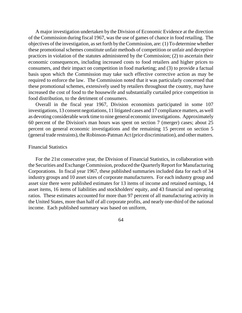A major investigation undertaken by the Division of Economic Evidence at the direction of the Commission during fiscal 1967, wasthe use of games of chance in food retailing. The objectives of the investigation, assetforth by theCommission, are:(1) To determine whether these promotional schemes constitute unfair methods of competition or unfair and deceptive practices in violation of the statutes administered by the Commission; (2) to ascertain their economic consequences, including increased costs to food retailers and higher prices to consumers, and their impact on competition in food marketing; and (3) to provide a factual basis upon which the Commission may take such effective corrective action as may be required to enforce the law. The Commission noted that it was particularly concerned that these promotional schemes, extensively used by retailers throughout the country, may have increased the cost of food to the housewife and substantially curtailed price competition in food distribution, to the detriment of consumers.

Overall in the fiscal year 1967, Division economists participated in some 107 investigations, 13 consent negotiations, 11 litigated cases and 17 compliance matters, as well as devoting considerable work time to nine general economic investigations. Approximately 60 percent of the Division's man hours was spent on section 7 (merger) cases; about 25 percent on general economic investigations and the remaining 15 percent on section 5 (general trade restraints), the Robinson-Patman Act (price discrimination), and other matters.

# Financial Statistics

For the 21st consecutive year, the Division of Financial Statistics, in collaboration with the Securities and Exchange Commission, produced the Quarterly Report for Manufacturing Corporations. In fiscal year 1967, these published summaries included data for each of 34 industry groups and 10 asset sizes of corporate manufacturers. For each industry group and asset size there were published estimates for 13 items of income and retained earnings, 14 asset items, 16 items of liabilities and stockholders' equity, and 43 financial and operating ratios. These estimates accounted for more than 97 percent of all manufacturing activity in the United States, more than half of all corporate profits, and nearly one-third of the national income. Each published summary was based on uniform,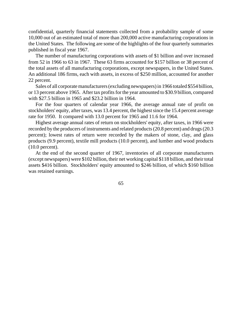confidential, quarterly financial statements collected from a probability sample of some 10,000 out of an estimated total of more than 200,000 active manufacturing corporations in the United States. The following are some of the highlights of the four quarterly summaries published in fiscal year 1967.

The number of manufacturing corporations with assets of \$1 billion and over increased from 52 in 1966 to 63 in 1967. These 63 firms accounted for \$157 billion or 38 percent of the total assets of all manufacturing corporations, except newspapers, in the United States. An additional 186 firms, each with assets, in excess of \$250 million, accounted for another 22 percent.

Sales of all corporate manufacturers (excluding newspapers) in 1966 totaled \$554 billion, or 13 percent above 1965. After tax profits for the year amounted to \$30.9 billion, compared with \$27.5 billion in 1965 and \$23.2 billion in 1964.

For the four quarters of calendar year 1966, the average annual rate of profit on stockholders' equity, after taxes, was 13.4 percent, the highest since the 15.4 percent average rate for 1950. It compared with 13.0 percent for 1965 and 11.6 for 1964.

Highest average annual rates of return on stockholders' equity, after taxes, in 1966 were recorded by the producers of instruments and related products(20.8 percent) and drugs(20.3 percent); lowest rates of return were recorded by the makers of stone, clay, and glass products (9.9 percent), textile mill products (10.0 percent), and lumber and wood products (10.0 percent).

At the end of the second quarter of 1967, inventories of all corporate manufacturers (except newspapers) were \$102 billion, their net working capital \$118 billion, and their total assets \$416 billion. Stockholders' equity amounted to \$246 billion, of which \$160 billion was retained earnings.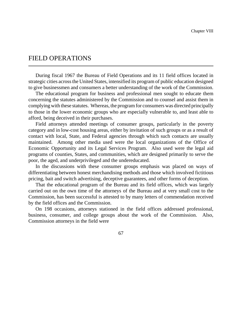# FIELD OPERATIONS

During fiscal 1967 the Bureau of Field Operations and its 11 field offices located in strategic cities acrossthe United States, intensified its program of public education designed to give businessmen and consumers a better understanding of the work of the Commission.

The educational program for business and professional men sought to educate them concerning the statutes administered by the Commission and to counsel and assist them in complying with these statutes. Whereas, the program for consumers was directed principally to those in the lower economic groups who are especially vulnerable to, and least able to afford, being deceived in their purchases.

Field attorneys attended meetings of consumer groups, particularly in the poverty category and in low-cost housing areas, either by invitation of such groups or as a result of contact with local, State, and Federal agencies through which such contacts are usually maintained. Among other media used were the local organizations of the Office of Economic Opportunity and its Legal Services Program. Also used were the legal aid programs of counties, States, and communities, which are designed primarily to serve the poor, the aged, and underprivileged and the undereducated.

In the discussions with these consumer groups emphasis was placed on ways of differentiating between honest merchandising methods and those which involved fictitious pricing, bait and switch advertising, deceptive guarantees, and other forms of deception.

That the educational program of the Bureau and its field offices, which was largely carried out on the own time of the attorneys of the Bureau and at very small cost to the Commission, has been successful is attested to by many letters of commendation received by the field offices and the Commission.

On 198 occasions, attorneys stationed in the field offices addressed professional, business, consumer, and college groups about the work of the Commission. Also, Commission attorneys in the field were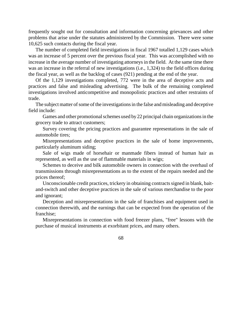frequently sought out for consultation and information concerning grievances and other problems that arise under the statutes administered by the Commission. There were some 10,625 such contacts during the fiscal year.

The number of completed field investigations in fiscal 1967 totalled 1,129 cases which was an increase of 5 percent over the previous fiscal year. This was accomplished with no increase in the average number of investigating attorneys in the field. At the same time there was an increase in the referral of new investigations (i.e., 1,324) to the field offices during the fiscal year, as well as the backlog of cases (921) pending at the end of the year.

Of the 1,129 investigations completed, 772 were in the area of deceptive acts and practices and false and misleading advertising. The bulk of the remaining completed investigations involved anticompetitive and monopolistic practices and other restraints of trade.

The subject matter of some of the investigations in the false and misleading and deceptive field include:

Games and other promotional schemes used by 22 principal chain organizations in the grocery trade to attract customers;

Survey covering the pricing practices and guarantee representations in the sale of automobile tires;

Misrepresentations and deceptive practices in the sale of home improvements, particularly aluminum siding;

Sale of wigs made of horsehair or manmade fibers instead of human hair as represented, as well as the use of flammable materials in wigs;

Schemes to deceive and bilk automobile owners in connection with the overhaul of transmissions through misrepresentations as to the extent of the repairs needed and the prices thereof;

Unconscionable credit practices, trickery in obtaining contracts signed in blank, baitand-switch and other deceptive practices in the sale of various merchandise to the poor and ignorant;

Deception and misrepresentations in the sale of franchises and equipment used in connection therewith, and the earnings that can be expected from the operation of the franchise;

Misrepresentations in connection with food freezer plans, "free" lessons with the purchase of musical instruments at exorbitant prices, and many others.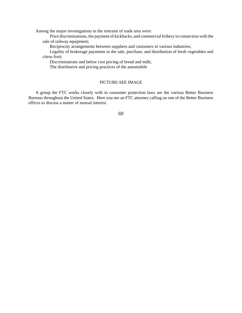Among the major investigations in the restraint of trade area were:

Price discriminations, the payment of kickbacks, and commercial bribery in connection with the sale of railway equipment;

Reciprocity arrangements between suppliers and customers in various industries;

Legality of brokerage payments in the sale, purchase, and distribution of fresh vegetables and citrus fruit;

Discriminations and below cost pricing of bread and milk;

The distributive and pricing practices of the automobile

### PICTURE-SEE IMAGE

A group the FTC works closely with in consumer protection laws are the various Better Business Bureaus throughout the United States. Here you see an FTC attorney calling on one of the Better Business offices to discuss a matter of mutual interest.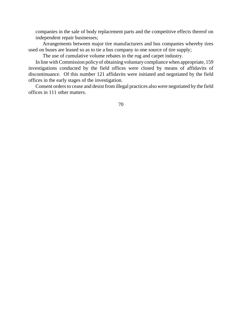companies in the sale of body replacement parts and the competitive effects thereof on independent repair businesses;

Arrangements between major tire manufacturers and bus companies whereby tires used on buses are leased so as to tie a bus company to one source of tire supply;

The use of cumulative volume rebates in the rug and carpet industry.

In line withCommission policyof obtaining voluntary compliance when appropriate, 159 investigations conducted by the field offices were closed by means of affidavits of discontinuance. Of this number 121 affidavits were initiated and negotiated by the field offices in the early stages of the investigation.

Consent orders to cease and desist from illegal practices also were negotiated by the field offices in 111 other matters.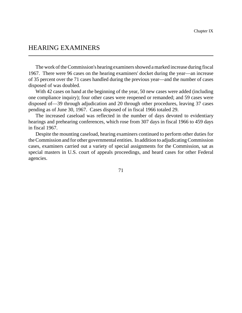## HEARING EXAMINERS

The work of the Commission's hearing examiners showed a marked increase during fiscal 1967. There were 96 cases on the hearing examiners' docket during the year—an increase of 35 percent over the 71 cases handled during the previous year—and the number of cases disposed of was doubled.

With 42 cases on hand at the beginning of the year, 50 new cases were added (including one compliance inquiry); four other cases were reopened or remanded; and 59 cases were disposed of—39 through adjudication and 20 through other procedures, leaving 37 cases pending as of June 30, 1967. Cases disposed of in fiscal 1966 totaled 29.

The increased caseload was reflected in the number of days devoted to evidentiary hearings and prehearing conferences, which rose from 307 days in fiscal 1966 to 459 days in fiscal 1967.

Despite the mounting caseload, hearing examiners continued to perform other duties for theCommission and for other governmental entities. In addition to adjudicating Commission cases, examiners carried out a variety of special assignments for the Commission, sat as special masters in U.S. court of appeals proceedings, and heard cases for other Federal agencies.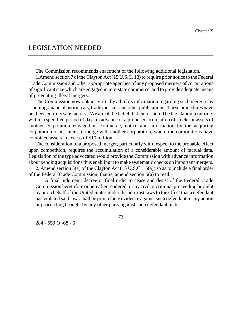## LEGISLATION NEEDED

The Commission recommends enactment of the following additional legislation.

1.Amend section 7 of the Clayton Act (15 U.S.C. 18) to require prior notice to the Federal Trade Commission and other appropriate agencies of any proposed mergers of corporations of significant size which are engaged in interstate commerce, and to provide adequate means of preventing illegal mergers.

The Commission now obtains virtually all of its information regarding such mergers by scanning financial periodicals, trade journals and other publications. These procedures have not been entirely satisfactory. We are of the belief that there should be legislation requiring, within a specified period of days in advance of a proposed acquisition of stocks or assets of another corporation engaged in commerce, notice and information by the acquiring corporation of its intent to merge with another corporation, where the corporations have combined assets in excess of \$10 million.

The consideration of a proposed merger, particularly with respect to the probable effect upon competition, requires the accumulation of a considerable amount of factual data. Legislation of the type advocated would provide the Commission with advance information about pending acquisitions thus enabling it to make systematic checks on important mergers.

2. Amend section 5(a) of the Clayton Act (15 U.S.C. 16(a)) so as to include a final order of the Federal Trade Commission; that is, amend section 5(a) to read:

"A final judgment, decree or final order to cease and desist of the Federal Trade Commission heretofore or hereafter rendered in any civil or criminal proceeding brought by or on behalf of the United States under the antitrust laws to the effect that a defendant has violated said laws shall be prima facie evidence against such defendant in any action or proceeding brought by any other party against such defendant under

73

284 - 559 O -68 - 6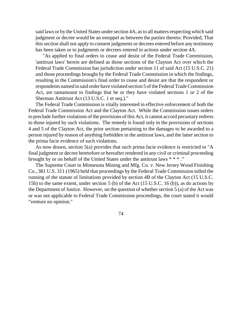said laws or by the United States under section 4A, as to all matters respecting which said judgment or decree would be an estoppel as between the parties thereto: Provided, That this section shall not apply to consent judgments or decrees entered before any testimony has been taken or to judgments or decrees entered in actions under section 4A.

"As applied to final orders to cease and desist of the Federal Trade Commission, 'antitrust laws' herein are defined as those sections of the Clayton Act over which the Federal Trade Commission has jurisdiction under section 11 of said Act (15 U.S.C. 21) and those proceedings brought by the Federal Trade Commission in which the findings, resulting in the Commission's final order to cease and desist are that the respondent or respondents named in said order have violated section 5 of the Federal Trade Commission Act, are tantamount to findings that he or they have violated sections 1 or 2 of the Sherman Antitrust Act (13 U.S.C. 1 et seq.)."

The Federal Trade Commission is vitally interested in effective enforcement of both the Federal Trade Commission Act and the Clayton Act. While the Commission issues orders to preclude further violations of the provisions of this Act, it cannot accord pecuniary redress to those injured by such violations. The remedy is found only in the provisions of sections 4 and 5 of the Clayton Act, the prior section pertaining to the damages to be awarded to a person injured by reason of anything forbidden in the antitrust laws, and the latter section to the prima facie evidence of such violations.

As now drawn, section 5(a) provides that such prima facie evidence is restricted to "A final judgment or decree heretofore or hereafter rendered in any civil or criminal proceeding brought by or on behalf of the United States under the antitrust laws \* \* \* ."

The Supreme Court in Minnesota Mining and Mfg. Co. v. New Jersey Wood Finishing Co., 381 U.S. 311 (1965) held that proceedings by the Federal Trade Commission tolled the running of the statute of limitations provided by section 4B of the Clayton Act (15 U.S.C. 15b) to the same extent, under section 5 (b) of the Act (15 U.S.C. 16 (b)), as do actions by the Department of Justice. However, on the question of whether section 5 (a) of the Act was or was not applicable to Federal Trade Commission proceedings, the court stated it would "venture no opinion."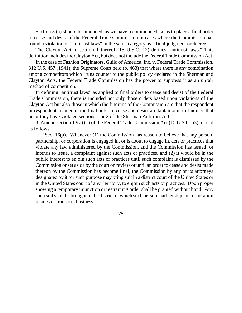Section 5 (a) should be amended, as we have recommended, so as to place a final order to cease and desist of the Federal Trade Commission in cases where the Commission has found a violation of "antitrust laws" in the same category as a final judgment or decree.

The Clayton Act in section 1 thereof (15 U.S.C. 12) defines "antitrust laws." This definition includes the Clayton Act, but does not include the Federal Trade Commission Act.

In the case of Fashion Originators, Guild of America, Inc. v. Federal Trade Commission, 312 U.S. 457 (1941), the Supreme Court held (p. 463) that where there is any combination among competitors which "runs counter to the public policy declared in the Sherman and Clayton Acts, the Federal Trade Commission has the power to suppress it as an unfair method of competition."

In defining "antitrust laws" as applied to final orders to cease and desist of the Federal Trade Commission, there is included not only those orders based upon violations of the Clayton Act but also those in which the findings of the Commission are that the respondent or respondents named in the final order to cease and desist are tantamount to findings that he or they have violated sections 1 or 2 of the Sherman Antitrust Act.

3. Amend section 13(a) (1) of the Federal Trade Commission Act (15 U.S.C. 53) to read as follows:

"Sec. 16(a). Whenever (1) the Commission has reason to believe that any person, partnership, or corporation is engaged in, or is about to engage in, acts or practices that violate any law administered by the Commission, and the Commission has issued, or intends to issue, a complaint against such acts or practices, and (2) it would be in the public interest to enjoin such acts or practices until such complaint is dismissed by the Commission or set aside by the court on review or until an order to cease and desist made thereon by the Commission has become final, the Commission by any of its attorneys designated by it for such purpose may bring suit in a district court of the United States or in the United States court of any Territory, to enjoin such acts or practices. Upon proper showing a temporary injunction or restraining order shall be granted without bond. Any such suit shall be brought in the district in which such person, partnership, or corporation resides or transacts business."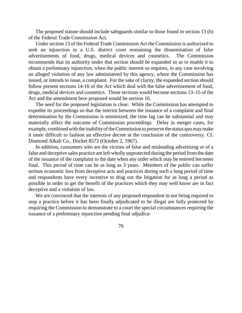The proposed statute should include safeguards similar to those found in section 13 (b) of the Federal Trade Commission Act.

Under section 13 of the Federal Trade Commission Act the Commission is authorized to seek an injunction in a U.S. district court restraining the dissemination of false advertisements of food, drugs, medical devices and cosmetics. The Commission recommends that its authority under that section should be expanded so as to enable it to obtain a preliminary injunction, when the public interest so requires, in any case involving an alleged violation of any law administered by this agency, where the Commission has issued, or intends to issue, a complaint. For the sake of clarity, the expanded section should follow present sections 14-16 of the Act which deal with the false advertisement of food, drugs, medical devices and cosmetics. Those sections would become sections 13–15 of the Act and the amendment here proposed would be section 16.

The need for the proposed legislation is clear. While the Commission has attempted to expedite its proceedings so that the interim between the issuance of a complaint and final determination by the Commission is minimized, the time lag can be substantial and may materially affect the outcome of Commission proceedings. Delay in merger cases, for example, combined with the inability of the Commission to preserve the status quo may make it more difficult to fashion an effective decree at the conclusion of the controversy. Cf. Diamond Alkali Co., Docket 8572 (October 2, 1967).

In addition, consumers who are the victims of false and misleading advertising or of a false and deceptive sales practice are left wholly unprotected during the period from the date of the issuance of the complaint to the date when any order which may be entered becomes final. This period of time can be as long as 3 years. Members of the public can suffer serious economic loss from deceptive acts and practices during such a long period of time and respondents have every incentive to drag out the litigation for as long a period as possible in order to get the benefit of the practices which they may well know are in fact deceptive and a violation of law.

We are convinced that the interests of any proposed respondent in not being required to stop a practice before it has been finally adjudicated to be illegal are fully protected by requiring the Commission to demonstrate to a court the special circumstances requiring the issuance of a preliminary injunction pending final adjudica-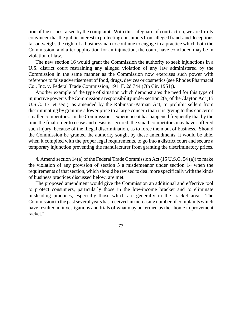tion of the issues raised by the complaint. With this safeguard of court action, we are firmly convinced that the public interest in protecting consumers from alleged frauds and deceptions far outweighs the right of a businessman to continue to engage in a practice which both the Commission, and after application for an injunction, the court, have concluded may be in violation of law.

The new section 16 would grant the Commission the authority to seek injunctions in a U.S. district court restraining any alleged violation of any law administered by the Commission in the same manner as the Commission now exercises such power with reference to false advertisement of food, drugs, devices or cosmetics(see Rhodes Pharmacal Co., Inc. v. Federal Trade Commission, 191. F. 2d 744 (7th Cir. 1951)).

Another example of the type of situation which demonstrates the need for this type of injunctive power is the Commission's responsibility under section  $2(a)$  of the Clayton Act (15 U.S.C. 13, et seq.), as amended by the Robinson-Patman Act, to prohibit sellers from discriminating by granting a lower price to a large concern than it is giving to this concern's smaller competitors. In the Commission's experience it has happened frequently that by the time the final order to cease and desist is secured, the small competitors may have suffered such injury, because of the illegal discrimination, as to force them out of business. Should the Commission be granted the authority sought by these amendments, it would be able, when it complied with the proper legal requirements, to go into a district court and secure a temporary injunction preventing the manufacturer from granting the discriminatory prices.

4. Amend section 14(a) of the Federal Trade Commission Act (15 U.S.C. 54 (a)) to make the violation of any provision of section 5 a misdemeanor under section 14 when the requirements of that section, which should be revised to deal more specifically with the kinds of business practices discussed below, are met.

The proposed amendment would give the Commission an additional and effective tool to protect consumers, particularly those in the low-income bracket and to eliminate misleading practices, especially those which are generally in the "racket area." The Commission in the past several years has received an increasing number of complaints which have resulted in investigations and trials of what may be termed as the "home improvement racket."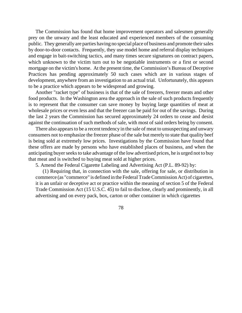The Commission has found that home improvement operators and salesmen generally prey on the unwary and the least educated and experienced members of the consuming public. They generally are parties having no special place of business and promote their sales by door-to-door contacts. Frequently, they use model home and referral display techniques and engage in bait-switching tactics, and many times secure signatures on contract papers, which unknown to the victim turn out to be negotiable instruments or a first or second mortgage on the victim's home. At the present time, the Commission's Bureau of Deceptive Practices has pending approximately 50 such cases which are in various stages of development, anywhere from an investigation to an actual trial. Unfortunately, this appears to be a practice which appears to be widespread and growing.

Another "racket type" of business is that of the sale of freezers, freezer meats and other food products. In the Washington area the approach in the sale of such products frequently is to represent that the consumer can save money by buying large quantities of meat at wholesale prices or even less and that the freezer can be paid for out of the savings. During the last 2 years the Commission has secured approximately 24 orders to cease and desist against the continuation of such methods of sale, with most of said orders being by consent.

There also appears to be a recent tendency in the sale of meat to unsuspecting and unwary consumers not to emphasize the freezer phase of the sale but merely to state that quality beef is being sold at extremely low prices. Investigations by the Commission have found that these offers are made by persons who have established places of business, and when the anticipating buyer seeks to take advantage of the low advertised prices, he is urged not to buy that meat and is switched to buying meat sold at higher prices.

5. Amend the Federal Cigarette Labeling and Advertising Act (P.L. 89-92) by:

(1) Requiring that, in connection with the sale, offering for sale, or distribution in commerce (as "commerce" is defined in the Federal Trade Commission Act) of cigarettes, it is an unfair or deceptive act or practice within the meaning of section 5 of the Federal Trade Commission Act (15 U.S.C. 45) to fail to disclose, clearly and prominently, in all advertising and on every pack, box, carton or other container in which cigarettes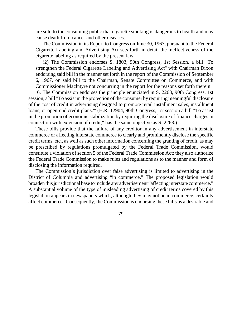are sold to the consuming public that cigarette smoking is dangerous to health and may cause death from cancer and other diseases.

The Commission in its Report to Congress on June 30, 1967, pursuant to the Federal Cigarette Labeling and Advertising Act sets forth in detail the ineffectiveness of the cigarette labeling as required by the present law.

(2) The Commission endorses S. 1803, 90th Congress, 1st Session, a bill "To strengthen the Federal Cigarette Labeling and Advertising Act" with Chairman Dixon endorsing said bill in the manner set forth in the report of the Commission of September 6, 1967, on said bill to the Chairman, Senate Committee on Commerce, and with Commissioner Maclntyre not concurring in the report for the reasons set forth therein.

6. The Commission endorses the principle enunciated in S. 2268, 90th Congress, 1st session, a bill "To assist in the protection of the consumer by requiring meaningful disclosure of the cost of credit in advertising designed to promote retail installment sales, installment loans, or open-end credit plans."' (H.R. 12904, 90th Congress, 1st session a bill "To assist in the promotion of economic stabilization by requiring the disclosure of finance charges in connection with extension of credit," has the same objective as S. 2268.)

These bills provide that the failure of any creditor in any advertisement in interstate commerce or affecting interstate commerce to clearly and prominently disclose the specific credit terms, etc., as well as such other information concerning the granting of credit, as may be prescribed by regulations promulgated by the Federal Trade Commission, would constitute a violation of section 5 of the Federal Trade Commission Act; they also authorize the Federal Trade Commission to make rules and regulations as to the manner and form of disclosing the information required.

The Commission's jurisdiction over false advertising is limited to advertising in the District of Columbia and advertising "in commerce." The proposed legislation would broaden this jurisdictional base to include any advertisement "affecting interstate commerce." A substantial volume of the type of misleading advertising of credit terms covered by this legislation appears in newspapers which, although they may not be in commerce, certainly affect commerce. Consequently, the Commission is endorsing these bills as a desirable and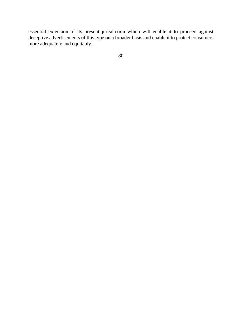essential extension of its present jurisdiction which will enable it to proceed against deceptive advertisements of this type on a broader basis and enable it to protect consumers more adequately and equitably.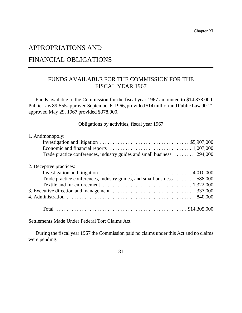# APPROPRIATIONS AND

# FINANCIAL OBLIGATIONS

## FUNDS AVAILABLE FOR THE COMMISSION FOR THE FISCAL YEAR 1967

Funds available to the Commission for the fiscal year 1967 amounted to \$14,378,000. PublicLaw 89-555 approved September 6, 1966, provided \$14million and PublicLaw 90-21 approved May 29, 1967 provided \$378,000.

Obligations by activities, fiscal year 1967

| 1. Antimonopoly:                                                                                                        |
|-------------------------------------------------------------------------------------------------------------------------|
| Investigation and litigation $\ldots \ldots \ldots \ldots \ldots \ldots \ldots \ldots \ldots \ldots$ \$5,907,000        |
| Economic and financial reports $\ldots \ldots \ldots \ldots \ldots \ldots \ldots \ldots \ldots \ldots \ldots 1,007,000$ |
| Trade practice conferences, industry guides and small business  294,000                                                 |
| 2. Deceptive practices:                                                                                                 |
| Investigation and litigation $\ldots \ldots \ldots \ldots \ldots \ldots \ldots \ldots \ldots$ 4,010,000                 |
| Trade practice conferences, industry guides, and small business  588,000                                                |
|                                                                                                                         |
|                                                                                                                         |
|                                                                                                                         |
|                                                                                                                         |

Settlements Made Under Federal Tort Claims Act

During the fiscal year 1967 the Commission paid no claims under this Act and no claims were pending.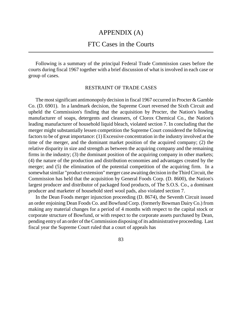## APPENDIX (A)

## FTC Cases in the Courts

Following is a summary of the principal Federal Trade Commission cases before the courts during fiscal 1967 together with a brief discussion of what is involved in each case or group of cases.

#### RESTRAINT OF TRADE CASES

The most significant antimonopoly decision in fiscal 1967 occurred in Procter  $&$  Gamble Co. (D. 6901). In a landmark decision, the Supreme Court reversed the Sixth Circuit and upheld the Commission's finding that the acquisition by Procter, the Nation's leading manufacturer of soaps, detergents and cleansers, of Clorox Chemical Co., the Nation's leading manufacturer of household liquid bleach, violated section 7. In concluding that the merger might substantially lessen competition the Supreme Court considered the following factors to be of great importance: (1) Excessive concentration in the industry involved at the time of the merger, and the dominant market position of the acquired company; (2) the relative disparity in size and strength as between the acquiring company and the remaining firms in the industry; (3) the dominant position of the acquiring company in other markets; (4) the nature of the production and distribution economies and advantages created by the merger; and (5) the elimination of the potential competition of the acquiring firm. In a somewhatsimilar "product extension" merger case awaiting decision in theThirdCircuit, the Commission has held that the acquisition by General Foods Corp. (D. 8600), the Nation's largest producer and distributor of packaged food products, of The S.O.S. Co., a dominant producer and marketer of household steel wool pads, also violated section 7.

In the Dean Foods merger injunction proceeding (D. 8674), the Seventh Circuit issued an order enjoining Dean Foods Co. and Bowfund Corp. (formerly Bowman Dairy Co.) from making any material changes for a period of 4 months with respect to the capital stock or corporate structure of Bowfund, or with respect to the corporate assets purchased by Dean, pending entry of an order of the Commission disposing of its administrative proceeding. Last fiscal year the Supreme Court ruled that a court of appeals has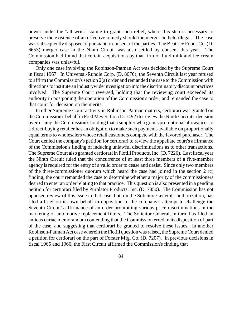power under the "all writs" statute to grant such relief, where this step is necessary to preserve the existence of an effective remedy should the merger be held illegal. The case was subsequently disposed of pursuant to consent of the parties. The Beatrice Foods Co. (D. 6653) merger case in the Ninth Circuit was also settled by consent this year. The Commission had found that certain acquisitions by that firm of fluid milk and ice cream companies was unlawful.

Only one case involving the Robinson-Patman Act was decided by the Supreme Court in fiscal 1967. In Universal-Rundle Corp. (D. 8070); the Seventh Circuit last year refused to affirm the Commission's section  $2(a)$  order and remanded the case to the Commission with directionsto institute an industrywide investigation into the discriminatory discount practices involved. The Supreme Court reversed, holding that the reviewing court exceeded its authority in postponing the operation of the Commission's order, and remanded the case to that court for decision on the merits.

In other Supreme Court activity in Robinson-Patman matters, certiorari was granted on the Commission's behalf in Fred Meyer, Inc. (D. 7492) to review the Ninth Circuit's decision overturning the Commission's holding that a supplier who grants promotional allowancesto a direct-buying retailer has an obligation to make such payments available on proportionally equal termsto wholesalers whose retail customers compete with the favored purchaser. The Court denied the company's petition for certiorari to review the appellate court's affirmance of the Commission's finding of inducing unlawful discriminations as to other transactions. The Supreme Court also granted certiorari in Flotill Products, Inc. (D. 7226). Last fiscal year the Ninth Circuit ruled that the concurrence of at least three members of a five-member agency is required for the entry of a valid order to cease and desist. Since only two members of the three-commissioner quorum which heard the case had joined in the section 2 (c) finding, the court remanded the case to determine whether a majority of the commissioners desired to enter an order relating to that practice. This question is also presented in a pending petition for certiorari filed by Purolator Products, Inc. (D. 7850). The Commission has not opposed review of this issue in that case, but, on the Solicitor General's authorization, has filed a brief on its own behalf in opposition to the company's attempt to challenge the Seventh Circuit's affirmance of an order prohibiting various price discriminations in the marketing of automotive replacement filters. The Solicitor General, in turn, has filed an amicus curiae memorandum contending that the Commission erred in its disposition of part of the case, and suggesting that certiorari be granted to resolve these issues. In another Robinson-Patman Act case wherein the Flotill question was raised, the Supreme Court denied a petition for certiorari on the part of Forster Mfg. Co. (D. 7207). In previous decisions in fiscal 1965 and 1966, the First Circuit affirmed the Commission's finding that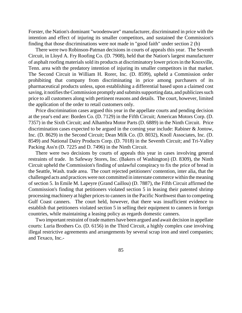Forster, the Nation's dominant "woodenware" manufacturer, discriminated in price with the intention and effect of injuring its smaller competitors, and sustained the Commission's finding that those discriminations were not made in "good faith" under section 2 (b)

There were two Robinson-Patman decisions in courts of appeals this year. The Seventh Circuit, in Lloyd A. Fry Roofing Co. (D. 7908), held that the Nation's largest manufacturer of asphalt roofing materials sold its products at discriminatory lower prices in the Knoxville, Tenn. area with the predatory intention of injuring its smaller competitors in that market. The Second Circuit in William H. Rorer, Inc. (D. 8599), upheld a Commission order prohibiting that company from discriminating in price among purchasers of its pharmaceutical products unless, upon establishing a differential based upon a claimed cost saving, it notifies the Commission promptly and submits supporting data, and publicizes such price to all customers along with pertinent reasons and details. The court, however, limited the application of the order to retail customers only.

Price discrimination cases argued this year in the appellate courts and pending decision at the year's end are: Borden Co. (D. 7129) in the Fifth Circuit; American Motors Corp. (D. 7357) in the Sixth Circuit; and Alhambra Motor Parts (D. 6889) in the Ninth Circuit. Price discrimination cases expected to be argued in the coming year include: Rabiner & Jontow, Inc. (D. 8629) in the Second Circuit; Dean Milk Co. (D. 8032), Knoll Associates, Inc. (D. 8549) and National Dairy Products Corp. (D. 7018) in the Seventh Circuit; and Tri-Valley Packing Ass'n (D. 7225 and D. 7496) in the Ninth Circuit.

There were two decisions by courts of appeals this year in cases involving general restraints of trade. In Safeway Stores, Inc. (Bakers of Washington) (D. 8309), the Ninth Circuit upheld the Commission's finding of unlawful conspiracy to fix the price of bread in the Seattle, Wash. trade area. The court rejected petitioners' contention, inter alia, that the challenged acts and practices were not committed in interstate commerce within the meaning of section 5. In Emile M. Lapeyre (Grand Caillou) (D. 7887), the Fifth Circuit affirmed the Commission's finding that petitioners violated section 5 in leasing their patented shrimp processing machinery at higher pricesto canners in the Pacific Northwest than to competing Gulf Coast canners. The court held, however, that there was insufficient evidence to establish that petitioners violated section 5 in selling their equipment to canners in foreign countries, while maintaining a leasing policy as regards domestic canners.

Two important restraint of trade matters have been argued and await decision in appellate courts: Luria Brothers Co. (D. 6156) in the Third Circuit, a highly complex case involving illegal restrictive agreements and arrangements by several scrap iron and steel companies; and Texaco, Inc.-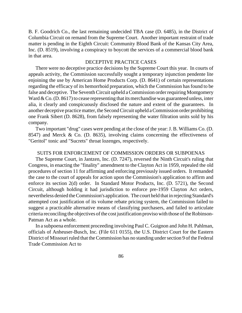B. F. Goodrich Co., the last remaining undecided TBA case (D. 6485), in the District of Columbia Circuit on remand from the Supreme Court. Another important restraint of trade matter is pending in the Eighth Circuit: Community Blood Bank of the Kansas City Area, Inc. (D. 8519), involving a conspiracy to boycott the services of a commercial blood bank in that area.

#### DECEPTIVE PRACTICE CASES

There were no deceptive practice decisions by the Supreme Court this year. In courts of appeals activity, the Commission successfully sought a temporary injunction pendente lite enjoining the use by American Home Products Corp. (D. 8641) of certain representations regarding the efficacy of its hemorrhoid preparation, which the Commission hasfound to be false and deceptive. The Seventh Circuit upheld a Commission order requiring Montgomery Ward & Co. (D. 8617) to cease representing that its merchandise was guaranteed unless, inter alia, it clearly and conspicuously disclosed the nature and extent of the guarantees. In another deceptive practice matter, the Second Circuit upheld a Commission order prohibiting one Frank Sibert (D. 8628), from falsely representing the water filtration units sold by his company.

Two important "drug" cases were pending at the close of the year:J. B. Williams Co. (D. 8547) and Merck & Co. (D. 8635), involving claims concerning the effectiveness of "Geritol" tonic and "Sucrets" throat lozenges, respectively.

#### SUITS FOR ENFORCEMENT OF COMMISSION ORDERS OR SUBPOENAS

The Supreme Court, in Jantzen, Inc. (D. 7247), reversed the Ninth Circuit's ruling that Congress, in enacting the "finality" amendment to the Clayton Act in 1959, repealed the old procedures of section 11 for affirming and enforcing previously issued orders. It remanded the case to the court of appeals for action upon the Commission's application to affirm and enforce its section 2(d) order. In Standard Motor Products, Inc. (D. 5721), the Second Circuit, although holding it had jurisdiction to enforce pre-1959 Clayton Act orders, nevertheless denied theCommission's application. The court held that in rejecting Standard's attempted cost justification of its volume rebate pricing system, the Commission failed to suggest a practicable alternative means of classifying purchasers, and failed to articulate criteria reconciling the objectives of the cost justification proviso with those of the Robinson-Patman Act as a whole.

In a subpoena enforcement proceeding involving Paul C. Guignon and John H. Pahlman, officials of Anheuser-Busch, Inc. (File 611 0155), the U.S. District Court for the Eastern District of Missouri ruled that the Commission has no standing under section 9 of the Federal Trade Commission Act to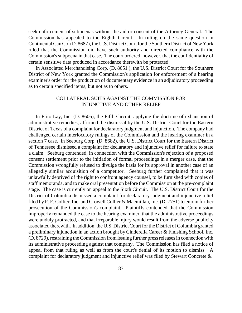seek enforcement of subpoenas without the aid or consent of the Attorney General. The Commission has appealed to the Eighth Circuit. In ruling on the same question in Continental Can Co. (D. 8687), the U.S. District Court for the Southern District of New York ruled that the Commission did have such authority and directed compliance with the Commission's subpoena in that case. The court ordered, however, that the confidentiality of certain sensitive data produced in accordance therewith be protected.

In Associated Merchandising Corp. (D. 8651 ), the U.S. District Court for the Southern District of New York granted the Commission's application for enforcement of a hearing examiner's order for the production of documentary evidence in an adjudicatory proceeding as to certain specified items, but not as to others.

#### COLLATERAL SUITS AGAINST THE COMMISSION FOR INJUNCTIVE AND OTHER RELIEF

In Frito-Lay, Inc. (D. 8606), the Fifth Circuit, applying the doctrine of exhaustion of administrative remedies, affirmed the dismissal by the U.S. District Court for the Eastern District of Texas of a complaint for declaratory judgment and injunction. The company had challenged certain interlocutory rulings of the Commission and the hearing examiner in a section 7 case. In Seeburg Corp. (D. 8682), the U.S. District Court for the Eastern District of Tennessee dismissed a complaint for declaratory and injunctive relief for failure to state a claim. Seeburg contended, in connection with the Commission's rejection of a proposed consent settlement prior to the initiation of formal proceedings in a merger case, that the Commission wrongfully refused to divulge the basis for its approval in another case of an allegedly similar acquisition of a competitor. Seeburg further complained that it was unlawfully deprived of the right to confront agency counsel, to be furnished with copies of staff memoranda, and to make oral presentation before the Commission at the pre-complaint stage. The case is currently on appeal to the Sixth Circuit. The U.S. District Court for the District of Columbia dismissed a complaint for declaratory judgment and injunctive relief filed by P. F. Collier, Inc. and Crowell Collier & Macmillan, Inc. (D. 7751) to enjoin further prosecution of the Commission's complaint. Plaintiffs contended that the Commission improperly remanded the case to the hearing examiner, that the administrative proceedings were unduly protracted, and that irreparable injury would result from the adverse publicity associated therewith. In addition, the U.S. District Court for the District of Columbia granted a preliminary injunction in an action brought by Cinderella Career & Finishing School, Inc. (D. 8729), restraining theCommission from issuing further pressreleasesin connection with its administrative proceeding against that company. The Commission has filed a notice of appeal from that ruling as well as from the court's denial of its motion to dismiss. A complaint for declaratory judgment and injunctive relief was filed by Stewart Concrete &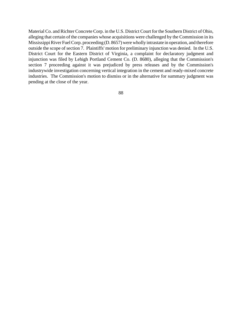Material Co. and Richter Concrete Corp. in the U.S. District Court for the Southern District of Ohio, alleging that certain of the companies whose acquisitions were challenged by the Commission in its Mississippi River Fuel Corp. proceeding (D. 8657) were wholly intrastate in operation, and therefore outside the scope of section 7. Plaintiffs' motion for preliminary injunction was denied. In the U.S. District Court for the Eastern District of Virginia, a complaint for declaratory judgment and injunction was filed by Lehigh Portland Cement Co. (D. 8680), alleging that the Commission's section 7 proceeding against it was prejudiced by press releases and by the Commission's industrywide investigation concerning vertical integration in the cement and ready-mixed concrete industries. The Commission's motion to dismiss or in the alternative for summary judgment was pending at the close of the year.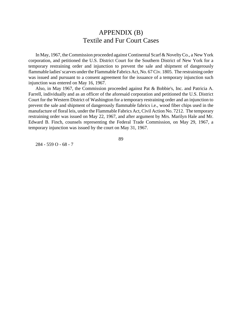# APPENDIX (B) Textile and Fur Court Cases

In May, 1967, the Commission proceeded against Continental Scarf & NoveltyCo., a New York corporation, and petitioned the U.S. District Court for the Southern District of New York for a temporary restraining order and injunction to prevent the sale and shipment of dangerously flammable ladies'scarves underthe Flammable Fabrics Act, No. 67Civ. 1805. The restraining order was issued and pursuant to a consent agreement for the issuance of a temporary injunction such injunction was entered on May 16, 1967.

Also, in May 1967, the Commission proceeded against Pat & Bobbie's, Inc. and Patricia A. Farrell, individually and as an officer of the aforesaid corporation and petitioned the U.S. District Court for the Western District of Washington for a temporary restraining order and an injunction to prevent the sale and shipment of dangerously flammable fabrics i.e., wood fiber chips used in the manufacture of floral leis, under the Flammable Fabrics Act, Civil Action No. 7212. The temporary restraining order was issued on May 22, 1967, and after argument by Mrs. Marilyn Hale and Mr. Edward B. Finch, counsels representing the Federal Trade Commission, on May 29, 1967, a temporary injunction was issued by the court on May 31, 1967.

284 - 559 O - 68 - 7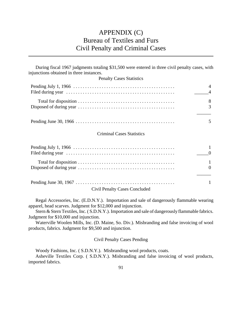# APPENDIX (C) Bureau of Textiles and Furs Civil Penalty and Criminal Cases

| During fiscal 1967 judgments totaling \$31,500 were entered in three civil penalty cases, with<br>injunctions obtained in three instances. |                     |
|--------------------------------------------------------------------------------------------------------------------------------------------|---------------------|
| <b>Penalty Cases Statistics</b>                                                                                                            |                     |
|                                                                                                                                            | 4<br>$\overline{A}$ |
|                                                                                                                                            | 8<br>3              |
|                                                                                                                                            | 5                   |
| <b>Criminal Cases Statistics</b>                                                                                                           |                     |
|                                                                                                                                            | $\theta$            |
|                                                                                                                                            | 1<br>$\Omega$       |
| <b>Civil Penalty Cases Concluded</b>                                                                                                       | 1                   |

Regal Accessories, Inc. (E.D.N.Y.). Importation and sale of dangerously flammable wearing apparel, head scarves. Judgment for \$12,000 and injunction.

Stern & Stern Textiles, Inc. ( S.D.N.Y.). Importation and sale of dangerously flammable fabrics. Judgment for \$10,000 and injunction.

Waterville Woolen Mills, Inc. (D. Maine, So. Div.). Misbranding and false invoicing of wool products, fabrics. Judgment for \$9,500 and injunction.

Civil Penalty Cases Pending

Woody Fashions, Inc. ( S.D.N.Y.). Misbranding wool products, coats.

Asheville Textiles Corp. ( S.D.N.Y.). Misbranding and false invoicing of wool products, imported fabrics.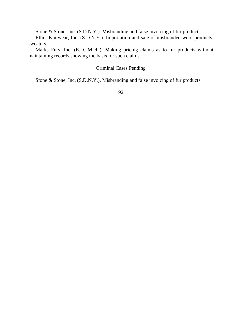Stone & Stone, Inc. (S.D.N.Y.). Misbranding and false invoicing of fur products.

Elliot Knitwear, Inc. (S.D.N.Y.). Importation and sale of misbranded wool products, sweaters.

Marks Furs, Inc. (E.D. Mich.). Making pricing claims as to fur products without maintaining records showing the basis for such claims.

### Criminal Cases Pending

Stone & Stone, Inc. (S.D.N.Y.). Misbranding and false invoicing of fur products.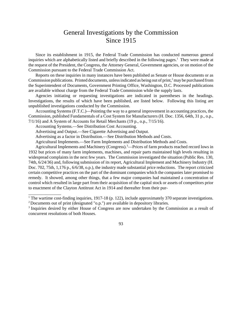# General Investigations by the Commission Since 1915

Since its establishment in 1915, the Federal Trade Commission has conducted numerous general inquiries which are alphabetically listed and briefly described in the following pages.<sup>1</sup> They were made at the request of the President, the Congress, the Attorney General, Government agencies, or on motion of the Commission pursuant to the Federal Trade Commission Act.

Reports on these inquiries in many instances have been published as Senate or House documents or as Commission publications. Printed documents, unless indicated as being out of print, $\frac{2}{3}$  may be purchased from the Superintendent of Documents, Government Printing Office, Washington, D.C. Processed publications are available without charge from the Federal Trade Commission while the supply lasts.

Agencies initiating or requesting investigations are indicated in parentheses in the headings. Investigations, the results of which have been published, are listed below. Following this listing are unpublished investigations conducted by the Commission.

Accounting Systems (F.T.C.)—Pointing the way to a general improvement in accounting practices, the Commission, published Fundamentals of a Cost System for Manufacturers (H. Doc. 1356, 64th, 31 p., o.p., 7/1/16) and A System of Accounts for Retail Merchants (19 p., o.p., 7/15/16).

Accounting Systems.—See Distribution Cost Accounting.

\_\_\_\_\_\_\_\_\_\_\_\_\_\_\_

Advertising and Output.—See Cigarette Advertising and Output.

Advertising as a factor in Distribution.—See Distribution Methods and Costs.

Agricultural Implements.—See Farm Implements and Distribution Methods and Costs.

Agricultural Implements and Machinery (Congress).<sup>3</sup>—Prices of farm products reached record lows in 1932 but prices of many farm implements, machines, and repair parts maintained high levels resulting in widespread complaints in the next few years. The Commission investigated the situation (Public Res. 130, 74th, 6/24/36) and, following submission of its report, Agricultural Implement and Machinery Industry (H. Doc. 702, 75th, 1,176 p., 6/6/38, o.p.), the industry made substantial price reductions. The report criticized certain competitive practices on the part of the dominant companies which the companies later promised to remedy. It showed, among other things, that a few major companies had maintained a concentration of control which resulted in large part from their acquisition of the capital stock or assets of competitors prior to enactment of the Clayton Antitrust Act in 1914 and thereafter from their pur-

<sup>1</sup> The wartime cost-finding inquiries, 1917-18 (p. 122), include approximately 370 separate investigations.

<sup>&</sup>lt;sup>2</sup> Documents out of print (designated "o.p.") are available in depository libraries.

<sup>&</sup>lt;sup>3</sup> Inquiries desired by either House of Congress are now undertaken by the Commission as a result of concurrent resolutions of both Houses.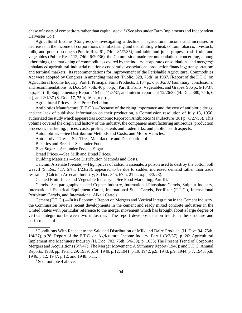chase of assets of competitors rather than capital stock.<sup>4</sup> (See also under Farm Implements and Independent Harvester Co.)

Agricultural Income (Congress).—Investigating a decline in agricultural income and increases or decreases in the income of corporations manufacturing and distributing wheat, cotton, tobacco, livestock, milk, and potato products (Public Res. 61, 74th, 8/27/35), and table and juice grapes, fresh fruits and vegetables (Public Res. 112, 74th, 6/20/36), the Commission made recommendations concerning, among other things, the marketing of commodities covered by the inquiry; corporate consolidations and mergers;<sup>5</sup> unbalanced agricultural-industrial relations; cooperative associations; production financing; transportation; and terminal markets. Its recommendations for improvement of the Perishable Agricultural Commodities Act were adopted by Congress in amending that act (Public, 328, 75th) in 1937. [Report of the F.T.C. on Agricultural Income Inquiry, Part 1, Principal Farm Products, 1,134 p., o.p. 3/2/37 (summary, conclusions, and recommendations, S. Doc. 54, 75th, 40 p., o.p.); Part II, Fruits, Vegetables, and Grapes, 906 p., 6/10/37, o.p.; Part III, Supplementary Report, 154 p., 11/8/37; and interim reports of 12/26/35 (H. Doc. 380, 74th, 6 p.), and 2/1/37 (S. Doc. 17, 75th, 16 p., o.p.) .]

#### Agricultural Prices.—See Price Deflation.

Antibiotics Manufacture (F.T.C.).—Because of the rising importance and the cost of antibiotic drugs, and the lack of published information on their production, a Commission resolution of July 13, 1956, authorized the study which appeared as Economic Report on Antibiotics Manufacture (361 p., 6/27/58). This volume covered the origin and history of the industry, the companies manufacturing antibiotics, production processes, marketing, prices, costs, profits, patents and trademarks, and public health aspects.

Automobiles.—See Distribution Methods and Costs, and Motor Vehicles.

Automotive Tires.—See Tires, Manufacture and Distribution of.

Bakeries and Bread.—See under Food.

Beet Sugar.—See under Food— Sugar.

Bread Prices.—See Milk and Bread Prices.

Building Materials.—See Distribution Methods and Costs.

Calcium Arsenate (Senate).—High prices of calcium arsenate, a poison used to destroy the cotton boll weevil (S. Res. 417, 67th, 1/23/23), appeared to be due to sudden increased demand rather than trade restraints (Calcium Arsenate Industry, S. Doc. 345, 67th, 21 p., o.p., 3/3/23).

Canned Fruit, Juice and Vegetable Industry.—See Food Marketing, Part III.

Cartels.–See paragraphs headed Copper Industry, International Phosphate Cartels, Sulphur Industry, International Electrical Equipment Cartel, International Steel Cartels, Fertilizer (F.T.C.), International Petroleum Cartels, and International Alkali Cartels.

Cement (F.T.C.).—In its Economic Report on Mergers and Vertical Integration in the Cement Industry, the Commission reviews recent developments in the cement and ready mixed concrete industries in the United States with particular reference to the merger movement which has brought about a large degree of vertical integration between two industries. The report develops data on trends in the structure and performance of

<sup>5</sup> See footnote 4 above.

\_\_\_\_\_\_\_\_\_\_

<sup>4</sup> Conditions With Respect to the Sale and Distribution of Milk and Dairy Products (H. Doc. 94, 75th, 1/4/37), p.38; Report of the F.T.C. on Agricultural Income Inquiry, Part 1 (3/2/37), p. 26; Agricultural Implement and Machinery Industry (H. Doc. 702, 75th, 6/6/39), p. 1038; The Present Trend of Corporate Mergers and Acquisitions (3/7/47); The Merger Movement: A Summary Report (1948); and F.T.C. Annual Reports: 1938, pp. 19 and 29; 1939, p.14; 1940, p.12; 1941, p.19; 1942, p.9; 1943, p.9; 1944, p.7; 1945, p.8; 1946, p.12; 1947, p.12; and 1948, p.11.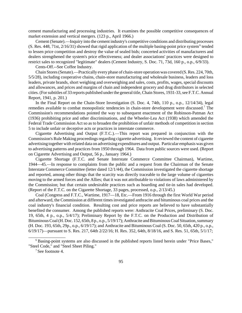cement manufacturing and processing industries. It examines the possible competitive consequences of market extension and vertical mergers. (123 p., April 1966.)

Cement (Senate).—Inquiry into the cement industry's competitive conditions and distributing processes (S. Res. 448, 71st,  $2/16/31$ ) showed that rigid application of the multiple basing-point price system<sup>6</sup> tended to lessen price competition and destroy the value of sealed bids; concerted activities of manufacturers and dealers strengthened the system's price effectiveness; and dealer associations' practices were designed to restrict sales to recognized "legitimate" dealers (Cement Industry, S. Doc. 71, 73d, 160 p., o.p., 6/9/33).

Cents-Off.--See Coffee Industry.

Chain Stores(Senate).—Practically every phase of chain-store operation was covered (S.Res. 224, 70th, 5/5/28), including cooperative chains, chain-store manufacturing and wholesale business, leaders and loss leaders, private brands, short weighing and overweighing and sales, costs, profits, wages, special discounts and allowances, and prices and margins of chain and independent grocery and drug distributors in selected cities. (For subtitles of 33 reports published under the general title, Chain Stores, 1931-33, see F.T.C. Annual Report, 1941, p. 201.)

In the Final Report on the Chain-Store Investigation (S. Doc. 4, 74th, 110 p., o.p., 12/14/34), legal remedies available to combat monopolistic tendencies in chain-store development were discussed.<sup>7</sup> The Commission's recommendations pointed the way to subsequent enactment of the Robinson-Patman Act (1936) prohibiting price and other discriminations, and the Wheeler-Lea Act (1938) which amended the Federal Trade Commission Act so as to broaden the prohibition of unfair methods of competition in section 5 to include unfair or deceptive acts or practices in interstate commerce.

Cigarette Advertising and Output (F.T.C.).—This report was prepared in conjunction with the Commission's Rule Making proceedings regarding cigarette advertising. It reviewed the content of cigarette advertising together with related data on advertising expenditures and output. Particular emphasis was given to advertising patterns and practices from 1950 through 1964. Data from public sources were used. (Report on Cigarette Advertising and Output, 56 p., January 1964.)

Cigarette Shortage (F.T.C. and Senate Interstate Commerce Committee Chairman), Wartime, 1944—45.—In response to complaints from the public and a request from the Chairman of the Senate Interstate Commerce Committee (letter dated 12/1/44), the Commission investigated the cigarette shortage and reported, among other things that the scarcity was directly traceable to the large volume of cigarettes moving to the armed forces and the Allies; that it was not attributable to violations of laws administered by the Commission; but that certain undesirable practices such as hoarding and tie-in sales had developed. (Report of the F.T.C. on the Cigarette Shortage, 33 pages, processed, o.p., 2/13/45.)

Coal (Congress and F.T.C., Wartime, 1917—18, Etc.—From 1916 through the first World War period and afterward, the Commission at different times investigated anthracite and bituminous coal prices and the coal industry's financial condition. Resulting cost and price reports are believed to have substantially benefited the consumer. Among the published reports were: Anthracite Coal Prices, preliminary (S. Doc. 19, 65th, 4 p., o.p., 5/4/17); Preliminary Report by the F.T.C. on the Production and Distribution of BituminousCoal(H.Doc. 152, 65th, 8 p., o.p., 5/19/17); Anthracite and Bituminous Coal Situation, summary (H. Doc. 193, 65th, 29p., o.p., 6/19/17); and Anthracite and Bituminous Coal (S. Doc. 50, 65th, 420 p., o.p., 6/19/17)—pursuant to S. Res. 217, 64th 2/22/16; H. Res. 352, 64th, 8/18/16, and S. Res. 51, 65th, 5/1/17;

\_\_\_\_\_\_\_\_\_\_\_\_\_\_\_\_\_

<sup>&</sup>lt;sup>6</sup> Basing-point systems are also discussed in the published reports listed herein under "Price Bases," "Steel Code," and "Steel Sheet Piling."

 $<sup>7</sup>$  See footnote 4.</sup>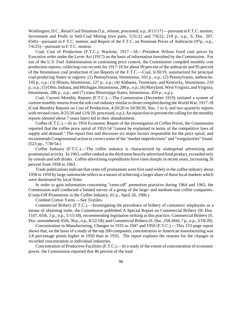Washington, D.C., Retail Coal Situation (5 p., release, processed, o.p.,  $8/11/17$ )—pursuant to F.T.C. motion; Investment and Profit in Soft-Coal Mining (two parts, 5/31/22 and 7/6/22, 218 p., o.p., S. Doc. 207, 65th)—pursuant to F.T.C. motion; and Report of the F.T.C. on Premium Prices of Anthracite (97p., o.p., 7/6/25)—pursuant to F.T.C. motion.

Coal, Cost of Production (F.T.C.), Wartime, 1917—18.—President Wilson fixed coal prices by Executive order under the Lever Act (1917) on the basis of information furnished by the Commission. For use of the U.S. Fuel Administration in continuing price control, the Commission compiled monthly cost production reports, collecting cost records for 1917-18 for about 99 percent of the anthracite and 95 percent of the bituminous coal production (Cost Reports of the F.T.C.—Coal, 6/30/19, summarized for principal coal-producing States or regions: (1) Pennsylvania, bituminous, 103 p., o.p.; (2) Pennsylvania, anthracite, 145 p., o.p.; (3) Illinois, bituminous, 127 p., o.p.; (4) Alabama, Tennessee, and Kentucky, bituminous, 210 p., o.p.; (5) Ohio, Indiana, and Michigan, bituminous, 288 p., o.p.; (6) Maryland, West Virginia, and Virginia, bituminous, 286 p., o.p.; and (7) trans-Mississippi States, bituminous, 459 p., o.p.).

Coal, Current Monthly Reports (F.T.C.).—The Commission (December 1919) initiated a system of current monthly returns from the soft coal industry similar to those compiled during the World War, 1917-18 (Coal-Monthly Reports on Cost of Production, 4/20/20 to 10/30/20, Nos. 1 to 6, and two quarterly reports with revised costs,  $8/25/20$  and  $12/6/20$ , processed, o.p.). An injunction to prevent the calling for the monthly reports (denied about 7 years later) led to their abandonment.

Coffee (F.T.C.).—In its 1954 Economic Report of the Investigation of Coffee Prices, the Commission reported that the coffee price spiral of 1953-54 "cannot be explained in terms of the competitive laws of supply and demand." The report lists and discusses six major factors responsible for the price spiral, and recommends Congressional action to correct some of the "market imperfections" and "irregularities" found. (523 pp., 7/30/54.)

Coffee Industry (F.T.C.).—The coffee industry is characterized by widespread advertising and promotional activity. In 1963, coffee ranked as the third most heavily advertised food product, exceeded only by cereals and soft drinks. Coffee advertising expenditures have risen sharply in recent years, increasing 26 percent from 1958 to 1963.

Trade publications indicate that cents-off promotions were first used widely in the coffee industry about 1958 or 1959 by large nationwide sellers as a means of achieving a larger share of those local markets which were dominated by local firms.

In order to gain information concerning "cents-off" promotion practices during 1964 and 1965, the Commission staff conducted a limited survey of a group of the large- and medium-size coffee companies. (Cents-Off Promotions in the Coffee Industry, 65 p., April 26, 1966.)

Combed Cotton Yarns.—See Textiles.

Commercial Bribery (F.T.C.).—Investigating the prevalence of bribery of customers' employees as a means of obtaining trade, the Commission published A Special Report on Commercial Bribery (H. Doc. 1107, 65th, 3 p., o.p., 5/15/18), recommending legislation striking at this practice; Commercial Bribery (S. Doc. unnumbered, 65th, 36 p., o.p., 8/22/18); and Commercial Bribery (S. Doc. 258, 66th, 7 p., o.p., 3/18/20).

Concentration in Manufacturing, Changes in 1935 to 1947 and 1950 (F.T.C.).—This 153-page report shows that, on the basis of a study of the top 200 companies, concentration in American manufacturing was 2.8 percentage points higher in 1950 than in 1935. The report explores the reasons for the changes in recorded concentration in individual industries.

Concentration of Productive Facilities (F.T.C.).—In a study of the extent of concentration of economic power, the Commission reported that 46 percent of the total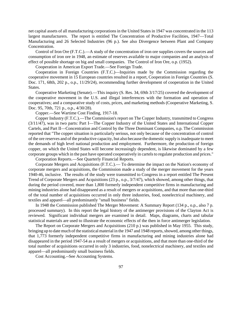net capital assets of all manufacturing corporations in the United States in 1947 was concentrated in the 113 largest manufacturers. The report is entitled The Concentration of Productive Facilities, 1947—Total Manufacturing and 26 Selected Industries (96 p.). See also Divergence between Plant and Company Concentration.

Control of Iron Ore (F.T.C.).—A study of the concentration of iron ore supplies covers the sources and consumption of iron ore in 1948, an estimate of reserves available to major companies and an analysis of effect of possible shortage on big and small companies. The Control of Iron Ore, o.p. (1952).

Cooperation in American Export Trade.—See Foreign Trade.

Cooperation in Foreign Countries (F.T.C.)—Inquiries made by the Commission regarding the cooperative movement in 15 European countries resulted in a report, Cooperation in Foreign Countries (S. Doc. 171, 68th, 202 p., o.p., 11/29/24), recommending further development of cooperation in the United States.

Cooperative Marketing (Senate).—This inquiry (S. Res. 34, 69th 3/17/25) covered the development of the cooperative movement in the U.S. and illegal interferences with the formation and operation of cooperatives; and a comparative study of costs, prices, and marketing methods (Cooperative Marketing, S. Doc. 95, 70th, 721 p., o.p., 4/30/28).

Copper.—See Wartime Cost Finding, 1917-18.

Copper Industry (F.T.C.).—The Commission's report on The Copper Industry, transmitted to Congress (3/11/47), was in two parts: Part I—The Copper Industry of the United States and International Copper Cartels, and Part II—Concentration and Control by the Three Dominant Companies, o.p. The Commission reported that "The copper situation is particularly serious, not only because of the concentration of control of the ore reserves and of the productive capacity, but also because the domestic supply isinadequate to meet the demands of high level national production and employment. Furthermore, the production of foreign copper, on which the United States will become increasingly dependent, is likewise dominated by a few corporate groups which in the past have operated cooperatively in cartels to regulate production and prices."

Corporation Reports.—See Quarterly Financial Reports.

Corporate Mergers and Acquisitions (F.T.C.).— To determine the impact on the Nation's economy of corporate mergers and acquisitions, the Commission made a study of the merger movement for the years 1940-46, inclusive. The results of the study were transmitted to Congress in a report entitled The Present Trend of Corporate Mergers and Acquisitions (23 p., o.p., 3/7/47), which showed, among other things, that during the period covered, more than 1,800 formerly independent competitive firms in manufacturing and mining industries alone had disappeared as a result of mergers or acquisitions, and that more than one-third of the total number of acquisitions occurred in only three industries, food, nonelectrical machinery, and textiles and apparel—all predominantly "small business" fields.

In 1948 the Commission published The Merger Movement: A Summary Report (134 p., o.p., also 7 p. processed summary). In this report the legal history of the antimerger provisions of the Clayton Act is reviewed. Significant individual mergers are examined in detail. Maps, diagrams, charts and tabular statistical materials are used to illustrate the economic effects of the then in force antimerger legislation.

The Report on Corporate Mergers and Acquisitions (210 p.) was published in May 1955. This study, bringing up to date much of the statistical material in the 1947 and 1948 reports, showed, among other things, that 1,773 formerly independent competitive firms in manufacturing and mining industries alone had disappeared in the period 1947-54 as a result of mergers or acquisitions, and that more than one-third of the total number of acquisitions occurred in only 3 industries, food, nonelectrical machinery, and textiles and apparel—all predominantly small business fields.

Cost Accounting.--See Accounting Systems.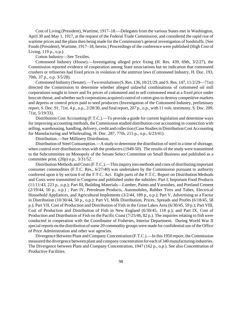Cost of Living (President), Wartime, 1917–18.—Delegates from the various States met in Washington, April 30 and May 1, 1917, at the request of the Federal Trade Commission, and considered the rapid rise of wartime prices and the plans then being made for the Commission's general investigation of foodstuffs. [See Foods(President), Wartime, 1917–18, herein.] Proceedings of the conference were published (High Cost of Living, 119 p., o.p.).

Cotton Industry—See Textiles.

Cottonseed Industry (House).—Investigating alleged price fixing (H. Res. 439, 69th, 3/2/27), the Commission reported evidence of cooperation among State associations but no indication that cottonseed crushers or refineries had fixed prices in violation of the antitrust laws (Cottonseed Industry, H. Doc. 193, 70th, 37 p., o.p. 3/5/28).

Cottonseed Industry (Senate).—Two resolutions(S.Res. 136, 10/21/29, and S.Res. 147, 11/2/29—71st) directed the Commission to determine whether alleged unlawful combinations of cottonseed oil mill corporations sought to lower and fix prices of cottonseed and to sell cottonseed meal at a fixed price under boycott threat; and whether such corporations acquired control of cotton gins to destroy competitive markets and depress or control prices paid to seed producers (Investigation of the Cottonseed Industry, preliminary report, S. Doc. 91, 71st, 4 p., o.p., 2/28/30, and final report, 207 p., o.p., with 11 vols. testimony, S. Doc. 209, 71st, 5/19/33).

Distribution Cost Accounting (F.T.C.).—To provide a guide for current legislation and determine ways for improving accounting methods, the Commission studied distribution cost accounting in connection with selling, warehousing, handling, delivery, credit and collection (Case Studies in Distribution Cost Accounting for Manufacturing and Wholesaling, H. Doc. 287, 77th, 215 p., o.p., 6/23/41).

Distribution.—See Millinery Distribution.

Distribution of Steel Consumption.—A study to determine the distribution of steel in a time of shortage, when control over distribution rests with the producers (1949-50). The results of the study were transmitted to the Subcommittee on Monopoly of the Senate Select Committee on Small Business and published as a committee print. (20p) o.p., 3/31/52.

Distribution Methods and Costs (F.T.C.).—This inquiry into methods and costs of distributing important consumer commodities (F.T.C. Res., 6/27/40) was undertaken by the Commission pursuant to authority conferred upon it by section 6 of the F.T.C. Act. Eight parts of the F.T.C. Report on Distribution Methods and Costs were transmitted to Congress and published under the subtitles: Part I, Important Food Products (11/11/43, 223 p., o.p.); Part III, Building Materials—Lumber, Paints and Varnishes, and Portland Cement (2/19/44, 50 p., o.p.) ; Part IV, Petroleum Products, Automobiles, Rubber Tires and Tubes, Electrical Household Appliances, and Agricultural Implements (3/2/44, 189 p., o.p.); Part V, Advertising as a Factor in Distribution (10/30/44, 50 p., o.p.); Part VI, Milk Distribution, Prices, Spreads and Profits (6/18/45, 58 p.); Part VII, Cost of Production and Distribution of Fish in the Great Lakes Area (6/30/45, 59 p.); Part VIII, Cost of Production and Distribution of Fish in New England (6/30/45, 118 p.); and Part IX, Cost of Production and Distribution of Fish on the Pacific Coast (7/25/46, 82 p.). The inquiries relating to fish were conducted in cooperation with the Coordinator of Fisheries, Interior Department. During World War II special reports on the distribution of some 20 commodity groups were made for confidential use of the Office of Price Administration and other war agencies.

Divergence Between Plant and CompanyConcentration (F.T.C.).—In this 1950 report, the Commission measured the divergence between plant and company concentration for each of 340 manufacturing industries. The Divergence between Plant and Company Concentration, 1947 (162 p., o.p.). See also Concentration of Productive Facilities.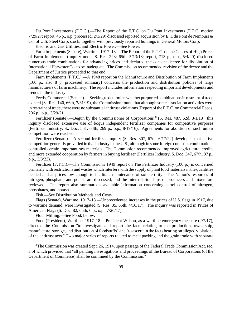Du Pont Investments (F.T.C.).—The Report of the F.T.C. on Du Pont Investments (F.T.C. motion 7/29/27; report, 46 p., o.p. processed, 2/1/29) discussed reported acquisition by E. I. du Pont de Nemours & Co. of U.S. Steel Corp. stock, together with previously reported holdings in General Motors Corp.

Electric and Gas Utilities, and Electric Power.—See Power.

Farm Implements (Senate), Wartime, 1917–18.—The Report of the F.T.C. on the Causes of High Prices of Farm Implements (inquiry under S. Res. 223; 65th, 5/13/18; report, 713 p., o.p., 5/4/20) disclosed numerous trade combinations for advancing prices and declared the consent decree for dissolution of International Harvester Co. to be inadequate. The Commission recommended revision of the decree and the Department of Justice proceeded to that end.

Farm Implements (F.T.C.).—A 1948 report on the Manufacture and Distribution of Farm Implements (160 p., also 8 p. processed summary) concerns the production and distribution policies of large manufacturers of farm machinery. The report includes information respecting important developments and trends in the industry.

Feeds,Commercial(Senate).—Seeking to determinewhether purported combinations in restraint of trade existed (S. Res. 140, 66th, 7/31/19), the Commission found that although some association activities were in restraint of trade, there were no substantial antitrust violations (Report of the F.T.C. on Commercial Feeds, 206 p., o.p., 3/29/21.

Fertilizer (Senate).—Begun by the Commissioner of Corporations <sup>8</sup> (S. Res. 487, 62d, 3/1/13), this inquiry disclosed extensive use of bogus independent fertilizer companies for competitive purposes (Fertilizer Industry, S., Doc. 551, 64th, 269 p., o.p., 8/19/16). Agreements for abolition of such unfair competition were reached.

Fertilizer (Senate).—A second fertilizer inquiry (S. Res. 307, 67th, 6/17/22) developed that active competition generally prevailed in that industry in the U.S., although in some foreign countries combinations controlled certain important raw materials. The Commission recommended improved agricultural credits and more extended cooperation by farmers in buying fertilizer (Fertilizer Industry, S. Doc. 347, 67th, 87 p., o.p., 3/3/23).

Fertilizer (F.T.C.).—The Commission's 1949 report on The Fertilizer Industry (100 p.) is concerned primarily with restrictions and wastes which interfere with the supply of plant food materials in the quantities needed and at prices low enough to facilitate maintenance of soil fertility. The Nation's resources of nitrogen, phosphate, and potash are discussed, and the inter-relationships of producers and mixers are reviewed. The report also summarizes available information concerning cartel control of nitrogen, phosphates, and potash.

Fish.—See Distribution Methods and Costs.

Flags (Senate), Wartime, 1917–18.—Unprecedented increases in the prices of U.S. flags in 1917, due to wartime demand, were investigated (S. Res. 35, 65th, 4/16/17). The inquiry was reported in Prices of American Flags (S. Doc. 82, 65th, 6 p., o.p., 7/26/17).

Flour Milling.—See Food, below.

\_\_\_\_\_\_\_\_\_

Food (President), Wartime, 1917–18.—President Wilson, as a wartime emergency measure (2/7/17), directed the Commission "to investigate and report the facts relating to the production, ownership, manufacture, storage, and distribution of foodstuffs" and "to ascertain the facts bearing on alleged violations of the antitrust acts." Two major series of reports related to meat packing and the grain trade with separate

 $8$ The Commission was created Sept. 26, 1914, upon passage of the Federal Trade Commission Act, sec. 3 of which provided that "all pending investigations and proceedings of the Bureau of Corporations (of the Department of Commerce) shall be continued by the Commission."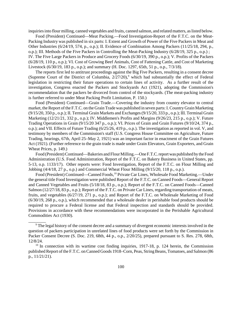inquiries into flour milling, canned vegetables and fruits, canned salmon, and related matters, as listed below.

Food (President) Continued—Meat Packing.—Food Investigation-Report of the F.T.C. on the Meat-Packing Industry was published in six parts: I. Extent and Growth of Power of the Five Packers in Meat and Other Industries (6/24/19, 574, p., o.p.); II. Evidence of Combination Among Packers (11/25/18, 294, p., o.p.); III. Methods of the Five Packers in Controlling the Meat-Packing Industry (6/28/19, 325 p., o.p.) ; IV. The Five Large Packers in Produce and Grocery Foods (6/30/19, 390 p., o.p.); V. Profits of the Packers (6/28/19, 110 p., o.p.); VI. Cost of Growing Beef Animals, Cost of Fattening Cattle, and Cost of Marketing Livestock (6/30/19, 183 p., o.p.); and summary (H. Doc. 1297, 65th, 51 p., o.p., 7/3/18).

The reports first led to antitrust proceedings against the Big Five Packers, resulting in a consent decree (Supreme Court of the District of Columbia,  $2/27/20$ ),<sup>9</sup> which had substantially the effect of Federal legislation in restricting their future operations to certain lines of activity. As a further result of the investigation, Congress enacted the Packers and Stockyards Act (1921), adopting the Commission's recommendation that the packers be divorced from control of the stockyards. (The meat-packing industry is further referred to under Meat Packing Profit Limitation, P. 150.)

Food (President) Continued—Grain Trade.—Covering the industry from country elevator to central market, the Report of the F.T.C. on the Grain Trade was published in seven parts: I. Country Grain Marketing (9/15/20, 350 p., o.p.); II. Terminal Grain Markets and Exchanges(9/15/20, 333 p., o.p.); III. Terminal Grain Marketing (12/21/21, 332 p., o.p.); IV. Middlemen's Profits and Margins (9/26/23, 215 p., o.p.); V. Future Trading Operations in Grain (9/15/20 347 p., o.p.); VI. Prices of Grain and Grain Futures (9/10/24, 374 p., o.p.); and VII. Effects of Future Trading (6/25/26, 419 p., o.p.). The investigation as reported in vol. V, and testimony by members of the Commission's staff (U.S. Congress House Committee on Agriculture, Future Trading, hearings, 67th, April 25–May 2, 1921) was an important factor in enactment of the Grain Futures Act (1921). (Further reference to the grain trade is made under Grain Elevators, Grain Exporters, and Grain Wheat Prices, p. 149.)

Food (President) Continued—Bakeries and Flour Milling.—One F.T.C. report was published by the Food Administration (U.S. Food Administration, Report of the F.T.C. on Bakery Business in United States, pp. 5-13, o.p. 1133/17). Other reports were: Food Investigation, Report of the F.T.C. on Flour Milling and Jobbing (4/4/18, 27 p., o.p.) and Commercial Wheat Flour Milling (9/15/20, 118 p., o.p.).

Food (President) Continued—Canned Foods,<sup>10</sup> Private Car Lines, Wholesale Food Marketing.—Under the general title Food Investigation were published Report of the F.T.C. on Canned Foods—General Report and Canned Vegetables and Fruits (5/18/18, 83 p., o.p.); Report of the F.T.C. on Canned Foods—Canned Salmon (12/27/18, 83 p., o.p.); Report of the F.T.C. on Private Car Lines, regarding transportation of meats, fruits, and vegetables (6/27/19, 271 p., o.p.); and Report of the F.T.C. on Wholesale Marketing of Food (6/30/19, 268 p., o.p.), which recommended that a wholesale dealer in perishable food products should be required to procure a Federal license and that Federal inspection and standards should be provided. Provisions in accordance with these recommendations were incorporated in the Perishable Agricultural Commodities Act (1930).

\_\_\_\_\_\_\_\_

<sup>&</sup>lt;sup>9</sup> The legal history of the consent decree and a summary of divergent economic interests involved in the question of packers participation in unrelated lines of food products were set forth by the Commission in Packer Consent Decree (S. Doc. 219, 68th, 44 p., o.p., 2/20/25), prepared pursuant to S. Res. 278, 68th, 12/8/24.

<sup>&</sup>lt;sup>10</sup> In connection with its wartime cost finding inquiries, 1917-18, p. 124 herein, the Commission published Report of the F.T.C. on Canned Goods 1918–Corn, Peas, String Beans, Tomatoes, and Salmon (86 p., 11/21/21).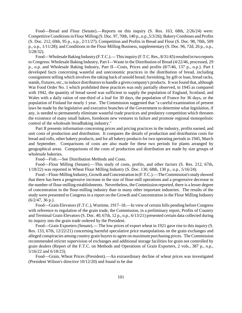Food—Bread and Flour (Senate).—Reports on this inquiry (S. Res. 163, 68th, 2/26/24) were: Competitive Conditions in Flour Milling (S. Doc. 97, 70th, 140 p., o.p., 5/3/26); Bakery Combines and Profits (S. Doc. 212, 69th, 95 p., o.p., 2/11/27); Competition and Profits in Bread and Flour (S. Doc. 98, 70th, 509 p., o.p., 1/11/28); and Conditions in the Flour Milling Business, supplementary (S. Doc. 96, 72d, 26 p., o.p., 5/28/32).

Food—Wholesale Baking Industry (F.T.C.).— This inquiry (F.T.C. Res., 8/31/45) resulted in two reports to Congress: Wholesale Baking Industry, Part I—Waste in the Distribution of Bread (4/22/46, processed, 29 p., o.p. and Wholesale Baking Industry, Part II—Costs, Prices and profits (8/7/46, 137 p., o.p.). Part I developed facts concerning wasteful and uneconomic practices in the distribution of bread, including consignment selling which involves the taking back of unsold bread; furnishing, by gift or loan, bread racks, stands, fixtures, etc., to induce distributorsto handle a given company's products. It was found that, although War Food Order No. 1 which prohibited these practices was only partially observed, in 1945 as compared with 1942, the quantity of bread saved was sufficient to supply the population of England, Scotland, and Wales with a daily ration of one-third of a loaf for 30 days, the population of France for 36 days, or the population of Finland for nearly 1 year. The Commission suggested that "a careful examination of present laws be made by the legislative and executive branches of the Government to determine what legislation, if any, is needed to permanently eliminate wasteful trade practices and predatory competition which threaten the existence of many small bakers, foredoom new ventures to failure and promote regional monopolistic control of the wholesale breadbaking industry."

Part II presents information concerning prices and pricing practices in the industry, profits earned, and unit costs of production and distribution. It compares the details of production and distribution costs for bread and rolls, other bakery products, and for all bakery products for two operating periods in 1945, March and September. Comparisons of costs are also made for these two periods for plants arranged by geographical areas. Comparisons of the costs of production and distribution are made by size groups of wholesale bakeries.

Food—Fish.—See Distribution Methods and Costs.

Food—Flour Milling (Senate).—This study of costs, profits, and other factors (S. Res. 212, 67th, 1/18/22) was reported in Wheat Flour Milling Industry (S. Doc. 130, 68th, 130 p., o.p., 5/16/24).

Food—Flour-Milling Industry, Growth and Concentration in (F.T.C.).—The Commission's study showed that there has been a progressive increase in the size of flour-mill operations and a progressive decrease in the number of flour-milling establishments. Nevertheless, the Commission reported, there is a lesser degree of concentration in the flour-milling industry than in many other important industries. The results of the study were presented to Congress in a report on the Growth and Concentration in the Flour Milling Industry (6/2/47, 36 p.).

Food—Grain Elevators(F.T.C.), Wartime, 1917–18.—In view of certain bills pending before Congress with reference to regulation of the grain trade, the Commission, in a preliminary report, Profits of Country and Terminal Grain Elevators (S. Doc. 40, 67th, 12 p., o.p., 6/13/21) presented certain data collected during its inquiry into the grain trade ordered by the President.

Food—Grain Exporters (Senate).— The low prices of export wheat in 1921 gave rise to this inquiry (S. Res. 133, 67th, 12/22/21) concerning harmful speculative price manipulations on the grain exchanges and alleged conspiracies among country grain buyers to agree on maximum purchasing prices. The Commission recommended stricter supervision of exchanges and additional storage facilities for grain not controlled by grain dealers (Report of the F.T.C. on Methods and Operations of Grain Exporters, 2 vols., 387 p., o.p., 5/16/22 and 6/18/23).

Food—Grain, Wheat Prices (President).—An extraordinary decline of wheat prices was investigated (President Wilson's directive 10/12/20) and found to be due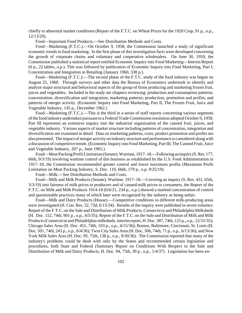chiefly to abnormal market conditions (Report of the F.T.C. on Wheat Prices for the 1920 Crop, 91 p., o.p., 12/13/20).

Food—Important Food Products.—See Distribution Methods and Costs.

Food—Marketing (F.T.C.).—On October 9, 1958, the Commission launched a study of significant economic trends in food marketing. In the first phase of this investigation facts were developed concerning the growth of corporate chains and voluntary and cooperative wholesalers. On June 30, 1959, the Commission published a statistical report entitled Economic Inquiry into Food Marketing—Interim Report (6 p., 22 tables, o.p.). This was followed by publication of Economic Inquiry into Food Marketing, Part I, Concentration and Integration in Retailing (January 1960, 338 p.).

Food—Marketing (F.T.C.).—The second phase of the F.T.C. study of the food industry was begun on August 25, 1960. Through surveys and other data the Bureau of Economics undertook to identify and analyze major structural and behavioral aspects of the group of firms producing and marketing frozen fruit, juices and vegetables. Included in the study are chapters reviewing: production and consumption patterns; concentration, diversification and integration; marketing patterns; production, promotion and profits; and patterns of merger activity. (Economic Inquiry into Food Marketing, Part II, The Frozen Fruit, Juice and Vegetable Industry, 145 p., December 1962.)

Food—Marketing (F.T.C.).—This is the third in a series of staff reports concerning various segments of the food industry undertaken pursuant to a Federal Trade Commission resolution adopted October 9, 1958. Part III represents an extensive inquiry into the industrial organization of the canned fruit, juices, and vegetable industry. Various aspects of market structure including patterns of concentration, integration and diversification are examined in detail. Data on marketing patterns, costs, product promotion and profits are also presented. The impact of merger activity on industry structure and performance is considered along with a discussion of competitive trends. (Economic Inquiry into Food Marketing, Part III, The Canned Fruit, Juice and Vegetable Industry, 207 p., June 1965.)

Food—Meat Packing Profit Limitation (Senate), Wartime, 1917–18.—Following an inquiry (S. Res. 177, 66th, 9/3/19) involving wartime control of this business as established by the U.S. Food Administration in 1917–18, the Commission recommended greater control and lower maximum profits (Maximum Profit Limitation on Meat Packing Industry, S. Doc. 110, 66th, 179 p., o.p. 9/25/19).

Food—Milk.—See Distribution Methods and Costs.

Food—Milk and Milk Products (Senate), Wartime, 1917–18.—Covering an inquiry (S. Res. 431, 65th, 3/3/19) into fairness of milk prices to producers and of canned-milk prices to consumers, the Report of the F.T.C. on Milk and Milk Products 1914-18 (6/6/21, 234 p., o.p.) showed a marked concentration of control and questionable practices many of which later were recognized by the industry as being unfair.

Food—Milk and Dairy Products (House).—Competitive conditions in different milk-producing areas were investigated (H. Con. Res. 32, 73d, 6/15/34). Results of the inquiry were published in seven volumes: Report of the F.T.C. on the Sale and Distribution of Milk Products, Connecticut and Philadelphia Milksheds (H. Doc. 152, 74th, 901 p., o.p., 4/5/35); Report of the F.T.C. on the Sale and Distribution of Milk and Milk Products(Connecticut and Philadelphia milksheds, interimreport, H. Doc. 387, 74th, 125 p., o.p., 12/31/35); Chicago Sales Area (H. Doc. 451, 74th, 103 p., o.p., 4/15/36); Boston, Baltimore, Cincinnati, St. Louis (H. Doc. 501, 74th, 243 p., o.p., 6/4/36); Twin City Sales Area (H. Doc. 506, 74th, 71 p., o.p., 6/13/36); and New York Milk Sales Area (H. Doc. 95, 75th, 138 p., o.p., 9/30/36). The Commission reported that many of the industry's problems could be dealt with only by the States and recommended certain legislation and procedures, both State and Federal (Summary Report on Conditions With Respect to the Sale and Distribution of Milk and Dairy Products, H. Doc. 94, 75th, 39 p., o.p., 1/4/37). Legislation has been en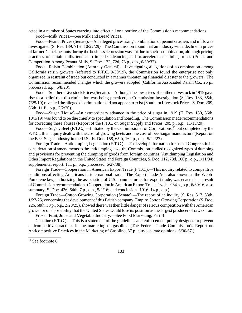acted in a number of States carrying into effect all or a portion of the Commission's recommendations.

Food—Milk Prices.—See Milk and Bread Prices.

Food—Peanut Prices (Senate).—An alleged price-fixing combination of peanut crushers and mills was investigated (S. Res. 139, 71st, 10/22/29). The Commission found that an industry-wide decline in prices of farmers'stock peanuts during the business depression was not due to such a combination, although pricing practices of certain mills tended to impede advancing and to accelerate declining prices (Prices and Competition Among Peanut Mills, S. Doc. 132, 72d, 78 p., o.p., 6/30/32).

Food—Raisin Combination (Attorney General).—Investigating allegations of a combination among California raisin growers (referred to F.T.C. 9/30/19), the Commission found the enterprise not only organized in restraint of trade but conducted in a manner threatening financial disaster to the growers. The Commission recommended changes which the growers adopted (California Associated Raisin Co., 26 p., processed, o.p., 6/8/20).

Food—Southern Livestock Prices (Senate).—Although the low prices of southern livestock in 1919 gave rise to a belief that discrimination was being practiced, a Commission investigation (S. Res. 133, 66th, 7/25/19) revealed the alleged discrimination did not appear to exist (Southern Livestock Prices, S. Doc. 209, 66th, 11 P., o.p., 2/2/20).

Food—Sugar (House).–An extraordinary advance in the price of sugar in 1919 (H. Res. 150, 66th, 10/1/19) wasfound to be due chiefly to speculation and hoarding. The Commission made recommendations for correcting these abuses (Report of the F.T.C. on Sugar Supply and Prices, 205 p., o.p., 11/15/20).

Food—Sugar, Beet (F.T.C.).—Initiated by the Commissioner of Corporations,<sup>11</sup> but completed by the F.T.C., this inquiry dealt with the cost of growing beets and the cost of beet-sugar manufacture (Report on the Beet Sugar Industry in the U.S., H. Doc. 158, 65th, 164 p., o.p., 5/24/27).

Foreign Trade—Antidumping Legislation (F.T.C.).—To develop information for use of Congress in its consideration of amendmentsto the antidumping laws, theCommission studied recognized types of dumping and provisions for preventing the dumping of goods from foreign countries (Antidumping Legislation and Other Import Regulationsin the United States and Foreign Countries, S. Doc. 112, 73d, 100 p., o.p., 1/11/34; supplemental report, 111 p., o.p., processed, 6/27/38).

Foreign Trade—Cooperation in American Export Trade (F.T.C.).—This inquiry related to competitive conditions affecting Americans in international trade. The Export Trade Act, also known as the Webb-Pomerene law, authorizing the association of U.S. manufacturers for export trade, was enacted as a result ofCommission recommendations(Cooperation in AmericanExport Trade, 2 vols., 984 p., o.p., 6/30/16; also summary, S. Doc. 426, 64th, 7 p., o.p., 5/2/16; and conclusions 1916. 14 p., o.p.).

Foreign Trade—Cotton Growing Corporation (Senate).—The report of an inquiry (S. Res. 317, 68th, 1/27/25) concerning the development of this British company, Empire Cotton Growing Corporation (S. Doc. 226, 68th, 30 p., o.p.,  $2/28/25$ ), showed there was then little danger of serious competition with the American grower or of a possibility that the United States would lose its position asthe largest producer of raw cotton.

Frozen Fruit, Juice and Vegetable Industry.—See Food Marketing, Part II.

Gasoline (F.T.C.).—This is a statement of the guidelines and enforcement policy designed to prevent anticompetitive practices in the marketing of gasoline. (The Federal Trade Commission's Report on Anticompetitive Practices in the Marketing of Gasoline, 67 p. plus separate opinions, 6/30/67.)

\_\_\_\_\_\_\_\_\_\_\_\_\_\_\_  $11$  See footnote 8.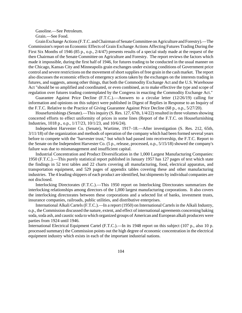Gasoline.—See Petroleum.

Grain.—See Food.

GrainExchange Actions(F.T.C. andChairman of Senate Committee on Agriculture and Forestry).—The Commission's report on Economic Effects of Grain Exchange Actions Affecting Futures Trading During the First Six Months of 1946 (85 p., o.p., 2/4/47) presents results of a special study made at the request of the then Chairman of the Senate Committee on Agriculture and Forestry. The report reviews the factors which made it impossible, during the first half of 1946, for futures trading to be conducted in the usual manner on the Chicago, Kansas City and Minneapolis grain exchanges under existing conditions of Government price control and severe restrictions on the movement of short supplies of free grain in the cash market. The report also discusses the economic effects of emergency actions taken by the exchanges on the interests trading in futures, and suggests, among other things, that both the Commodity Exchange Act and the U.S. Warehouse Act "should be so amplified and coordinated, or even combined, as to make effective the type and scope of regulation over futures trading contemplated by the Congress in enacting the Commodity Exchange Act."

Guarantee Against Price Decline (F.T.C.).—Answers to a circular letter (12/26/19) calling for information and opinions on this subject were published in Digest of Replies in Response to an Inquiry of the F.T.C. Relative to the Practice of Giving Guarantee Against Price Decline (68 p., o.p., 5/27/20).

Housefurnishings (Senate).—This inquiry (S. Res. 127, 67th, 1/4/22) resulted in three volumes showing concerted efforts to effect uniformity of prices in some lines (Report of the F.T.C. on Housefurnishing Industries, 1018 p., o.p., 1/17/23, 10/1/23, and 10/6/24).

Independent Harvester Co. (Senate), Wartime, 1917–18.—After investigation (S. Res. 212, 65th, 3/11/18) of the organization and methods of operation of the company which had been formed several years before to compete with the "harvester trust," but which had passed into receivership, the F.T.C. Report to the Senate on the Independent Harvester Co. (5 p., release, processed, o.p., 5/15/18) showed the company's failure was due to mismanagement and insufficient capital.

Industrial Concentration and Product Diversification in the 1,000 Largest Manufacturing Companies: 1950 (F.T.C.).—This purely statistical report published in January 1957 has 127 pages of text which state the findings in 52 text tables and 22 charts covering all manufacturing, food, electrical apparatus, and transportation equipment, and 529 pages of appendix tables covering these and other manufacturing industries. The 4 leading shippers of each product are identified, but shipments by individual companies are not disclosed.

Interlocking Directorates (F.T.C.).—This 1950 report on Interlocking Directorates summarizes the interlocking relationships among directors of the 1,000 largest manufacturing corporations. It also covers the interlocking directorates between these corporations and a selected list of banks, investment trusts, insurance companies, railroads, public utilities, and distributive enterprises.

International Alkali Cartels (F.T.C.).—In a report (1950) on International Cartels in the Alkali Industry, o.p., the Commission discussed the nature, extent, and effect of international agreements concerning baking soda,soda ash, and caustic soda to which organized groups of American and European alkali producers were parties from 1924 until 1946.

International Electrical Equipment Cartel (F.T.C.).—In its 1948 report on this subject (107 p., also 10 p. processed summary) the Commission points out the high degree of economic concentration in the electrical equipment industry which exists in each of the important industrial nations.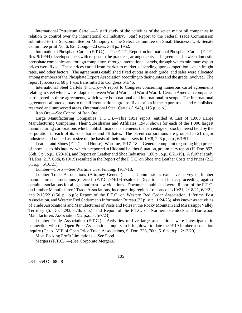International Petroleum Cartel.—A staff study of the activities of the seven major oil companies in relation to control over the international oil industry. Staff Report to the Federal Trade Commission submitted to the Subcommittee on Monopoly of the Select Committee on Small Business, U.S. Senate Committee print No. 6, 82d Cong.—2d sess. 378 p., 1952.

International Phosphate Cartels (F.T.C.).—The F.T.C. Report on International Phosphate Cartels (F.T.C. Res. 9/19/44) developed facts with respect to the practices, arrangements and agreements between domestic phosphate companies and foreign competitors through international cartels, through which minimum export prices were fixed. These prices varied from market to market, depending upon competition, ocean freight rates, and other factors. The agreements established fixed quotas in each grade, and sales were allocated among members of the Phosphate Export Association according to their quotas and the grade involved. The report (processed, 60 p.) was transmitted to Congress 5/1/46.

International Steel Cartels (F.T.C.).—A report to Congress concerning numerous cartel agreements relating to steel which were adopted between World War I and World War II. Certain American companies participated in these agreements, which were both national and international in scope. The international agreements allotted quotas to the different national groups, fixed prices in the export trade, and established reserved and unreserved areas. (International Steel Cartels (1948), 115 p., o.p.)

Iron Ore.—See Control of Iron Ore.

Large Manufacturing Companies (F.T.C.).—This 1951 report, entitled A List of 1,000 Large Manufacturing Companies, Their Subsidiaries and Affiliates, 1948, shows for each of the 1,000 largest manufacturing corporations which publish financial statements the percentage of stock interest held by the corporation in each of its subsidiaries and affiliates. The parent corporations are grouped in 21 major industries and ranked as to size on the basis of their total assets in 1948, 223 p., o.p., 6/1/51.

Leather and Shoes (F.T.C. and House), Wartime, 1917–18.—General complaint regarding high prices of shoes led to this inquiry, which is reported in Hide and Leather Situation, preliminary report (H. Doc. 857, 65th, 5 p., o.p., 1/23/18), and Report on Leather and Shoe Industries (180 p., o.p., 8/21/19). A further study (H. Res. 217, 66th, 8/19/19) resulted in the Report of the F.T.C. on Shoe and Leather Costs and Prices (212 p., o.p., 6/10/21).

Lumber—Costs.—See Wartime Cost Finding, 1917-18.

Lumber Trade Associations (Attorney General).—The Commission's extensive survey of lumber manufacturers' associations (referred to F.T.C., 9/4/19) resulted in Department of Justice proceedings against certain associations for alleged antitrust law violations. Documents published were: Report of the F.T.C. on Lumber Manufacturers' Trade Associations, incorporating regional reports of 1/10/21, 2/18/21, 6/9/21, and 2/15/22 (150 p., o.p.); Report of the F.T.C. on Western Red Cedar Association, Lifetime Post Association, and Western Red Cedarmen's Information Bureau (22 p., o.p., 1/24/23), also known as activities of Trade Associations and Manufacturers of Posts and Poles in the Rocky Mountain and Mississippi Valley Territory (S. Doc. 293, 67th, o.p.); and Report of the F.T.C. on Northern Hemlock and Hardwood Manufacturers Association (52 p.,o.p., 5/7/23).

Lumber Trade Association (F.T.C.).—Activities of five large associations were investigated in connection with the Open-Price Associations inquiry to bring down to date the 1919 lumber association inquiry (Chap. VIII of Open-Price Trade Associations, S. Doc. 226, 70th, 516 p., o.p., 2/13/29).

Meat-Packing Profit Limitations.—See Food.

Mergers (F.T.C.).—(See Corporate Mergers.)

284 - 559 O - 68 - 8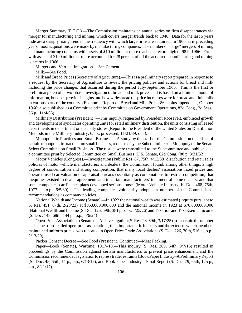Merger Summary (F.T.C.).—The Commission maintains an annual series on firm disappearances via merger for manufacturing and mining, which covers merger trends back to 1940. Data for the last 5 years indicate a sharply rising trend in the frequency with which large firms are acquired. In 1966, as in preceding years, most acquisitions were made by manufacturing companies. The number of "large" mergers of mining and manufacturing concerns with assets of \$10 million or more reached a record high of 98 in 1966. Firms with assets of \$100 million or more accounted for 28 percent of all the acquired manufacturing and mining concerns in 1966.

Mergers and Vertical Integration.—See Cement.

Milk.—See Food.

Milk and Bread Prices (Secretary of Agriculture).—This is a preliminary report prepared in response to a request by the Secretary of Agriculture to review the pricing policies and actions for bread and milk including the price changes that occurred during the period July-September 1966. This is the first or preliminary step of a two-phase investigation of bread and milk prices and is based on a limited amount of information, but does provide insights into how widespread the price increases were for bread and fluid milk in various parts of the country. (Economic Report on Bread and Milk Prices 86 p. plus appendices, October 1966; also published as a Committee print by Committee on Government Operations, 82d Cong., 2d Sess., 56 p., 11/4/66).

Millinery Distribution (President).—This inquiry, requested by President Roosevelt, embraced growth and development of syndicates operating units for retail millinery distribution, the units consisting of leased departments in department or specialty stores (Report to the President of the United States on Distribution Methods in the Millinery Industry, 65 p., processed, 11/21/39, o.p.).

Monopolistic Practices and Small Business.—A study by the staff of the Commission on the effect of certain monopolistic practices on small business, requested by the Subcommittee on Monopoly of the Senate Select Committee on Small Business. The results were transmitted to the Subcommittee and published as a committee print by Selected Committee on Small Business, U.S. Senate, 82d Cong. (88 p. 3/31/52).

Motor Vehicles (Congress).—Investigation (Public Res. 87, 75th, 4/13/38) distribution and retail sales policies of motor vehicle manufacturers and dealers, the Commission found, among other things, a high degree of concentration and strong competition; that many local dealers' associations fixed prices and operated used-car valuation or appraisal bureaus essentially as combinations to restrict competition; that inequities existed in dealer agreements and in certain manufacturers' treatment of some dealers; and that some companies' car finance plans developed serious abuses (Motor Vehicle Industry, H. Doc. 468, 76th, 1077 p., o.p., 6/5/39). The leading companies voluntarily adopted a number of the Commission's recommendations as company policies.

National Wealth and Income (Senate).—In 1922 the national wealth was estimated (inquiry pursuant to S. Res. 451, 67th, 2/28/23) at \$353,000,000,000 and the national income in 1923 at \$70,000,000,000 [National Wealth and Income (S. Doc. 126, 69th, 381 p., o.p., 5/25/26) and Taxation and Tax-Exempt Income (S. Doc. 148, 68th, 144 p., o.p., 6/6/24)].

Open-Price Associations (Senate).—An investigation (S.Res. 28, 69th, 3/17/25) to ascertain the number and names of so-called open-price associations, their importance in industry and the extent to which members maintained uniform prices, was reported in Open-Price Trade Associations (S. Doc. 226, 70th, 516 p., o.p., 2/13/29).

Packer Consent Decree.—See Food (President) Continued—Meat Packing.

Paper—Book (Senate), Wartime, 1917–18.—This inquiry (S. Res. 269, 64th, 9/7/16) resulted in proceedings by the Commission against certain manufacturers to prevent price enhancement and the Commission recommended legislation to repress trade restraints [Book Paper Industry–A Preliminary Report (S. Doc. 45, 65th, 11 p., o.p., 6/13/17), and Book Paper Industry—Final Report (S. Doc. 79, 65th, 125 p., o.p., 8/21/17)].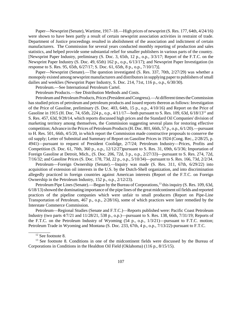Paper—Newsprint (Senate), Wartime, 1917–18.—High prices of newsprint (S. Res. 177, 64th, 4/24/16) were shown to have been partly a result of certain newsprint association activities in restraint of trade. Department of Justice proceedings resulted in abolishment of the association and indictment of certain manufacturers. The Commission for several years conducted monthly reporting of production and sales statistics, and helped provide some substantial relief for smaller publishers in various parts of the country. [Newsprint Paper Industry, preliminary (S. Doc. 3, 65th, 12 p., o.p., 3/3/17; Report of the F.T.C. on the Newsprint Paper Industry (S. Doc. 49, 65th) 162 p., o.p., 6/13/17); and Newsprint Paper Investigation (in response to S. Res. 95, 65th, 6/27/17; S. Doc. 61, 65th, 8 p., o.p., 7/10/17)].

Paper—Newsprint (Senate).—The question investigated (S. Res. 337, 70th, 2/27/29) was whether a monopoly existed among newsprint manufacturers and distributorsin supplying paperto publishers ofsmall dailies and weeklies (Newsprint Paper Industry, S. Doc. 214, 71st, 116 p., o.p., 6/30/30).

Petroleum.—See International Petroleum Cartel.

Petroleum Products.—See Distribution Methods and Costs.

Petroleum and Petroleum Products, Prices (President and Congress).—At different times the Commission has studied prices of petroleum and petroleum products and issued reports thereon as follows: Investigation of the Price of Gasoline, preliminary (S. Doc. 403, 64th, 15 p., o.p., 4/10/16) and Report on the Price of Gasoline in 1915 (H. Doc. 74, 65th, 224 p., o.p., 4/11/17—both pursuant to S. Res. 109, 63d, 6/18/13<sup>12</sup> and S. Res. 457, 63d, 9/28/14, which reports discussed high prices and the Standard Oil Companies' division of marketing territory among themselves, the Commission suggesting several plans for restoring effective competition; Advance in the Prices of Petroleum Products (H. Doc. 801, 66th, 57 p., o.p., 6/1/20).—pursuant to H. Res. 501, 66th, 4/5/20, in which report the Commission made constructive proposals to conserve the oil supply; Letter of Submittal and Summary of Report on Gasoline Prices in 1924 (Cong. Rec., 2/28/25, p. 4941)—pursuant to request of President Coolidge, 2/7/24; Petroleum Industry—Prices, Profits and Competition (S. Doc. 61, 70th, 360 p., o.p., 12/12/27)pursuant to S. Res. 31, 69th, 6/3/36; Importation of Foreign Gasoline at Detroit, Mich., (S. Doc. 206, 72d, 3 p., o.p., 2/27/33)—pursuant to S. Res. 274, 72d, 7/16/32; and Gasoline Prices (S. Doc. 178, 73d, 22 p., o.p., 5/10/34)—pursuant to S. Res. 166, 73d, 2/2/34.

Petroleum—Foreign Ownership (Senate).—Inquiry was made (S. Res. 311, 67th, 6/29/22) into acquisition of extension oil interests in the U.S. by the Dutch-Shell organization, and into discrimination allegedly practiced in foreign countries against American interests (Report of the F.T.C. on Foreign Ownership in the Petroleum Industry, 152 p., o.p., 2/12/23).

Petroleum Pipe Lines (Senate).—Begun by the Bureau of Corporations,<sup>13</sup> this inquiry (S. Res. 109, 63d,  $6/18/13$ ) showed the dominating importance of the pipe lines of the great midcontinent oil fields and reported practices of the pipeline companies which were unfair to small producers (Report on Pipe-Line Transportation of Petroleum, 467 p., o.p., 2/28/16), some of which practices were later remedied by the Interstate Commerce Commission.

Petroleum—Regional Studies (Senate and F.T.C.)—Reports published were: Pacific Coast Petroleum Industry (two parts 4/7/21 and 11/28/21, 538 p., o.p.)—pursuant to S. Res. 138, 66th, 7/31/19; Reports of the F.T.C. on the Petroleum Industry of Wyoming (54 p., o.p., 1/3/21)—pursuant to F.T.C. motion; Petroleum Trade in Wyoming and Montana (S. Doc. 233, 67th, 4 p., o.p., 7/13/22)-pursuant to F.T.C.

\_\_\_\_\_\_\_\_\_\_

 $\overline{12}$  See footnote 8.

<sup>&</sup>lt;sup>13</sup> See footnote 8. Conditions in one of the midcontinent fields were discussed by the Bureau of Corporations in Conditions in the Healdton Oil Field (Oklahoma) (116 p., 8/15/15).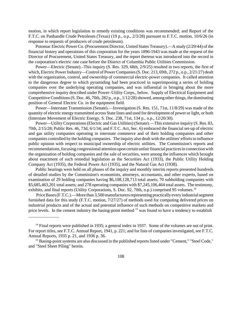motion, in which report legislation to remedy existing conditions was recommended; and Report of the F.T.C. on Panhandle Crude Petroleum (Texas) (19 p., o.p., 2/3/28) pursuant to F.T.C. motion, 10/6/26 (in response to requests of producers of crude petroleum).

Potomac Electric Power Co. (Procurement Director, United States Treasury).—A study (2/29/44) of the financial history and operations of this corporation for the years 1896-1943 was made at the request of the Director of Procurement, United States Treasury, and the report thereon was introduced into the record in the corporation's electric rate case before the District of Columbia Public Utilities Commission.

Power—Electric (Senate).–This inquiry (S. Res. 329, 68th, 2/9/25) resulted in two reports, the first of which, Electric Power Industry—Control of Power Companies (S. Doc. 213, 69th, 272 p., o.p., 2/21/27) dealt with the organization, control, and ownership of commercial electric-power companies. It called attention to the dangerous degree to which pyramiding had been practiced in superimposing a series of holding companies over the underlying operating companies, and was influential in bringing about the more comprehensive inquiry described under Power–Utility Corps., below. Supply of Electrical Equipment and Competitive Conditions (S. Doc. 46, 70th, 282 p., o.p., 1/12/28) showed, among other things, the dominating position of General Electric Co. in the equipment field.

Power—Interstate Transmission (Senate).—Investigation (S. Res. 151, 71st, 11/8/29) was made of the quantity of electric energy transmitted across State lines and used for development of power or light, or both (Interstate Movement of Electric Energy, S. Doc. 238, 71st, 134 p., o.p., 12/20/30).

Power—Utility Corporations(Electric and Gas Utilities) (Senate).—This extensive inquiry (S. Res. 83, 70th, 2/15/28; Public Res. 46, 73d, 6/1/34; and F.T.C. Act, Sec. 6) embraced the financial set-up of electric and gas utility companies operating in interstate commerce and of their holding companies and other companies controlled by the holding companies. The inquiry also dealt with the utilities' efforts to influence public opinion with respect to municipal ownership of electric utilities. The Commission's reports and recommendations, focusing congressional attention upon certain unfair financial practices in connection with the organization of holding companies and the sale of securities, were among the influences which brought about enactment of such remedial legislation as the Securities Act (1933), the Public Utility Holding Company Act (1935), the Federal Power Act (1935), and the Natural Gas Act (1938).

Public hearings were held on all phases of the inquiry and monthly interim reports presented hundreds of detailed studies by the Commission's economists, attorneys, accountants, and other experts, based on examination of 29 holding companies having \$6,108,128,713 total assets; 70 subholding companies with \$5,685,463,201 total assets; and 278 operating companies with \$7,245,106,464 total assets. The testimony, exhibits, and final reports (Utility Corporations, S. Doc. 92, 70th, o.p.) comprised 95 volumes.<sup>14</sup>

Price Bases (F.T.C.).—More than 3,500 manufacturers representing practically every industrial segment furnished data for this study (F.T.C. motion, 7/27/27) of methods used for computing delivered prices on industrial products and of the actual and potential influence of such methods on competitive markets and price levels. In the cement industry the basing-point method <sup>15</sup> was found to have a tendency to establish

\_\_\_\_\_\_\_\_\_\_\_\_\_\_

<sup>&</sup>lt;sup>14</sup> Final reports were published in 1935; a general index in 1937. Some of the volumes are out of print. For report titles, see F.T.C. Annual Report, 1941, p. 221; and for lists of companies investigated, see F.T.C. Annual Reports, 1935 p. 21, and 1936 p. 36.

<sup>&</sup>lt;sup>15</sup> Basing-point systems are also discussed in the published reports listed under "Cement," "Steel Code," and "Steel Sheet Piling" herein.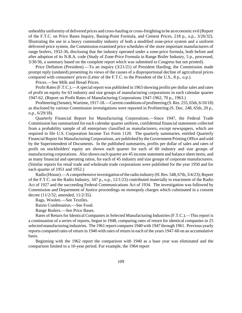unhealthy uniformity of delivered prices and cross-hauling or cross-freighting to be an economic evil(Report of the F.T.C. on Price Bases Inquiry, Basing-Point Formula, and Cement Prices, 218 p., o.p., 3/26/32). Illustrating the use in a heavy commodity industry of both a modified zone-price system and a uniform delivered-price system, the Commission examined price schedules of the more important manufacturers of range boilers, 1932-36, disclosing that the industry operated under a zone-price formula, both before and after adoption of its N.R.A. code (Study of Zone-Price Formula in Range Boiler Industry, 5 p., processed, 3/30/36, a summary based on the complete report which was submitted to Congress but not printed).

Price Deflation (President).—To an inquiry (3/21/21) of President Harding, the Commission made prompt reply (undated) presenting its views of the causes of a disproportional decline of agricultural prices compared with consumers' prices (Letter of the F.T.C. to the President of the U.S., 8 p., o.p.).

Prices.—See Milk and Bread Prices.

Profit Rates (F.T.C.).—A special report was published in 1963 showing profits per dollar sales and rates of profit on equity for 63 industry and size groups of manufacturing corporations in each calendar quarter 1947-62. (Report on Profit Rates of Manufacturing Corporations 1947-1962, 70 p., 1963.)

Profiteering (Senate), Wartime, 1917-18.—Current conditions of profiteering (S. Res. 255, 65th, 6/10/18) as disclosed by various Commission investigations were reported in Profiteering (S. Doc. 248, 65th, 20 p., o.p., 6/29/18).

Quarterly Financial Report for Manufacturing Corporations.—Since 1947, the Federal Trade Commission has summarized for each calendar quarter uniform, confidential financial statements collected from a probability sample of all enterprises classified as manufacturers, except newspapers, which are required to file U.S. Corporation Income Tax Form 1120. The quarterly summaries, entitled Quarterly Financial Report for Manufacturing Corporations, are published by the Government Printing Office and sold by the Superintendent of Documents. In the published summaries, profits per dollar of sales and rates of profit on stockholders' equity are shown each quarter for each of 60 industry and size groups of manufacturing corporations. Also shown each quarter are 45 income statement and balance sheet items, and as many financial and operating ratios, for each of 45 industry and size groups of corporate manufacturers. (Similar reports for retail trade and wholesale trade corporations were published for the year 1950 and for each quarter of 1951 and 1952.)

Radio (House).—Acomprehensive investigation of the radio industry (H. Res. 548, 67th, 3/4/23); Report of the F.T.C. on the Radio Industry, 347 p., o.p., 12/1/23) contributed materially to enactment of the Radio Act of 1927 and the succeeding Federal Communications Act of 1934. The investigation was followed by Commission and Department of Justice proceedings on monopoly charges which culminated in a consent decree (11/2/32; amended, 11/2/35).

Rags, Woolen.—See Textiles.

Raisin Combination.—See Food.

Range Boilers.—See Price Bases.

Rates of Return for Identical Companies in Selected Manufacturing Industries (F.T.C.).—This report is a continuation of a series of reports, begun in 1948, comparing rates of return for identical companies in 25 selectedmanufacturing industries. The 1961 report compares 1940 with 1947 through 1961. Previous yearly reports compared rates of return in 1940 with rates of return in each of the years 1947-60 on an accumulative basis.

Beginning with the 1962 report the comparison with 1940 as a base year was eliminated and the comparison limited to a 10-year period. For example, the 1964 report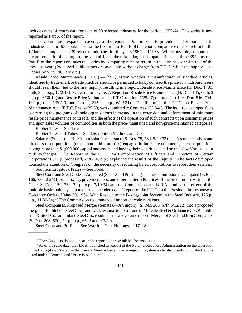includes rates of return data for each of 23 selected industries for the period, 1955-64. This series is now reported as Part A of the report.

The Commission expanded coverage of the report in 1955 in order to provide data for more specific industries and, in 1957, published for the first time as Part B of the report comparative rates of return for the 12 largest companies in 39 selected industries for the years 1954 and 1955. Where possible, comparisons are presented for the 4 largest, the second 4, and the third 4 largest companies in each of the 39 industries. Part B of the report continues this series by comparing rates of return in the current year with that of the previous year. (Processed publications are available without charge from F.T.C. while the supply lasts. Copies prior to 1963 are o.p.)

Resale Price Maintenance (F.T.C.).—The Question whether a manufacturer of standard articles, identified by trade-mark or trade practice, should be permitted to fix by contract the price at which purchasers should resell them, led to the first inquiry, resulting in a report, Resale Price Maintenance (H. Doc. 1480; 65th, 3 p., o.p., 12/2/18). Other reports were: A Report on Resale Price Maintenance (H. Doc. 145, 66th, 3 p., o.p., 6/30/19) and Resale Price Maintenance (F.T.C. motion, 7/25/27; reports, Part 1, H. Doc. 546, 70th, 141 p., o.p., 1/30/29, and Part II, 215 p., o.p., 6/22/31). The Report of the F.T.C. on Resale Price Maintenance, o.p., (F.T.C. Res., 4/25/39) wassubmitted to Congress 12/13/45. The inquiry developed facts concerning the programs of trade organizations interested in the extension and enforcement of minimum resale price maintenance contracts, and the effects of the operation of such contracts upon consumer prices and upon sales volumes of commodities in both the price-maintained and non-price-maintained categories.

Rubber Tires.—See Tires.

\_\_\_\_\_\_\_\_\_

Rubber Tires and Tubes.—See Distribution Methods and Costs.

Salaries (Senate).—The Commission investigated (S. Res. 75, 73d, 5/29/33) salaries of executives and directors of corporations (other than public utilities) engaged in interstate commerce, such corporations having more than \$1,000,000 capital and assets and having their securities listed on the New York stock or curb exchanges. The Report of the F.T.C. on Compensation of Officers and Directors of Certain Corporations (15 p, processed,  $2/26/34$ , o.p.) explained the results of the inquiry.<sup>16</sup> The facts developed focused the attention of Congress on the necessity of requiring listed corporations to report their salaries.

Southern Livestock Prices.—See Food.

Steel Code and Steel Code as Amended (Senate and President).—The Commission investigated (S. Res. 166, 73d, 2/2/34) price fixing, price increases, and other matters (Practices of the Steel Industry Under the Code, S. Doc. 159, 73d, 79 p., o.p., 3/19/34) and the Commission and N.R.A. studied the effect of the multiple basin-point system under the amended code (Report of the F.T.C. to the President in Response to Executive Order of May 30, 1934, With Respect to the Basing-point System in the Steel Industry, 125 p., o.p., 11/30/34).<sup>17</sup> The Commission recommended important code revisions.

Steel Companies, Proposed Merger (Senate).—An inquiry (S. Res. 286, 67th 5/12/22) into a proposed merger of Bethlehem Steel Corp. and Lackawanna Steel Co., and of Midvale Steel & Ordnance Co., Republic Iron & Steel Co., and Inland Steel Co., resulted in a two-volume report. Merger of Steel and Iron Companies (S. Doc. 208, 67th, 11 p., o.p., 6522 and 9/7/22).

Steel Costs and Profits.—See Wartime Cost Findings, 1917–18.

<sup>&</sup>lt;sup>16</sup> The salary lists do not appear in the report but are available for inspection.

<sup>&</sup>lt;sup>17</sup> As of the same date, the N.R.A. published its Report of the National Recovery Administration on the Operation ofthe Basing-Point Systemin the Iron and Steel Industry. The basing-point system is also discussed in published reports listed under "Cement" and "Price Bases" herein.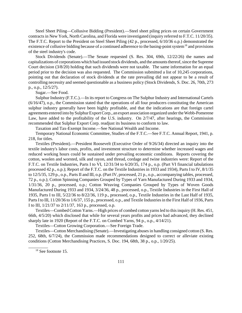Steel Sheet Piling—Collusive Bidding (President).—Steel sheet piling prices on certain Government contracts in New York, North Carolina, and Florida were investigated (inquiry referred to F.T.C. 11/20/35). The F.T.C. Report to the President on Steel Sheet Piling (42 p., processed, 6/10/36 o.p.) demonstrated the existence of collusive bidding because of a continued adherence to the basing-point system<sup>18</sup> and provisions of the steel industry's code.

Stock Dividends (Senate).—The Senate requested (S. Res. 304, 69th, 12/22/26) the names and capitalizations of corporations which had issued stock dividends, and the amounts thereof, since the Supreme Court decision (3/8/20) holding that such dividends were not taxable. The same information for an equal period prior to the decision was also requested. The Commission submitted a list of 10,245 corporations, pointing out that declaration of stock dividends at the rate prevailing did not appear to be a result of controlling necessity and seemed questionable as a business policy (Stock Dividends, S. Doc. 26, 70th, 273 p., o.p., 12/5/27).

Sugar.—See Food.

Sulphur Industry (F.T.C.).—In its report to Congress on The Sulphur Industry and International Cartels (6/16/47), o.p., the Commission stated that the operations of all four producers constituting the American sulphur industry generally have been highly profitable, and that the indications are that foreign cartel agreements entered into by Sulphur Export Corp., an export association organized under the Webb-Pomerene Law, have added to the profitability of the U.S. industry. On 2/7/47, after hearings, the Commission recommended that Sulphur Export Corp. readjust its business to conform to law.

Taxation and Tax-Exempt Income.—See National Wealth and Income.

Temporary National Economic Committee, Studies of the F.T.C.—See F.T.C. Annual Report, 1941, p. 218, for titles.

Textiles (President).—President Roosevelt (Executive Order of 9/26/34) directed an inquiry into the textile industry's labor costs, profits, and investment structure to determine whether increased wages and reduced working hours could be sustained under prevailing economic conditions. Reports covering the cotton, woolen and worsted, silk and rayon, and thread, cordage and twine industries were: Report of the F.T.C. on Textile Industries, Parts I to VI, 12/31/34 to 6/20/35, 174 p., o.p. (Part VI financial tabulations processed 42 p., o.p.); Report of the F.T.C. on the Textile Industries in 1933 and 1934), Parts I to IV, 8/1/35 to 12/5/35, 129 p., o.p., Parts II and III, o.p. (Part IV, processed, 21 p., o.p., accompanying tables, processed, 72 p., o.p.); Cotton Spinning Companies Grouped by Types of Yarn Manufactured During 1933 and 1934, 1/31/36, 20 p., processed, o.p.; Cotton Weaving Companies Grouped by Types of Woven Goods Manufactured During 1933 and 1934, 3/24/36, 48 p., processed, o.p., Textile Industries in the First Hall of 1935, Parts I to III, 5/22/36 to 8/22/36, 119 p., processed, o.p., Textile Industries in the Last Half of 1935, Parts I to III, 11/20/36 to 1/6/37, 155 p., processed, o.p., and Textile Industries in the First Half of 1936, Parts I to III, 1/21/37 to 2/11/37, 163 p., processed, o.p.

Textiles—Combed Cotton Yarns.—High prices of combed cotton yarnsled to thisinquiry (H. Res. 451, 66th, 4/5/20) which disclosed that while for several years profits and prices had advanced, they declined sharply late in 1920 (Report of the F.T.C. on Combed Yarns, 94 p., o.p., 4/14/21).

Textiles—Cotton Growing Corporation.—See Foreign Trade.

Textiles—Cotton Merchandising (Senate).—Investigating abusesin handling consigned cotton (S. Res. 252, 68th, 6/7/24), the Commission made recommendations designed to correct or alleviate existing conditions (Cotton Merchandising Practices, S. Doc. 194, 68th, 38 p., o.p., 1/20/25).

<sup>18</sup> See footnote 15.

\_\_\_\_\_\_\_\_\_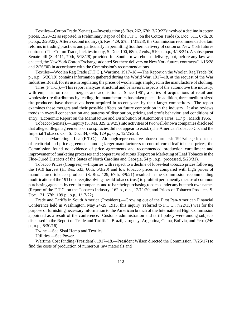Textiles—CottonTrade (Senate).—Investigation (S. Res. 262, 67th, 3/29/22) involved a decline in cotton prices, 1920–22 as reported in Preliminary Report of the F.T.C. on the Cotton Trade (S. Doc. 311, 67th, 28 p., o.p., 2/26/23). After a second inquiry (S. Res. 429, 67th, 1/31/23), the Commission recommended certain reforms in trading practices and particularly in permitting Southern delivery of cotton on New York futures contracts (The Cotton Trade, incl. testimony, S. Doc. 100, 68th, 2 vols., 510 p., o.p., 4/28/24). A subsequent Senate bill (S. 4411, 70th, 5/18/28) provided for Southern warehouse delivery, but, before any law was enacted, the New York Cotton Exchange adopted Southern delivery on New York futures contracts (11/16/28 and 2/26/30) in accordance with the Commission's recommendations.

Textiles—Woolen Rag Trade (F.T.C.), Wartime, 1917–18.—The Report on the Woolen Rag Trade (90 p., o.p., 6/30/19) contains information gathered during the World War, 1917–18, at the request of the War Industries Board, for its use in regulating the prices of woolen rags employed in the manufacture of clothing.

Tires (F.T.C.).—This report analyzes structural and behavioral aspects of the automotive tire industry, with emphasis on recent mergers and acquisitions. Since 1961, a series of acquisitions of retail and wholesale tire distributors by leading tire manufacturers has taken place. In addition, three medium-sized tire producers have themselves been acquired in recent years by their larger competitors. The report examines these mergers and their possible effects on future competition in the industry. It also reviews trends in overall concentration and patterns of distribution, pricing and profit behavior, and conditions of entry. (Economic Report on the Manufacture and Distribution of Automotive Tires, 117 p., March 1966.)

Tobacco (Senate).—Inquiry (S. Res. 329, 2/9/25) into activities of two well-known companies disclosed that alleged illegal agreements or conspiracies did not appear to exist. (The American Tobacco Co. and the Imperial Tobacco Co., S. Doc. 34, 69th, 129 p., o.p., 12/25/25).

TobaccoMarketing—Leaf(F.T.C.).—Although representative tobacco farmers in 1929 alleged existence of territorial and price agreements among larger manufacturers to control cured leaf tobacco prices, the Commission found no evidence of price agreements and recommended production curtailment and improvement of marketing processes and cooperative relations(Report on Marketing of Leaf Tobacco in the Flue-Cured Districts of the States of North Carolina and Georgia, 54 p., o.p., processed, 5/23/31).

Tobacco Prices (Congress).—Inquiries with respect to a decline of loose-leaf tobacco prices following the 1919 harvest (H. Res. 533, 66th, 6/3/20) and low tobacco prices as compared with high prices of manufactured tobacco products (S. Res. 129, 67th, 8/9/21) resulted in the Commission recommending modification of the 1911 decree (dissolving the old tobacco trust) to prohibit permanently the use of common purchasing agencies by certain companies and to bartheir purchasing tobacco under any but their own names (Report of the F.T.C. on the Tobacco Industry, 162 p., o.p., 12/11/20, and Prices of Tobacco Products, S. Doc. 121, 67th, 109 p., o.p., 1/17/22).

Trade and Tariffs in South America (President).—Growing out of the First Pan-American Financial Conference held in Washington, May 24-29, 1915, this inquiry (referred to F.T.C., 7/22/15) was for the purpose of furnishing necessary information to the American branch of the International High Commission appointed as a result of the conference. Customs administration and tariff policy were among subjects discussed in the Report on Trade and Tariffs in Brazil, Uruguay, Argentina, China, Bolivia, and Peru (246 p., o.p., 6/30/16).

Twine.—See Sisal Hemp and Textiles.

Utilities.—See Power.

Wartime Cost Finding (President), 1917–18.—President Wilson directed the Commission (7/25/17) to find the costs of production of numerous raw materials and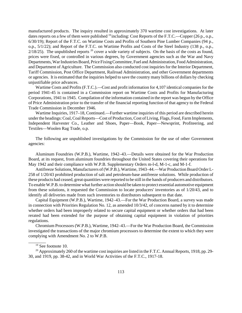manufactured products. The inquiry resulted in approximately 370 wartime cost investigations. At later dates reports on a few of them were published <sup>19</sup> including: Cost Reports of the F.T.C.—Copper (26 p., o.p., 6/30/19); Report of the F.T.C. on Wartime Costs and Profits of Southern Pine Lumber Companies (94 p., o.p., 5/1/22); and Report of the F.T.C. on Wartime Profits and Costs of the Steel Industry (138 p., o.p.,  $2/18/25$ ). The unpublished reports  $^{20}$  cover a wide variety of subjects. On the basis of the costs as found, prices were fixed, or controlled in various degrees, by Government agencies such as the War and Navy Departments, War Industries Board, Price Fixing Committee, Fuel and Administration, Food Administration, and Department of Agriculture. The Commission also conducted cost inquiries for the Interior Department, Tariff Commission, Post Office Department, Railroad Administration, and other Government departments or agencies. It is estimated that the inquiries helped to save the country many billions of dollars by checking unjustifiable price advances.

Wartime Costs and Profits (F.T.C.).—Cost and profit information for 4,107 identical companies for the period 1941-45 is contained in a Commission report on Wartime Costs and Profits for Manufacturing Corporations, 1941 to 1945. Compilation of the information contained in the report was begun by the Office of Price Administration prior to the transfer of the financial reporting function of that agency to the Federal Trade Commission in December 1946.

Wartime Inquiries, 1917–18, Continued.—Further wartime inquiries of this period are described herein under the headings: Coal, Coal Reports—Cost of Production, Cost of Living, Flags, Food, Farm Implements, Independent Harvester Co., Leather and Shoes, Paper—Book, Paper—Newsprint, Profiteering, and Textiles—Woolen Rag Trade, o.p.

The following are unpublished investigations by the Commission for the use of other Government agencies:

Aluminum Foundries (W.P.B.), Wartime, 1942–43.—Details were obtained for the War Production Board, at its request, from aluminum foundries throughout the United States covering their operations for May 1942 and their compliance with W.P.B. Supplementary Orders m-l-d, M-1-c, and M-1-f.

Antifreeze Solutions, Manufacturers of (W.P.B.), Wartime, 1943–44.—War Production Board Order L-258 of 1/20/43 prohibited production of salt and petroleum-base antifreeze solutions. While production of these products had ceased, great quantities were reported to be still in the hands of producers and distributors. To enable W.P.B. to determine what further action should be taken to protect essential automotive equipment from these solutions, it requested the Commission to locate producers' inventories as of 1/20/43, and to identify all deliveries made from such inventories to distributors subsequent to that date.

Capital Equipment (W.P.B.), Wartime, 1942–43.—For the War Production Board, a survey was made in connection with Priorities Regulation No. 12, as amended 10/3/42, of concerns named by it to determine whether orders had been improperly related to secure capital equipment or whether orders that had been rerated had been extended for the purpose of obtaining capital equipment in violation of priorities regulations.

Chromium Processors (W.P.B.), Wartime, 1942–43.—For the War Production Board, the Commission investigated the transactions of the major chromium processors to determine the extent to which they were complying with Amendment No. 2 to W.P.B.

 $\overline{\phantom{a}}$ 

<sup>&</sup>lt;sup>19</sup> See footnote 10.

<sup>&</sup>lt;sup>20</sup> Approximately 260 of the wartime cost inquiries are listed in the F.T.C. Annual Reports, 1918, pp. 29-30, and 1919, pp. 38-42, and in World War Activities of the F.T.C., 1917-18.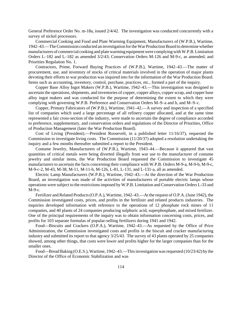General Preference Order No. m-18a, issued 2/4/42. The investigation was conducted concurrently with a survey of nickel processors.

Commercial Cooking and Food and Plate Warming Equipment, Manufacturers of (W.P.B.), Wartime, 1942–43.—TheCommission conducted an investigation fortheWar ProductionBoard to determine whether manufacturers of commercial cooking and plate warming equipment were complying with W.P.B. Limitation Orders L–182 and L–182 as amended 3/2/43; Conservation Orders M-126 and M-9-c, as amended; and Priorities Regulation No. 1.

Contractors, Prime, Forward Buying Practices of (W.P.B.), Wartime, 1942–43.—The matter of procurement, use, and inventory of stocks of critical materials involved in the operation of major plants devoting their efforts to war production was inquired into for the information of the War Production Board. Items such as accounting, inventory, control, purchase, practices, etc., formed a part of the inquiry.

Copper Base Alloy Ingot Makers (W.P.B.), Wartime, 1942–43.—This investigation was designed to ascertain the operations, shipments, and inventories of copper, copper alloys, copper scrap, and copper base alloy ingot makers and was conducted for the purpose of determining the extent to which they were complying with governing W.P.B. Preference and Conservation Orders M–9–a and b, and M–9–c.

Copper, Primary Fabricators of (W.P.B.), Wartime, 1941–42.—A survey and inspection of a specified list of companies which used a large percentage of all refinery copper allocated, and at the same time represented a fair cross-section of the industry, were made to ascertain the degree of compliance accorded to preference, supplementary, and conservation orders and regulations of the Director of Priorities, Office of Production Management (later the War Production Board).

Cost of Living (President).—President Roosevelt, in a published letter 11/16/37), requested the Commission to investigate living costs. The Commission (11/20/37) adopted a resolution undertaking the inquiry and a few months thereafter submitted a report to the President.

Costume Jewelry, Manufacturers of (W.P.B.), Wartime, 1943–44.—Because it appeared that vast quantities of critical metals were being diverted illegally from war use to the manufacturer of costume jewelry and similar items, the War Production Board requested the Commission to investigate 45 manufacturers to ascertain the facts concerning their compliance with W.P.B. Orders M-9-a, M-9-b, M-9-c, M-9-c-2, M-43, M-38, M-11, M-11-b, M-126, L-81, L-131, and L-131-a, all as amended.

Electric Lamp Manufacturers (W.P.B.), Wartime, 1942–43.—At the direction of the War Production Board, an investigation was made of the activities of manufacturers of portable electric lamps whose operations were subject to the restrictionsimposed by W.P.B. Limitation and Conservation Orders L-33 and M-9-c.

Fertilizer and Related Products (O.P.A.), Wartime, 1942–43.—At the request of O.P.A. (June 1942), the Commission investigated costs, prices, and profits in the fertilizer and related products industries. The inquiries developed information with reference to the operations of 12 phosphate rock mines of 11 companies, and 40 plants of 24 companies producing sulphuric acid, superphosphate, and mixed fertilizer. One of the principal requirements of the inquiry was to obtain information concerning costs, prices, and profits for 103 separate formulas of popular-selling fertilizers during 1941 and 1942.

Food—Biscuits and Crackers (O.P.A.), Wartime, 1942–43.—As requested by the Office of Price Administration, the Commission investigated costs and profits in the biscuit and cracker manufacturing industry and submitted its report to that agency 3/25/43. The survey of 43 plants operated by 25 companies showed, among other things, that costs were lower and profits higher for the larger companies than for the smaller ones.

Food—Bread Baking (O.E.S.), Wartime, 1942–43.—This investigation was requested (10/23/42) by the Director of the Office of Economic Stabilization and was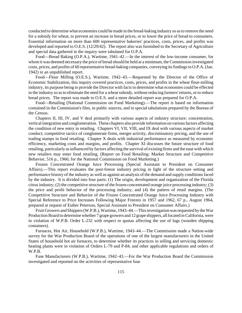conducted to determine what economies could be made in the bread-baking industry so asto remove the need for a subsidy for wheat, to prevent an increase in bread prices, or to lower the price of bread to consumers. Essential information on more than 600 representative bakeries' practices, costs, prices, and profits was developed and reported to O.E.S. (12/29/42). The report also was furnished to the Secretary of Agriculture and special data gathered in the inquiry were tabulated for O.P.A.

Food—Bread Baking (O.P.A.), Wartime, 1941–42.—In the interest of the low-income consumer, for whom it was deemed necessary the price of bread should be held at a minimum, the Commission investigated costs, prices, and profits of 60 representative bread-baking companies, conveying itsfindingsto O.P.A.(Jan. 1942) in an unpublished report.

Food—Flour Milling (O.E.S.), Wartime, 1942–43.—Requested by the Director of the Office of Economic Stabilization, this inquiry covered practices, costs, prices, and profits in the wheat flour-milling industry, its purpose being to provide the Director with facts to determine what economies could be effected in the industry so as to eliminate the need for a wheat subsidy, without reducing farmers' returns, or to reduce bread prices. The report was made to O.E.S. and a more detailed report was prepared for O.P.A.

Food—Retailing (National Commission on Food Marketing).—The report is based on information contained in the Commission's files, in public sources, and in special tabulations prepared by the Bureau of the Census.

Chapters II, III, IV, and V deal primarily with various aspects of industry structure: concentration, vertical integration and conglomeration. These chapters also provide information on various factors affecting the condition of new entry in retailing. Chapters VI, VII, VIII, and IX deal with various aspects of market conduct; competitive tactics of conglomerate firms, merger activity, discriminatory pricing, and the use of trading stamps in food retailing. Chapter X deals with industrial performance as measured by economic efficiency, marketing costs and margins, and profits. Chapter XI discusses the future structure of food retailing, particularly as influenced by factors affecting the survival of existing firms and the ease with which new retailers may enter food retailing. (Report on Food Retailing: Market Structure and Competitive Behavior, 516 p., 1966; for the National Commission on Food Marketing.)

Frozen Concentrated Orange Juice Processing (Special Assistant to President on Consumer Affairs).—This report evaluates the post-freeze industry pricing in light of the structure setting and performance history of the industry as well as against an analysis of the demand and supply conditionsfaced by the industry. It is divided into four parts: (1) The origin, development and organization of the Florida citrus industry; (2) the competitive structure of the frozen concentrated orange juice processing industry; (3) the price and profit behavior of the processing industry; and (4) the pattern of retail margins. (The Competitive Structure and Behavior of the Frozen Concentrated Orange Juice Processing Industry with Special Reference to Price Increases Following Major Freezes in 1957 and 1962, 67 p., August 1964, prepared at request of Esther Peterson, Special Assistant to President on Consumer Affairs.)

Fruit Growers and Shippers (W.P.B.), Wartime, 1943–44.—This investigation was requested by the War Production Board to determine whether 7 grape growers and 12 grape shippers, all located in California, were in violation of W.P.B. Order L-232 with respect to quotas affecting the use of lugs (wooden shipping containers).

Furnaces, Hot Air, Household (W.P.B.), Wartime, 1943–44.—The Commission made a Nation-wide survey for the War Production Board of the operations of one of the largest manufacturers in the United States of household hot air furnaces, to determine whether its practices in selling and servicing domestic heating plants were in violation of Orders L-79 and P-84, and other applicable regulations and orders of W.P.B.

Fuse Manufacturers (W.P.B.), Wartime, 1942–43.—For the War Production Board the Commission investigated and reported on the activities of representative fuse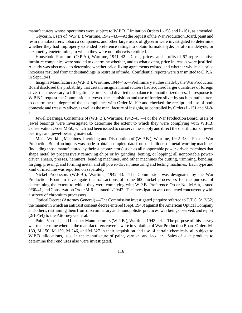manufacturers whose operations were subject to W.P.B. Limitation Orders L-158 and L-161, as amended.

Glycerin, Users of (W.P.B.), Wartime, 1942–43.—At the request of the War Production Board, paint and resin manufacturers, tobacco companies, and other large users of glycerin were investigated to determine whether they had improperly extended preference ratings to obtain formaldehyde, paraformaldehyde, or hexamethylenetetramine, to which they were not otherwise entitled.

Household Furniture (O.P.A.), Wartime, 1941–42.—Costs, prices, and profits of 67 representative furniture companies were studied to determine whether, and to what extent, price increases were justified. A study was also made to determine whether price-fixing agreements existed and whether wholesale price increases resulted from understandings in restraint of trade. Confidential reports were transmitted to O.P.A. in Sept.1941.

InsigniaManufacturers(W.P.B.),Wartime, 1944–45.—Preliminary studies made by the War Production Board disclosed the probability that certain insignia manufacturers had acquired larger quantities of foreign silver than necessary to fill legitimate orders and diverted the balance to unauthorized uses. In response to W.P.B.'s request the Commission surveyed the acquisition and use of foreign silver by such manufacturers to determine the degree of their compliance with Order M-199 and checked the receipt and use of both domestic and treasury silver, as well asthe manufacture of insignia, as controlled by Orders L-131 and M-9 c.

Jewel Bearings, Consumers of (W.P.B.), Wartime, 1942–43.—For the War Production Board, users of jewel bearings were investigated to determine the extent to which they were complying with W.P.B. Conservation Order M-50, which had been issued to conserve the supply and direct the distribution of jewel bearings and jewel-bearing material.

Metal-Working Machines, Invoicing and Distribution of (W.P.B.), Wartime, 1942–43.—For the War Production Board an inquiry was made to obtain complete data fromthe builders of metal-working machines (including those manufactured by their subcontractors) such as all nonportable power-driven machines that shape metal by progressively removing chips or by grinding, boning, or lopping; all nonportable powerdriven shears, presses, hammers, bending machines, and other machines for cutting, trimming, bending, forging, pressing, and forming metal; and all power-driven measuring and testing machines. Each type and kind of machine was reported on separately.

Nickel Processors (W.P.B.), Wartime, 1942–43.—The Commission was designated by the War Production Board to investigate the transactions of some 600 nickel processors for the purpose of determining the extent to which they were complying with W.P.B. Preference Order No. M-6-a, issued 9/30/41, and Conservation Order M-6-b, issued 1/20/42. The investigation was conducted concurrently with a survey of chromium processors.

Optical Decree (Attorney General).—TheCommission investigated (inquiry referred to F.T.C. 8/12/52) the manner in which an antitrust consent decree entered (Sept. 1948) against the American OpticalCompany and others, restraining them from discriminatory and monopolistic practices, was being observed, and report (2/10/54) to the Attorney General.

Paint, Varnish, and Lacquer Manufacturers (W.P.B.), Wartime, 1943–44.—The purpose of this survey was to determine whether the manufacturers covered were in violation of War Production Board Orders M-139, M-150, M-159, M-246, and M-327 in their acquisition and use of certain chemicals, all subject to W.P.B. allocations, used in the manufacture of paint, varnish, and lacquer. Sales of such products to determine their end uses also were investigated.

116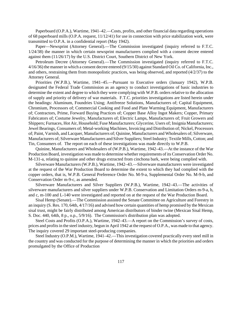Paperboard (O.P.A.), Wartime, 1941–42.—Costs, profits, and other financial data regarding operations of 68 paperboard mills (O.P.A. request, 11/12/41) for use in connection with price stabilization work, were transmitted to O.P.A. in a confidential report (May 1942).

Paper—Newsprint (Attorney General).—The Commission investigated (inquiry referred to F.T.C. 1/24/38) the manner in which certain newsprint manufacturers complied with a consent decree entered against them (11/26/17) by the U.S. District Court, Southern District of New York.

Petroleum Decree (Attorney General).—The Commission investigated (inquiry referred to F.T.C. 4/16/36) the manner in which a consent decree entered (9/15/30) against Standard Oil Co. of California, Inc., and others, restraining them from monopolistic practices, was being observed, and reported (4/2/37) to the Attorney General.

Priorities (W.P.B.), Wartime, 1941–45.—Pursuant to Executive orders (January 1942), W.P.B. designated the Federal Trade Commission as an agency to conduct investigations of basic industries to determine the extent and degree to which they were complying with W.P.B. orders relative to the allocation of supply and priority of delivery of war materials. F.T.C. priorities investigations are listed herein under the headings: Aluminum, Foundries Using; Antifreeze Solutions, Manufacturers of; Capital Equipment, Chromium, Processors of; Commercial Cooking and Food and Plate Warming Equipment, Manufacturers of; Contractors, Prime, Forward Buying Practices of; Copper Base Alloy Ingot Makers; Copper, Primary Fabricators of; Costume Jewelry, Manufacturers of; Electric Lamps, Manufacturers of; Fruit Growers and Shippers; Furnaces, Hot Air, Household; Fuse Manufacturers; Glycerine, Users of; Insignia Manufacturers; Jewel Bearings, Consumers of; Metal-working Machines, Invoicing and Distribution of; Nickel, Processors of; Paint, Varnish, and Lacquer, Manufacturers of; Quinine, Manufacturers and Wholesalers of; Silverware, Manufacturers of; Silverware Manufacturers and Silver Suppliers; Steel Industry; Textile Mills, Cotton; and Tin, Consumers of. The report on each of these investigations was made directly to W.P.B.

Quinine, Manufacturers and Wholesalers of (W.P.B.), Wartime, 1942–43.—At the instance of the War Production Board, investigation was made to determine whether requirements of its Conservation Order No. M-131-a, relating to quinine and other drugs extracted from cinchona bark, were being complied with.

Silverware Manufacturers (W.P.B.), Wartime, 1942–43.—Silverware manufacturers were investigated at the request of the War Production Board to determine the extent to which they had complied with the copper orders, that is, W.P.B. General Preference Order No. M-9-a, Supplemental Order No. M-9-b, and Conservation Order m-9-c, as amended.

Silverware Manufacturers and Silver Suppliers (W.P.B.), Wartime, 1942–43.—The activities of silverware manufacturers and silver suppliers under W.P.B. Conservation and Limitation Orders m-9-a, b, and c, m-100 and L-140 were investigated and reported on at the request of the War Production Board.

Sisal Hemp (Senate).—The Commission assisted the Senate Committee on Agriculture and Forestry in an inquiry (S. Res. 170, 64th, 4/17/16) and advised how certain quantities of hemp promised by the Mexican sisal trust, might be fairly distributed among American distributors of binder twine (Mexican Sisal Hemp, S. Doc. 440, 64th, 8 p., o.p., 5/9/16). The Commission's distribution plan was adopted.

Steel Costs and Profits (O.P.A.), Wartime, 1942–43.—A report on the Commission's survey of costs, prices and profitsin the steel industry, begun in April 1942 at the request of O.P.A., was made to that agency. The inquiry covered 29 important steel-producing companies.

Steel Industry (O.P.M.), Wartime, 1941–42.—This investigation covered practically every steel mill in the country and was conducted for the purpose of determining the manner in which the priorities and orders promulgated by the Office of Production